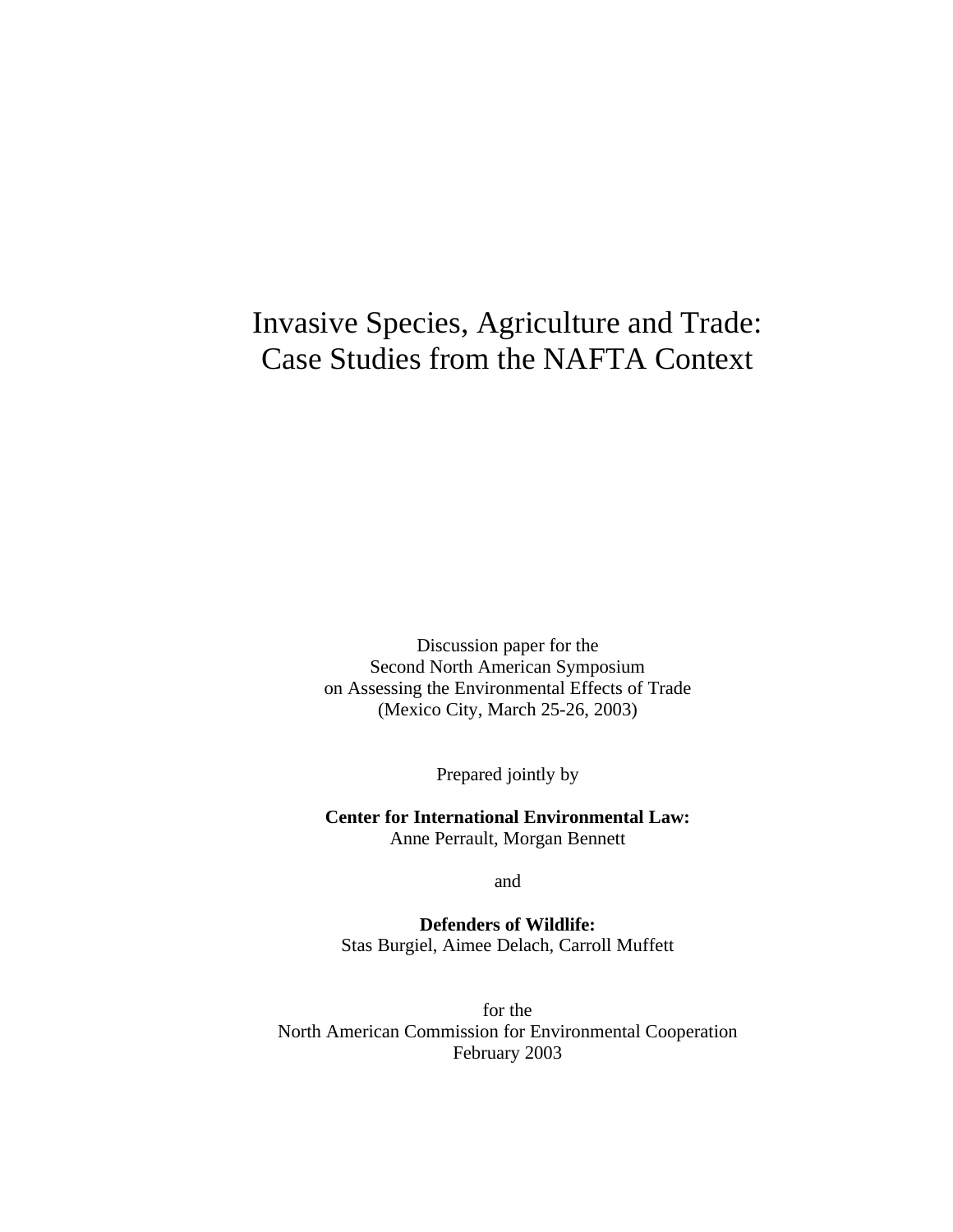# Invasive Species, Agriculture and Trade: Case Studies from the NAFTA Context

Discussion paper for the Second North American Symposium on Assessing the Environmental Effects of Trade (Mexico City, March 25-26, 2003)

Prepared jointly by

**Center for International Environmental Law:** Anne Perrault, Morgan Bennett

and

**Defenders of Wildlife:** Stas Burgiel, Aimee Delach, Carroll Muffett

for the North American Commission for Environmental Cooperation February 2003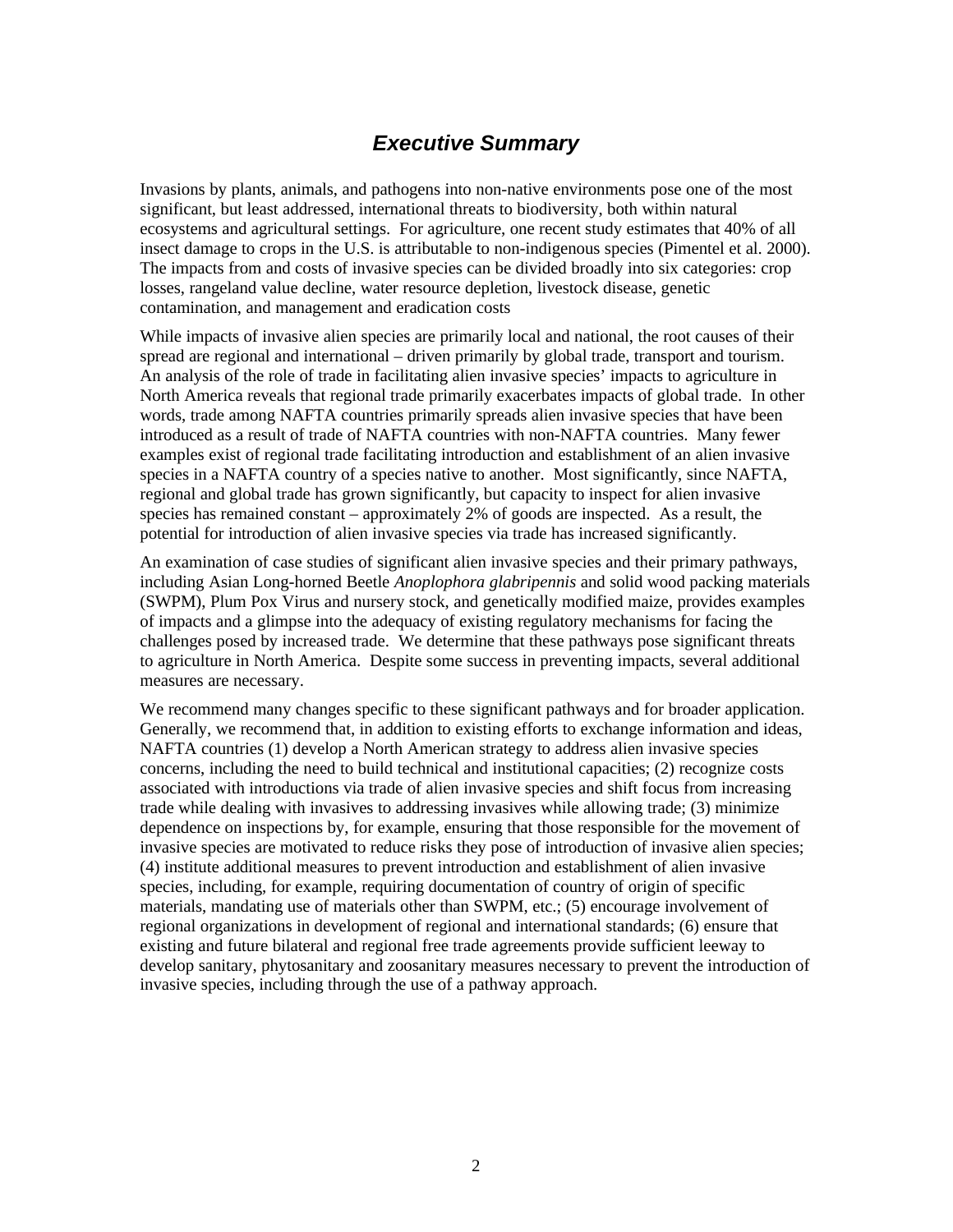# *Executive Summary*

Invasions by plants, animals, and pathogens into non-native environments pose one of the most significant, but least addressed, international threats to biodiversity, both within natural ecosystems and agricultural settings. For agriculture, one recent study estimates that 40% of all insect damage to crops in the U.S. is attributable to non-indigenous species (Pimentel et al. 2000). The impacts from and costs of invasive species can be divided broadly into six categories: crop losses, rangeland value decline, water resource depletion, livestock disease, genetic contamination, and management and eradication costs

While impacts of invasive alien species are primarily local and national, the root causes of their spread are regional and international – driven primarily by global trade, transport and tourism. An analysis of the role of trade in facilitating alien invasive species' impacts to agriculture in North America reveals that regional trade primarily exacerbates impacts of global trade. In other words, trade among NAFTA countries primarily spreads alien invasive species that have been introduced as a result of trade of NAFTA countries with non-NAFTA countries. Many fewer examples exist of regional trade facilitating introduction and establishment of an alien invasive species in a NAFTA country of a species native to another. Most significantly, since NAFTA, regional and global trade has grown significantly, but capacity to inspect for alien invasive species has remained constant – approximately 2% of goods are inspected. As a result, the potential for introduction of alien invasive species via trade has increased significantly.

An examination of case studies of significant alien invasive species and their primary pathways, including Asian Long-horned Beetle *Anoplophora glabripennis* and solid wood packing materials (SWPM), Plum Pox Virus and nursery stock, and genetically modified maize, provides examples of impacts and a glimpse into the adequacy of existing regulatory mechanisms for facing the challenges posed by increased trade. We determine that these pathways pose significant threats to agriculture in North America. Despite some success in preventing impacts, several additional measures are necessary.

We recommend many changes specific to these significant pathways and for broader application. Generally, we recommend that, in addition to existing efforts to exchange information and ideas, NAFTA countries (1) develop a North American strategy to address alien invasive species concerns, including the need to build technical and institutional capacities; (2) recognize costs associated with introductions via trade of alien invasive species and shift focus from increasing trade while dealing with invasives to addressing invasives while allowing trade; (3) minimize dependence on inspections by, for example, ensuring that those responsible for the movement of invasive species are motivated to reduce risks they pose of introduction of invasive alien species; (4) institute additional measures to prevent introduction and establishment of alien invasive species, including, for example, requiring documentation of country of origin of specific materials, mandating use of materials other than SWPM, etc.; (5) encourage involvement of regional organizations in development of regional and international standards; (6) ensure that existing and future bilateral and regional free trade agreements provide sufficient leeway to develop sanitary, phytosanitary and zoosanitary measures necessary to prevent the introduction of invasive species, including through the use of a pathway approach.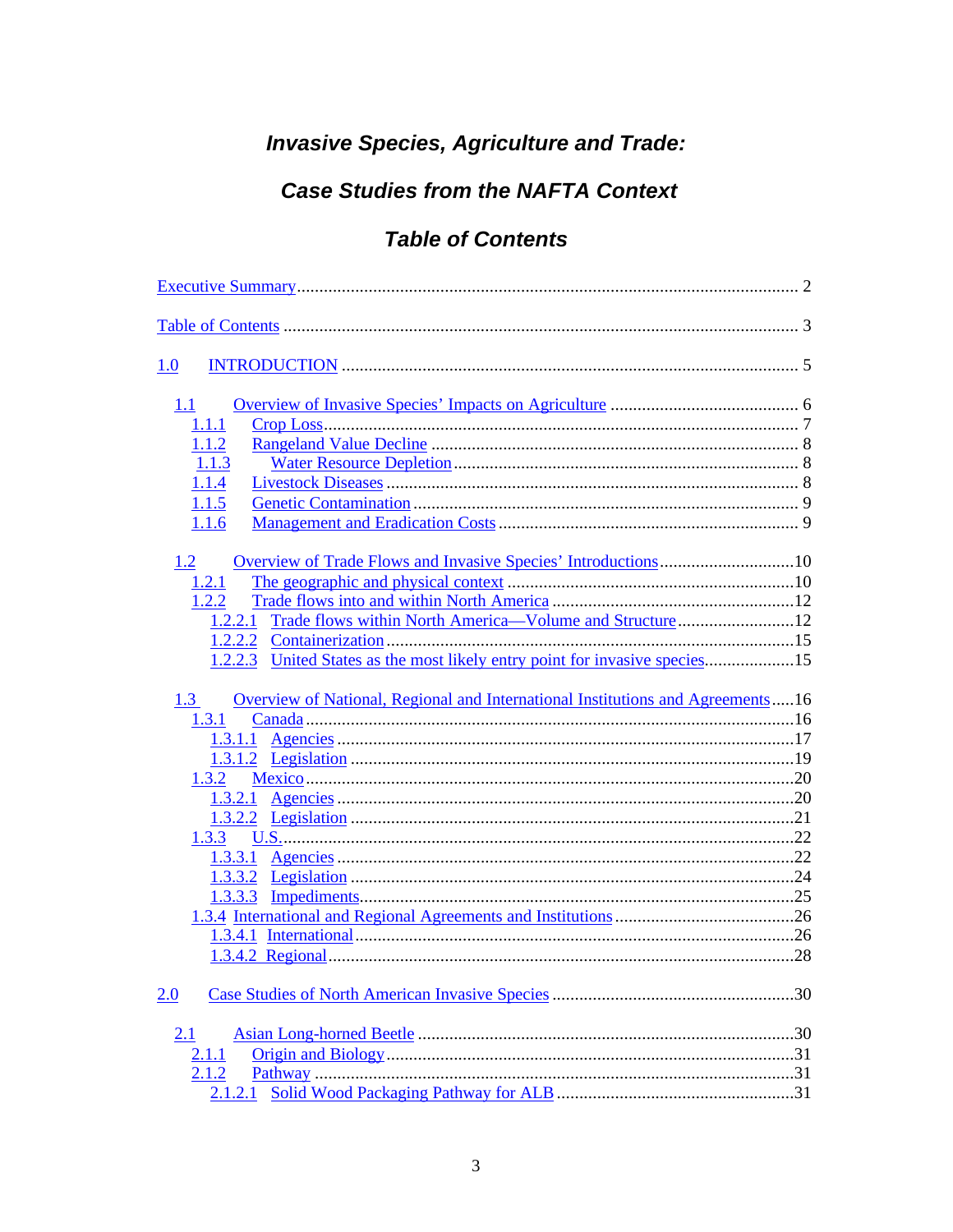# **Invasive Species, Agriculture and Trade:**

# **Case Studies from the NAFTA Context**

# **Table of Contents**

| 1.0                                                                                                                                                           |  |
|---------------------------------------------------------------------------------------------------------------------------------------------------------------|--|
| 1.1<br>1.1.1<br>1.1.2<br>1.1.3<br>1.1.4<br>1.1.5<br>1.1.6<br>1.2<br>1.2.1                                                                                     |  |
| 1.2.2<br>Trade flows within North America-Volume and Structure12<br>1.2.2.1<br>United States as the most likely entry point for invasive species15<br>1.2.2.3 |  |
| Overview of National, Regional and International Institutions and Agreements16<br>1.3<br>1.3.1<br>1.3.2<br>1.3.3                                              |  |
| 1.3.3.2<br>1.3.3.3                                                                                                                                            |  |
| 2.0<br>2.1<br>2.1.1                                                                                                                                           |  |
| 2.1.2<br>2.1.2.1                                                                                                                                              |  |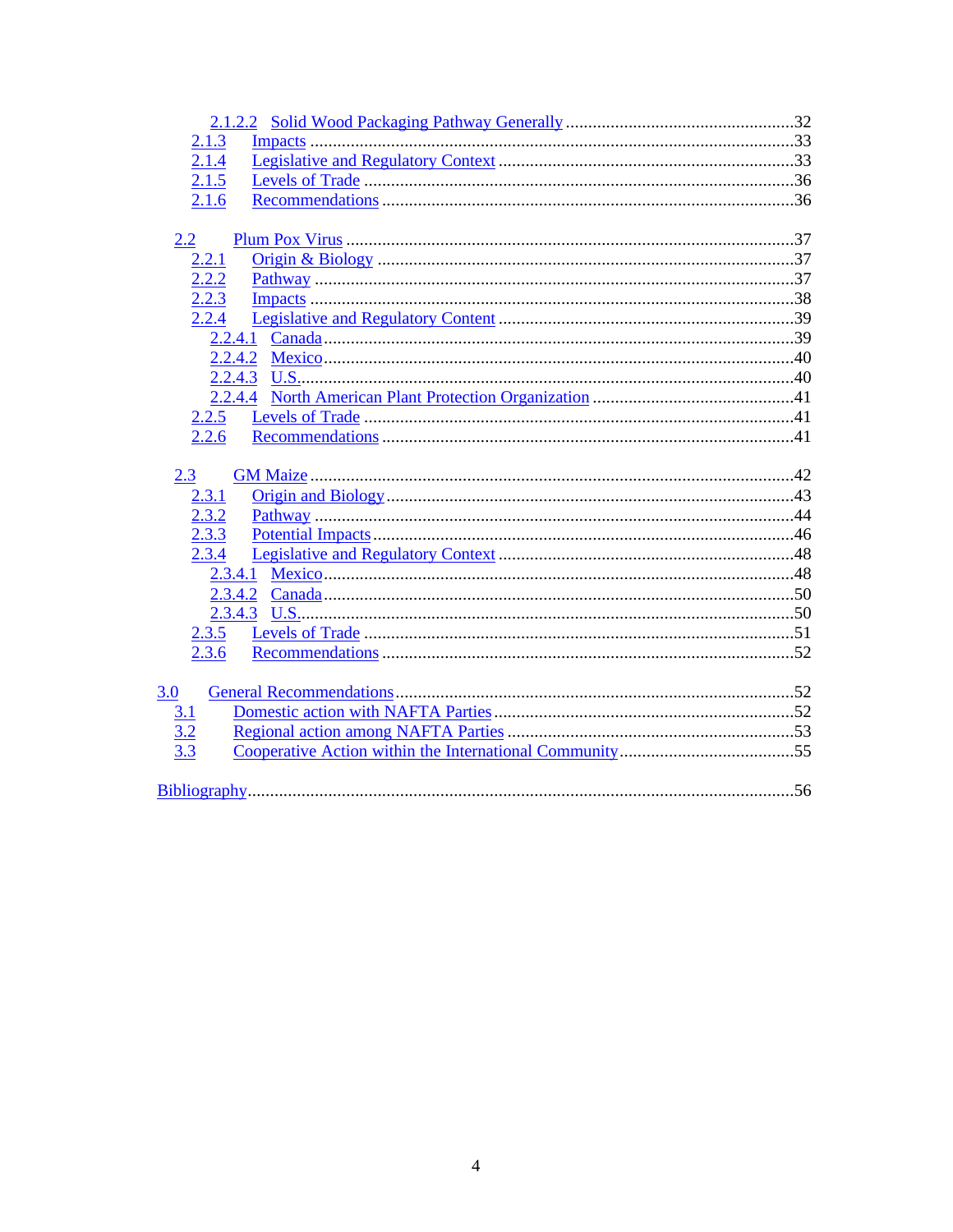| 2.1.3             |  |
|-------------------|--|
| 2.1.4             |  |
| 2.1.5             |  |
| 2.1.6             |  |
|                   |  |
| $2.2\,$           |  |
| 2.2.1             |  |
| 2.2.2             |  |
| 2.2.3             |  |
| 2.2.4             |  |
|                   |  |
|                   |  |
|                   |  |
|                   |  |
| 2.2.5             |  |
| 2.2.6             |  |
|                   |  |
|                   |  |
| 2.3               |  |
| 2.3.1             |  |
| 2.3.2             |  |
| 2.3.3             |  |
| 2.3.4             |  |
|                   |  |
|                   |  |
|                   |  |
| 2.3.5             |  |
| 2.3.6             |  |
|                   |  |
| 3.0               |  |
| 3.1               |  |
|                   |  |
| $\frac{3.2}{3.3}$ |  |
|                   |  |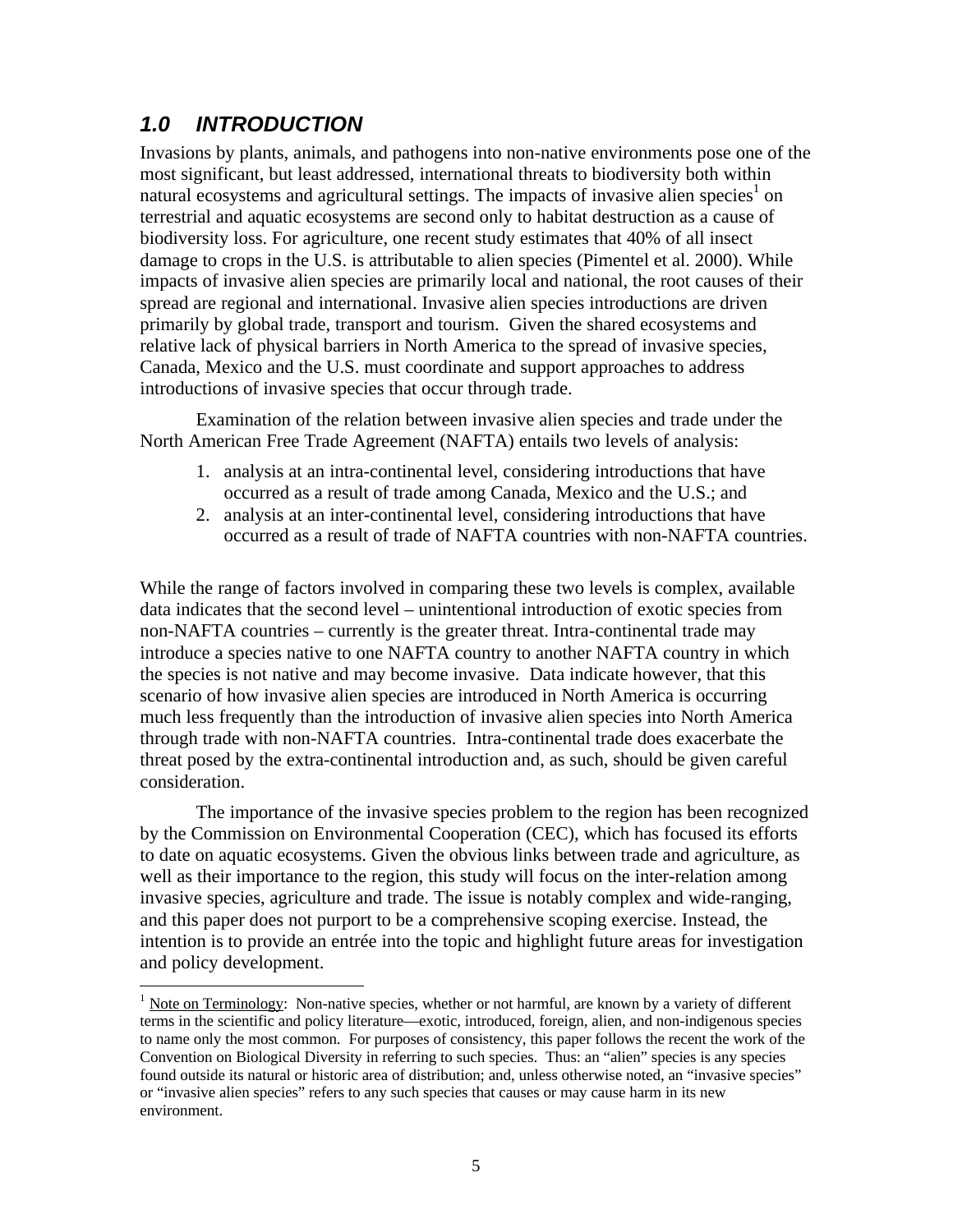# *1.0 INTRODUCTION*

-

Invasions by plants, animals, and pathogens into non-native environments pose one of the most significant, but least addressed, international threats to biodiversity both within natural ecosystems and agricultural settings. The impacts of invasive alien species<sup>1</sup> on terrestrial and aquatic ecosystems are second only to habitat destruction as a cause of biodiversity loss. For agriculture, one recent study estimates that 40% of all insect damage to crops in the U.S. is attributable to alien species (Pimentel et al. 2000). While impacts of invasive alien species are primarily local and national, the root causes of their spread are regional and international. Invasive alien species introductions are driven primarily by global trade, transport and tourism. Given the shared ecosystems and relative lack of physical barriers in North America to the spread of invasive species, Canada, Mexico and the U.S. must coordinate and support approaches to address introductions of invasive species that occur through trade.

Examination of the relation between invasive alien species and trade under the North American Free Trade Agreement (NAFTA) entails two levels of analysis:

- 1. analysis at an intra-continental level, considering introductions that have occurred as a result of trade among Canada, Mexico and the U.S.; and
- 2. analysis at an inter-continental level, considering introductions that have occurred as a result of trade of NAFTA countries with non-NAFTA countries.

While the range of factors involved in comparing these two levels is complex, available data indicates that the second level – unintentional introduction of exotic species from non-NAFTA countries – currently is the greater threat. Intra-continental trade may introduce a species native to one NAFTA country to another NAFTA country in which the species is not native and may become invasive. Data indicate however, that this scenario of how invasive alien species are introduced in North America is occurring much less frequently than the introduction of invasive alien species into North America through trade with non-NAFTA countries. Intra-continental trade does exacerbate the threat posed by the extra-continental introduction and, as such, should be given careful consideration.

The importance of the invasive species problem to the region has been recognized by the Commission on Environmental Cooperation (CEC), which has focused its efforts to date on aquatic ecosystems. Given the obvious links between trade and agriculture, as well as their importance to the region, this study will focus on the inter-relation among invasive species, agriculture and trade. The issue is notably complex and wide-ranging, and this paper does not purport to be a comprehensive scoping exercise. Instead, the intention is to provide an entrée into the topic and highlight future areas for investigation and policy development.

<sup>&</sup>lt;sup>1</sup> Note on Terminology: Non-native species, whether or not harmful, are known by a variety of different terms in the scientific and policy literature—exotic, introduced, foreign, alien, and non-indigenous species to name only the most common. For purposes of consistency, this paper follows the recent the work of the Convention on Biological Diversity in referring to such species. Thus: an "alien" species is any species found outside its natural or historic area of distribution; and, unless otherwise noted, an "invasive species" or "invasive alien species" refers to any such species that causes or may cause harm in its new environment.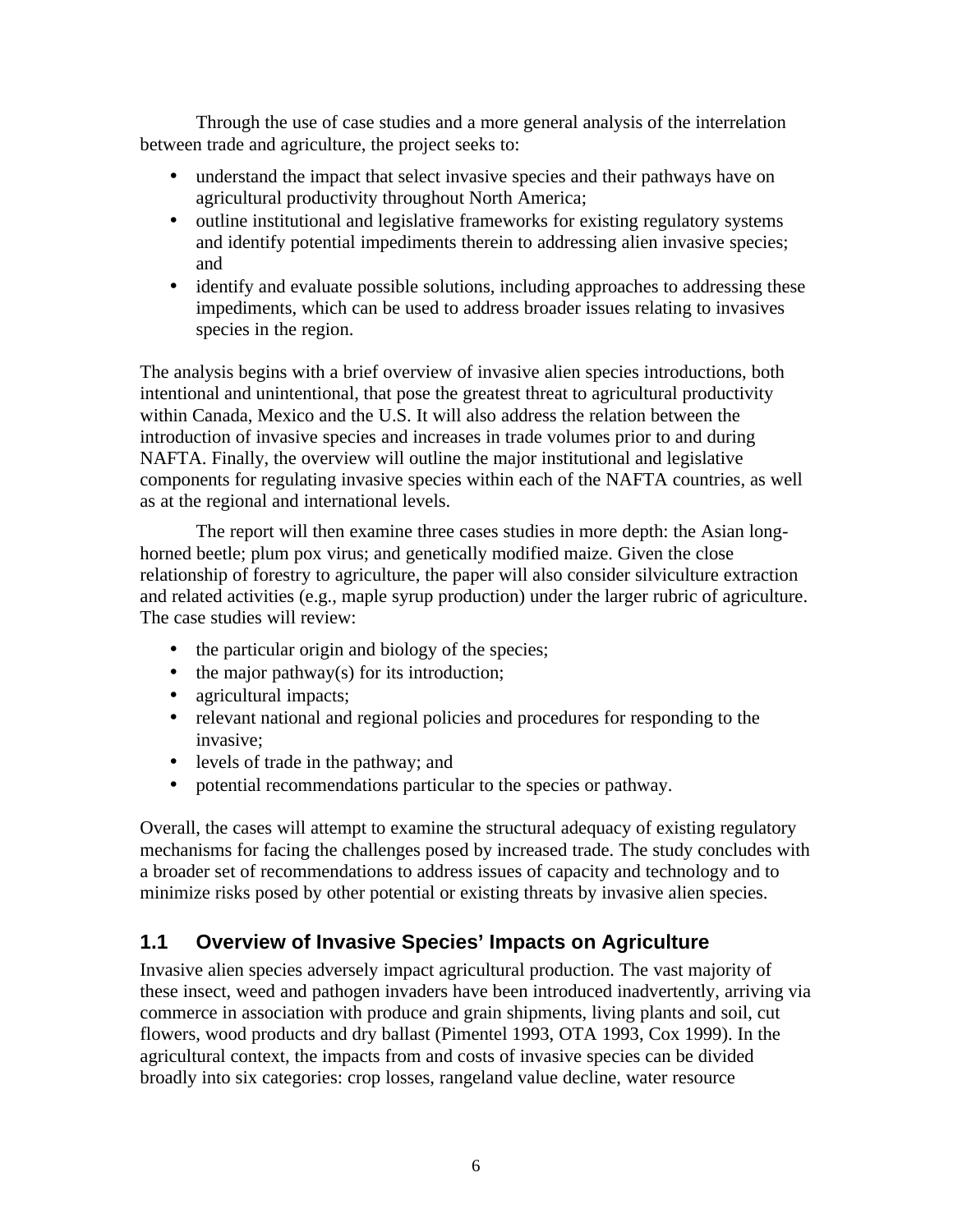Through the use of case studies and a more general analysis of the interrelation between trade and agriculture, the project seeks to:

- understand the impact that select invasive species and their pathways have on agricultural productivity throughout North America;
- outline institutional and legislative frameworks for existing regulatory systems and identify potential impediments therein to addressing alien invasive species; and
- identify and evaluate possible solutions, including approaches to addressing these impediments, which can be used to address broader issues relating to invasives species in the region.

The analysis begins with a brief overview of invasive alien species introductions, both intentional and unintentional, that pose the greatest threat to agricultural productivity within Canada, Mexico and the U.S. It will also address the relation between the introduction of invasive species and increases in trade volumes prior to and during NAFTA. Finally, the overview will outline the major institutional and legislative components for regulating invasive species within each of the NAFTA countries, as well as at the regional and international levels.

The report will then examine three cases studies in more depth: the Asian longhorned beetle; plum pox virus; and genetically modified maize. Given the close relationship of forestry to agriculture, the paper will also consider silviculture extraction and related activities (e.g., maple syrup production) under the larger rubric of agriculture. The case studies will review:

- the particular origin and biology of the species;
- the major pathway(s) for its introduction;
- agricultural impacts;
- relevant national and regional policies and procedures for responding to the invasive;
- levels of trade in the pathway; and
- potential recommendations particular to the species or pathway.

Overall, the cases will attempt to examine the structural adequacy of existing regulatory mechanisms for facing the challenges posed by increased trade. The study concludes with a broader set of recommendations to address issues of capacity and technology and to minimize risks posed by other potential or existing threats by invasive alien species.

# **1.1 Overview of Invasive Species' Impacts on Agriculture**

Invasive alien species adversely impact agricultural production. The vast majority of these insect, weed and pathogen invaders have been introduced inadvertently, arriving via commerce in association with produce and grain shipments, living plants and soil, cut flowers, wood products and dry ballast (Pimentel 1993, OTA 1993, Cox 1999). In the agricultural context, the impacts from and costs of invasive species can be divided broadly into six categories: crop losses, rangeland value decline, water resource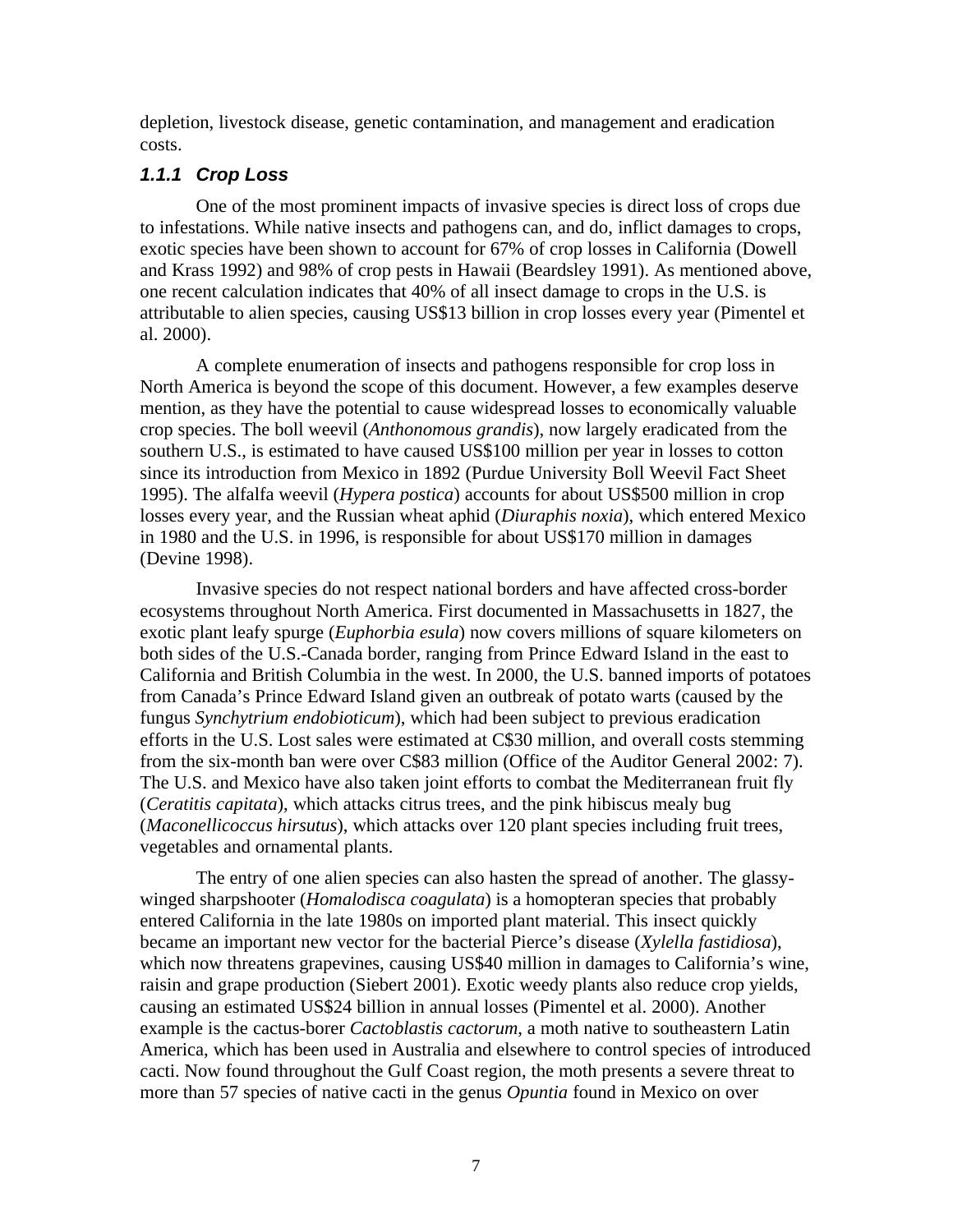depletion, livestock disease, genetic contamination, and management and eradication costs.

### *1.1.1 Crop Loss*

One of the most prominent impacts of invasive species is direct loss of crops due to infestations. While native insects and pathogens can, and do, inflict damages to crops, exotic species have been shown to account for 67% of crop losses in California (Dowell and Krass 1992) and 98% of crop pests in Hawaii (Beardsley 1991). As mentioned above, one recent calculation indicates that 40% of all insect damage to crops in the U.S. is attributable to alien species, causing US\$13 billion in crop losses every year (Pimentel et al. 2000).

A complete enumeration of insects and pathogens responsible for crop loss in North America is beyond the scope of this document. However, a few examples deserve mention, as they have the potential to cause widespread losses to economically valuable crop species. The boll weevil (*Anthonomous grandis*), now largely eradicated from the southern U.S., is estimated to have caused US\$100 million per year in losses to cotton since its introduction from Mexico in 1892 (Purdue University Boll Weevil Fact Sheet 1995). The alfalfa weevil (*Hypera postica*) accounts for about US\$500 million in crop losses every year, and the Russian wheat aphid (*Diuraphis noxia*), which entered Mexico in 1980 and the U.S. in 1996, is responsible for about US\$170 million in damages (Devine 1998).

Invasive species do not respect national borders and have affected cross-border ecosystems throughout North America. First documented in Massachusetts in 1827, the exotic plant leafy spurge (*Euphorbia esula*) now covers millions of square kilometers on both sides of the U.S.-Canada border, ranging from Prince Edward Island in the east to California and British Columbia in the west. In 2000, the U.S. banned imports of potatoes from Canada's Prince Edward Island given an outbreak of potato warts (caused by the fungus *Synchytrium endobioticum*), which had been subject to previous eradication efforts in the U.S. Lost sales were estimated at C\$30 million, and overall costs stemming from the six-month ban were over C\$83 million (Office of the Auditor General 2002: 7). The U.S. and Mexico have also taken joint efforts to combat the Mediterranean fruit fly (*Ceratitis capitata*), which attacks citrus trees, and the pink hibiscus mealy bug (*Maconellicoccus hirsutus*), which attacks over 120 plant species including fruit trees, vegetables and ornamental plants.

The entry of one alien species can also hasten the spread of another. The glassywinged sharpshooter (*Homalodisca coagulata*) is a homopteran species that probably entered California in the late 1980s on imported plant material. This insect quickly became an important new vector for the bacterial Pierce's disease (*Xylella fastidiosa*), which now threatens grapevines, causing US\$40 million in damages to California's wine, raisin and grape production (Siebert 2001). Exotic weedy plants also reduce crop yields, causing an estimated US\$24 billion in annual losses (Pimentel et al. 2000). Another example is the cactus-borer *Cactoblastis cactorum*, a moth native to southeastern Latin America, which has been used in Australia and elsewhere to control species of introduced cacti. Now found throughout the Gulf Coast region, the moth presents a severe threat to more than 57 species of native cacti in the genus *Opuntia* found in Mexico on over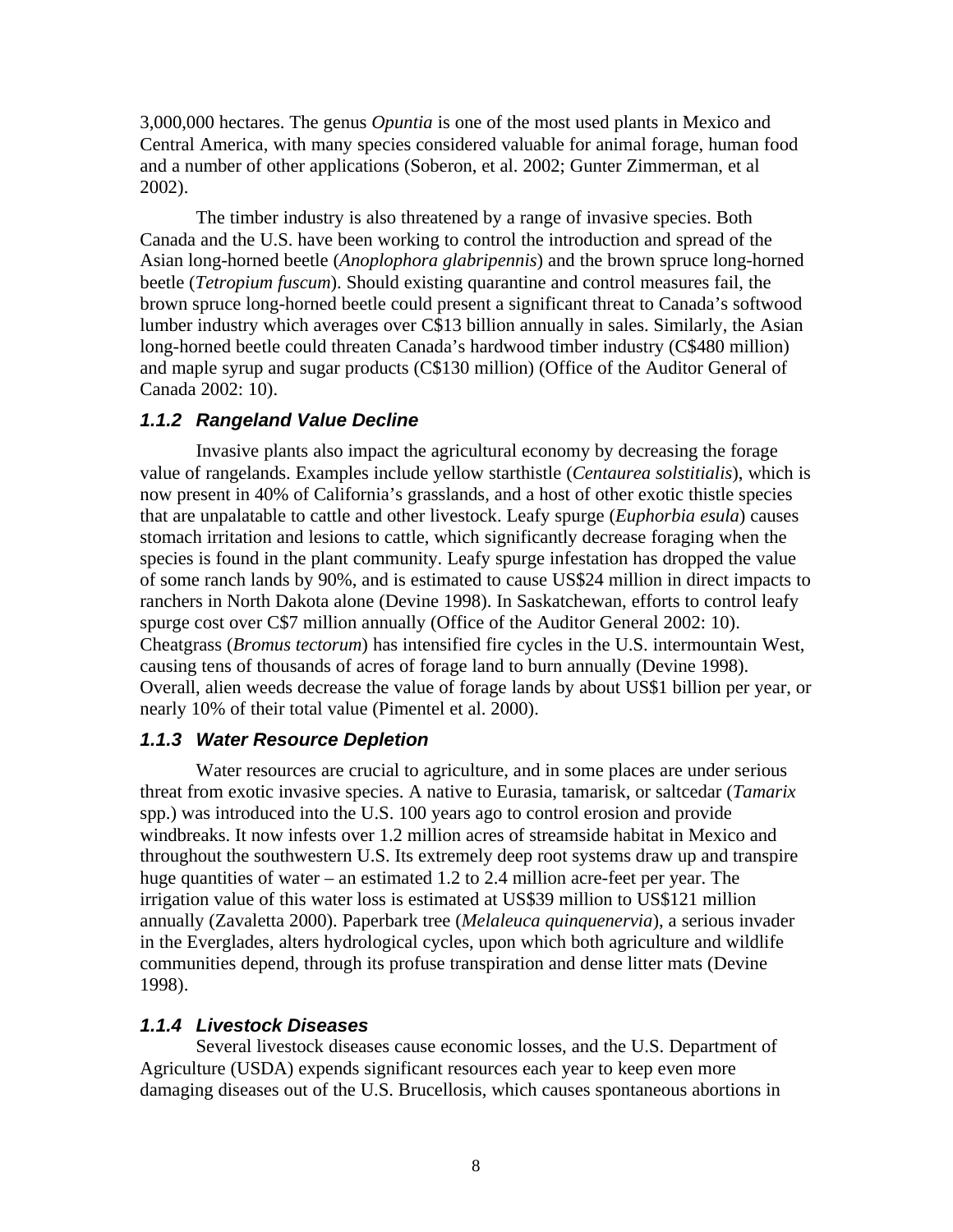3,000,000 hectares. The genus *Opuntia* is one of the most used plants in Mexico and Central America, with many species considered valuable for animal forage, human food and a number of other applications (Soberon, et al. 2002; Gunter Zimmerman, et al 2002).

The timber industry is also threatened by a range of invasive species. Both Canada and the U.S. have been working to control the introduction and spread of the Asian long-horned beetle (*Anoplophora glabripennis*) and the brown spruce long-horned beetle (*Tetropium fuscum*). Should existing quarantine and control measures fail, the brown spruce long-horned beetle could present a significant threat to Canada's softwood lumber industry which averages over C\$13 billion annually in sales. Similarly, the Asian long-horned beetle could threaten Canada's hardwood timber industry (C\$480 million) and maple syrup and sugar products (C\$130 million) (Office of the Auditor General of Canada 2002: 10).

### *1.1.2 Rangeland Value Decline*

Invasive plants also impact the agricultural economy by decreasing the forage value of rangelands. Examples include yellow starthistle (*Centaurea solstitialis*), which is now present in 40% of California's grasslands, and a host of other exotic thistle species that are unpalatable to cattle and other livestock. Leafy spurge (*Euphorbia esula*) causes stomach irritation and lesions to cattle, which significantly decrease foraging when the species is found in the plant community. Leafy spurge infestation has dropped the value of some ranch lands by 90%, and is estimated to cause US\$24 million in direct impacts to ranchers in North Dakota alone (Devine 1998). In Saskatchewan, efforts to control leafy spurge cost over C\$7 million annually (Office of the Auditor General 2002: 10). Cheatgrass (*Bromus tectorum*) has intensified fire cycles in the U.S. intermountain West, causing tens of thousands of acres of forage land to burn annually (Devine 1998). Overall, alien weeds decrease the value of forage lands by about US\$1 billion per year, or nearly 10% of their total value (Pimentel et al. 2000).

### *1.1.3 Water Resource Depletion*

Water resources are crucial to agriculture, and in some places are under serious threat from exotic invasive species. A native to Eurasia, tamarisk, or saltcedar (*Tamarix* spp.) was introduced into the U.S. 100 years ago to control erosion and provide windbreaks. It now infests over 1.2 million acres of streamside habitat in Mexico and throughout the southwestern U.S. Its extremely deep root systems draw up and transpire huge quantities of water – an estimated 1.2 to 2.4 million acre-feet per year. The irrigation value of this water loss is estimated at US\$39 million to US\$121 million annually (Zavaletta 2000). Paperbark tree (*Melaleuca quinquenervia*), a serious invader in the Everglades, alters hydrological cycles, upon which both agriculture and wildlife communities depend, through its profuse transpiration and dense litter mats (Devine 1998).

### *1.1.4 Livestock Diseases*

Several livestock diseases cause economic losses, and the U.S. Department of Agriculture (USDA) expends significant resources each year to keep even more damaging diseases out of the U.S. Brucellosis, which causes spontaneous abortions in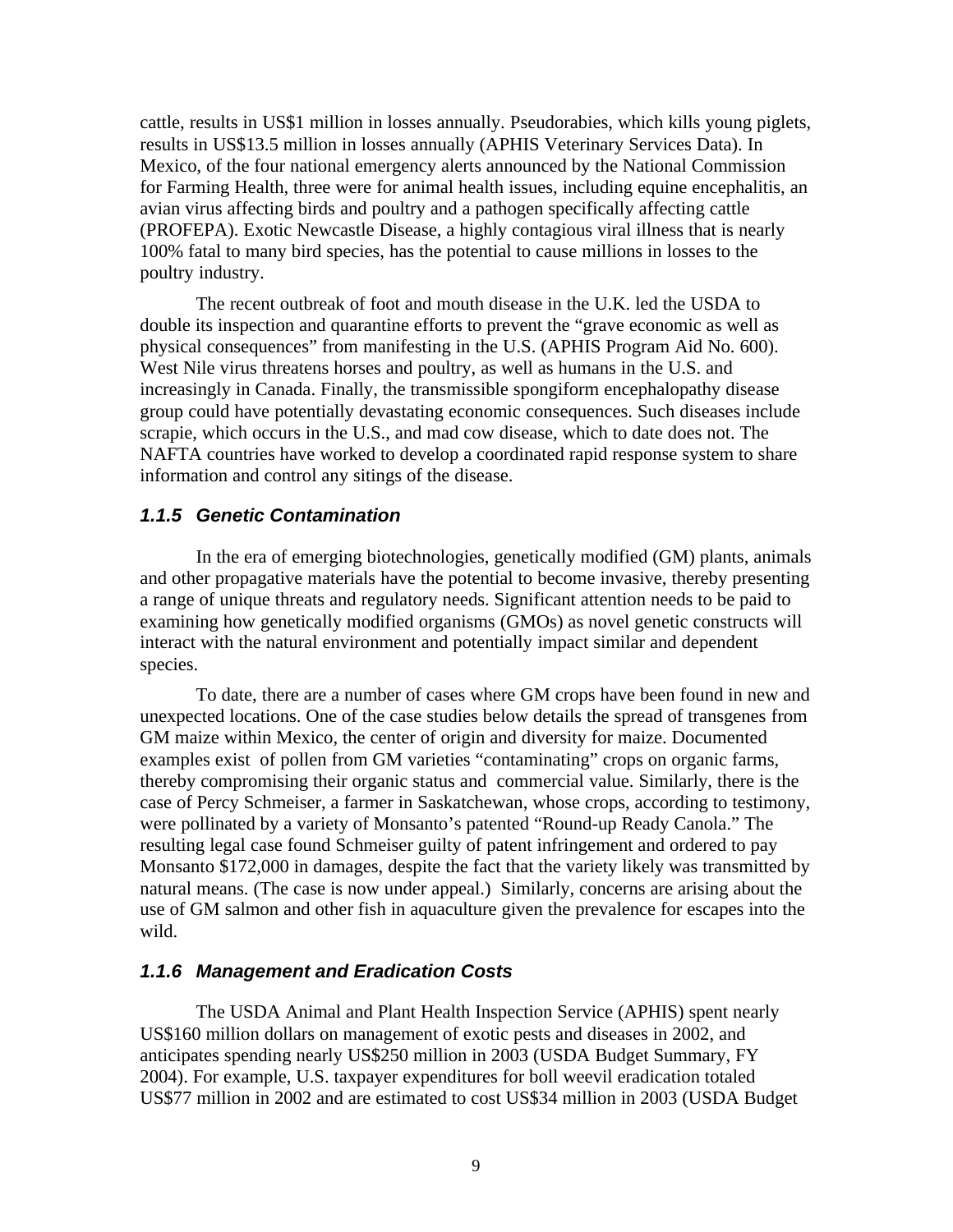cattle, results in US\$1 million in losses annually. Pseudorabies, which kills young piglets, results in US\$13.5 million in losses annually (APHIS Veterinary Services Data). In Mexico, of the four national emergency alerts announced by the National Commission for Farming Health, three were for animal health issues, including equine encephalitis, an avian virus affecting birds and poultry and a pathogen specifically affecting cattle (PROFEPA). Exotic Newcastle Disease, a highly contagious viral illness that is nearly 100% fatal to many bird species, has the potential to cause millions in losses to the poultry industry.

The recent outbreak of foot and mouth disease in the U.K. led the USDA to double its inspection and quarantine efforts to prevent the "grave economic as well as physical consequences" from manifesting in the U.S. (APHIS Program Aid No. 600). West Nile virus threatens horses and poultry, as well as humans in the U.S. and increasingly in Canada. Finally, the transmissible spongiform encephalopathy disease group could have potentially devastating economic consequences. Such diseases include scrapie, which occurs in the U.S., and mad cow disease, which to date does not. The NAFTA countries have worked to develop a coordinated rapid response system to share information and control any sitings of the disease.

### *1.1.5 Genetic Contamination*

In the era of emerging biotechnologies, genetically modified (GM) plants, animals and other propagative materials have the potential to become invasive, thereby presenting a range of unique threats and regulatory needs. Significant attention needs to be paid to examining how genetically modified organisms (GMOs) as novel genetic constructs will interact with the natural environment and potentially impact similar and dependent species.

To date, there are a number of cases where GM crops have been found in new and unexpected locations. One of the case studies below details the spread of transgenes from GM maize within Mexico, the center of origin and diversity for maize. Documented examples exist of pollen from GM varieties "contaminating" crops on organic farms, thereby compromising their organic status and commercial value. Similarly, there is the case of Percy Schmeiser, a farmer in Saskatchewan, whose crops, according to testimony, were pollinated by a variety of Monsanto's patented "Round-up Ready Canola." The resulting legal case found Schmeiser guilty of patent infringement and ordered to pay Monsanto \$172,000 in damages, despite the fact that the variety likely was transmitted by natural means. (The case is now under appeal.) Similarly, concerns are arising about the use of GM salmon and other fish in aquaculture given the prevalence for escapes into the wild.

### *1.1.6 Management and Eradication Costs*

The USDA Animal and Plant Health Inspection Service (APHIS) spent nearly US\$160 million dollars on management of exotic pests and diseases in 2002, and anticipates spending nearly US\$250 million in 2003 (USDA Budget Summary, FY 2004). For example, U.S. taxpayer expenditures for boll weevil eradication totaled US\$77 million in 2002 and are estimated to cost US\$34 million in 2003 (USDA Budget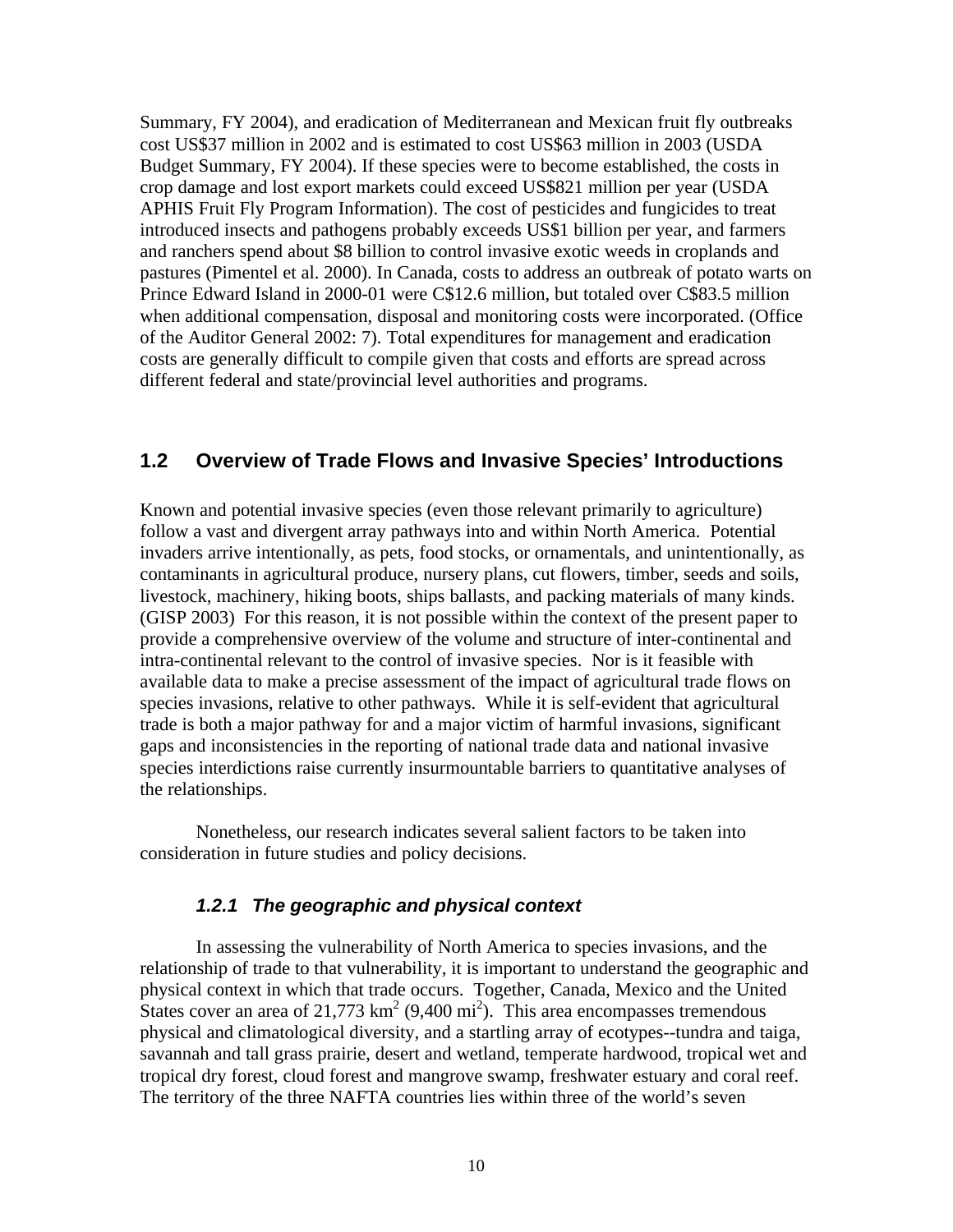Summary, FY 2004), and eradication of Mediterranean and Mexican fruit fly outbreaks cost US\$37 million in 2002 and is estimated to cost US\$63 million in 2003 (USDA Budget Summary, FY 2004). If these species were to become established, the costs in crop damage and lost export markets could exceed US\$821 million per year (USDA APHIS Fruit Fly Program Information). The cost of pesticides and fungicides to treat introduced insects and pathogens probably exceeds US\$1 billion per year, and farmers and ranchers spend about \$8 billion to control invasive exotic weeds in croplands and pastures (Pimentel et al. 2000). In Canada, costs to address an outbreak of potato warts on Prince Edward Island in 2000-01 were C\$12.6 million, but totaled over C\$83.5 million when additional compensation, disposal and monitoring costs were incorporated. (Office of the Auditor General 2002: 7). Total expenditures for management and eradication costs are generally difficult to compile given that costs and efforts are spread across different federal and state/provincial level authorities and programs.

### **1.2 Overview of Trade Flows and Invasive Species' Introductions**

Known and potential invasive species (even those relevant primarily to agriculture) follow a vast and divergent array pathways into and within North America. Potential invaders arrive intentionally, as pets, food stocks, or ornamentals, and unintentionally, as contaminants in agricultural produce, nursery plans, cut flowers, timber, seeds and soils, livestock, machinery, hiking boots, ships ballasts, and packing materials of many kinds. (GISP 2003) For this reason, it is not possible within the context of the present paper to provide a comprehensive overview of the volume and structure of inter-continental and intra-continental relevant to the control of invasive species. Nor is it feasible with available data to make a precise assessment of the impact of agricultural trade flows on species invasions, relative to other pathways. While it is self-evident that agricultural trade is both a major pathway for and a major victim of harmful invasions, significant gaps and inconsistencies in the reporting of national trade data and national invasive species interdictions raise currently insurmountable barriers to quantitative analyses of the relationships.

Nonetheless, our research indicates several salient factors to be taken into consideration in future studies and policy decisions.

#### *1.2.1 The geographic and physical context*

In assessing the vulnerability of North America to species invasions, and the relationship of trade to that vulnerability, it is important to understand the geographic and physical context in which that trade occurs. Together, Canada, Mexico and the United States cover an area of  $21,773 \text{ km}^2 (9,400 \text{ mi}^2)$ . This area encompasses tremendous physical and climatological diversity, and a startling array of ecotypes--tundra and taiga, savannah and tall grass prairie, desert and wetland, temperate hardwood, tropical wet and tropical dry forest, cloud forest and mangrove swamp, freshwater estuary and coral reef. The territory of the three NAFTA countries lies within three of the world's seven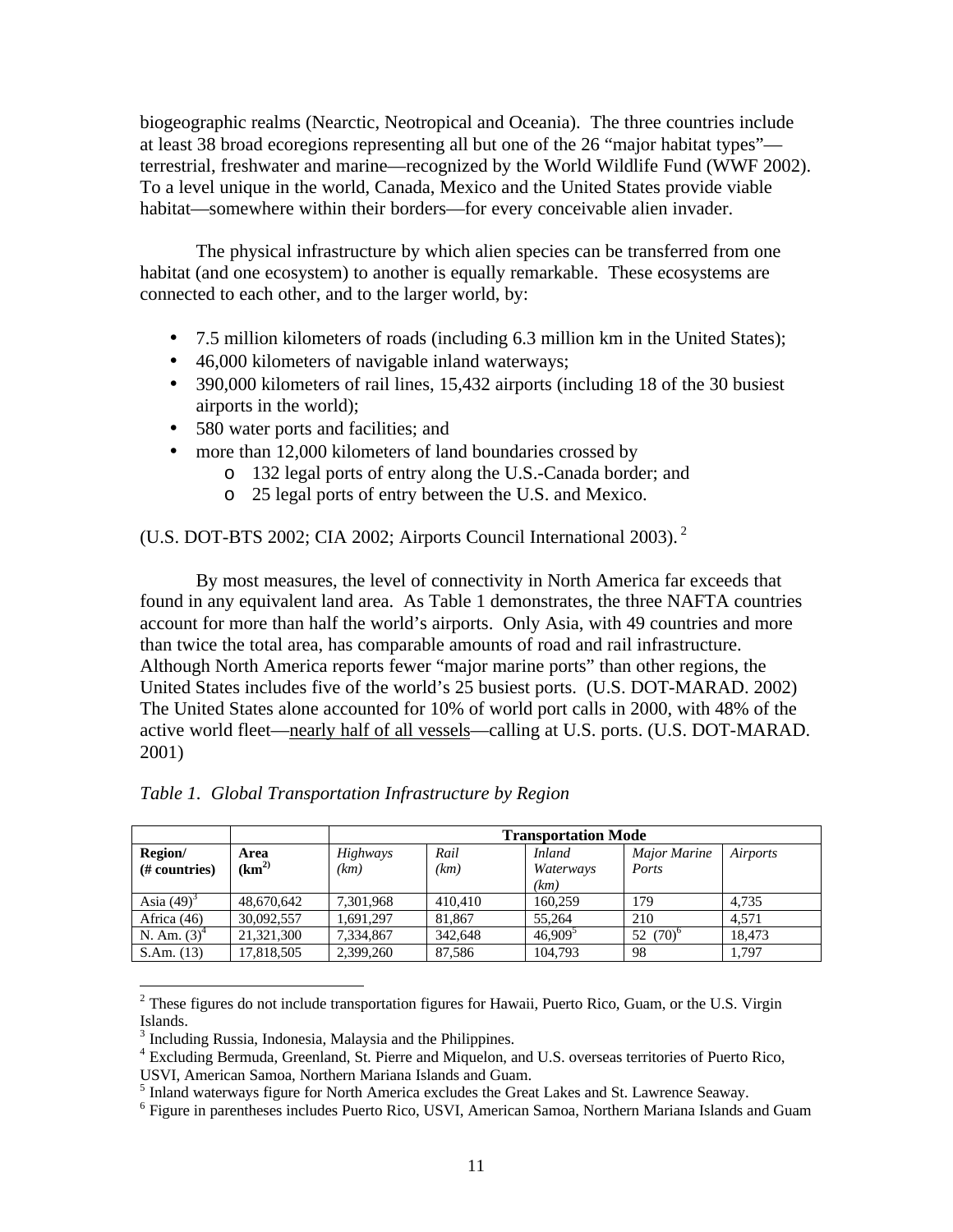biogeographic realms (Nearctic, Neotropical and Oceania). The three countries include at least 38 broad ecoregions representing all but one of the 26 "major habitat types" terrestrial, freshwater and marine—recognized by the World Wildlife Fund (WWF 2002). To a level unique in the world, Canada, Mexico and the United States provide viable habitat—somewhere within their borders—for every conceivable alien invader.

The physical infrastructure by which alien species can be transferred from one habitat (and one ecosystem) to another is equally remarkable. These ecosystems are connected to each other, and to the larger world, by:

- 7.5 million kilometers of roads (including 6.3 million km in the United States);
- 46,000 kilometers of navigable inland waterways;
- 390,000 kilometers of rail lines, 15,432 airports (including 18 of the 30 busiest airports in the world);
- 580 water ports and facilities; and
- more than 12,000 kilometers of land boundaries crossed by
	- o 132 legal ports of entry along the U.S.-Canada border; and
	- o 25 legal ports of entry between the U.S. and Mexico.

(U.S. DOT-BTS 2002; CIA 2002; Airports Council International 2003). <sup>2</sup>

By most measures, the level of connectivity in North America far exceeds that found in any equivalent land area. As Table 1 demonstrates, the three NAFTA countries account for more than half the world's airports. Only Asia, with 49 countries and more than twice the total area, has comparable amounts of road and rail infrastructure. Although North America reports fewer "major marine ports" than other regions, the United States includes five of the world's 25 busiest ports. (U.S. DOT-MARAD. 2002) The United States alone accounted for 10% of world port calls in 2000, with 48% of the active world fleet—nearly half of all vessels—calling at U.S. ports. (U.S. DOT-MARAD. 2001)

|                          |                            | <b>Transportation Mode</b> |              |                                    |                       |          |  |  |  |
|--------------------------|----------------------------|----------------------------|--------------|------------------------------------|-----------------------|----------|--|--|--|
| Region/<br>(# countries) | Area<br>(km <sup>2</sup> ) | <b>Highways</b><br>(km)    | Rail<br>(km) | <i>Inland</i><br>Waterways<br>(km) | Major Marine<br>Ports | Airports |  |  |  |
| Asia $(49)^3$            | 48,670,642                 | 7,301,968                  | 410,410      | 160.259                            | 179                   | 4.735    |  |  |  |
| Africa $(46)$            | 30,092,557                 | 1.691.297                  | 81.867       | 55.264                             | 210                   | 4.571    |  |  |  |
| N. Am. $(3)^4$           | 21,321,300                 | 7,334,867                  | 342,648      | $46,909^5$                         | $(70)^6$<br>52        | 18.473   |  |  |  |
| S.Am. (13)               | 17,818,505                 | 2,399,260                  | 87.586       | 104.793                            | 98                    | 1.797    |  |  |  |

*Table 1. Global Transportation Infrastructure by Region*

 $2$  These figures do not include transportation figures for Hawaii, Puerto Rico, Guam, or the U.S. Virgin Islands.

<sup>&</sup>lt;sup>3</sup> Including Russia, Indonesia, Malaysia and the Philippines.

<sup>&</sup>lt;sup>4</sup> Excluding Bermuda, Greenland, St. Pierre and Miquelon, and U.S. overseas territories of Puerto Rico,

USVI, American Samoa, Northern Mariana Islands and Guam.

<sup>&</sup>lt;sup>5</sup> Inland waterways figure for North America excludes the Great Lakes and St. Lawrence Seaway.

<sup>&</sup>lt;sup>6</sup> Figure in parentheses includes Puerto Rico, USVI, American Samoa, Northern Mariana Islands and Guam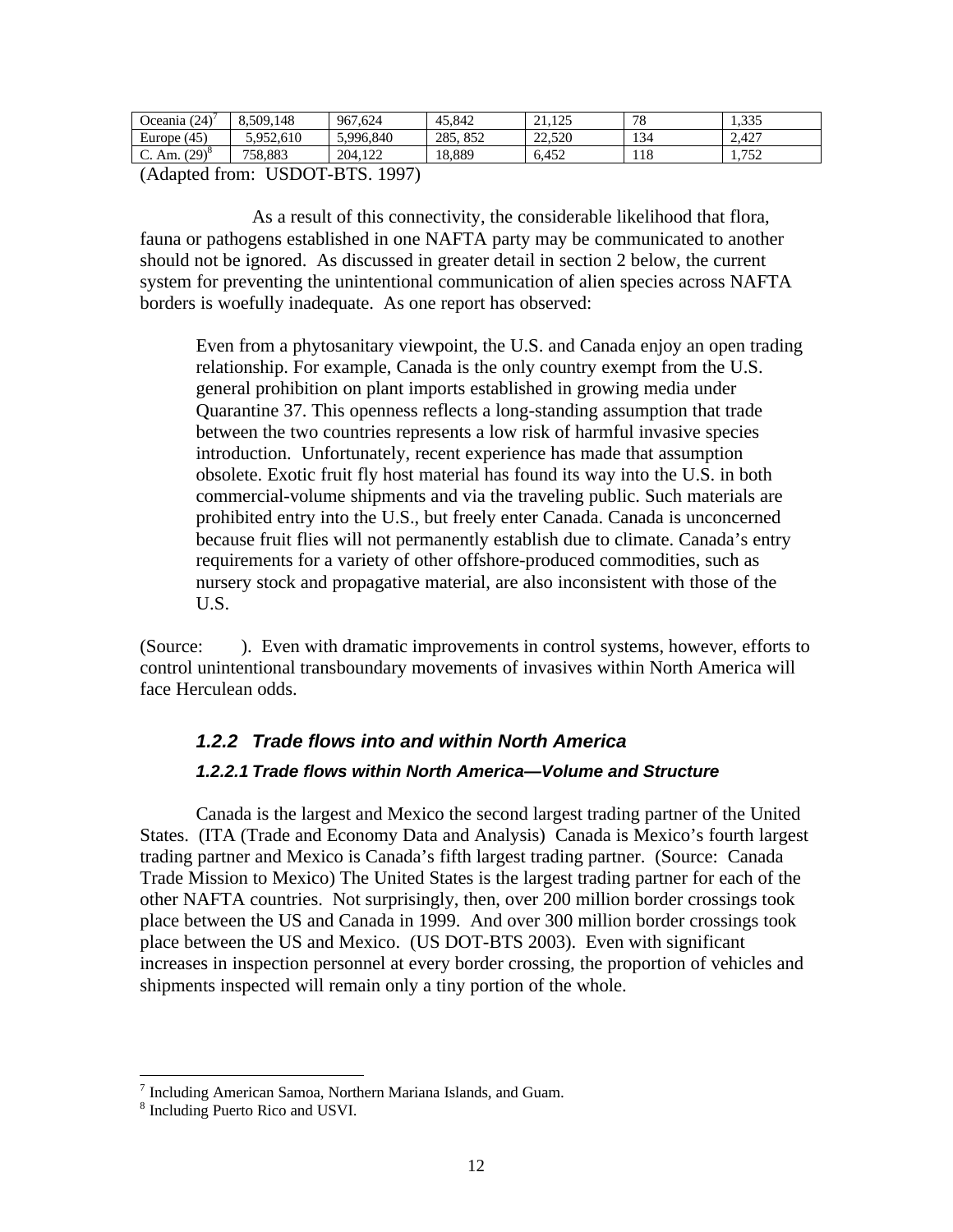| (24)<br>Jceania († | 8,509,148 | 967.<br>.624 | 45,842      | $1 \cap F$<br>$^{\sim}$<br>----- | 78               | 225<br>1.JJJ           |
|--------------------|-----------|--------------|-------------|----------------------------------|------------------|------------------------|
| Europe $(45)$      | 5.952.610 | 5,996,840    | 285.<br>852 | 22.520                           | 134              | 2.427                  |
| دەن/<br>C. Am.     | 758.883   | 204.122      | 18.889      | 6.452                            | <b>10</b><br>110 | 750<br>1. <i>1 J L</i> |

(Adapted from: USDOT-BTS. 1997)

As a result of this connectivity, the considerable likelihood that flora, fauna or pathogens established in one NAFTA party may be communicated to another should not be ignored. As discussed in greater detail in section 2 below, the current system for preventing the unintentional communication of alien species across NAFTA borders is woefully inadequate. As one report has observed:

Even from a phytosanitary viewpoint, the U.S. and Canada enjoy an open trading relationship. For example, Canada is the only country exempt from the U.S. general prohibition on plant imports established in growing media under Quarantine 37. This openness reflects a long-standing assumption that trade between the two countries represents a low risk of harmful invasive species introduction. Unfortunately, recent experience has made that assumption obsolete. Exotic fruit fly host material has found its way into the U.S. in both commercial-volume shipments and via the traveling public. Such materials are prohibited entry into the U.S., but freely enter Canada. Canada is unconcerned because fruit flies will not permanently establish due to climate. Canada's entry requirements for a variety of other offshore-produced commodities, such as nursery stock and propagative material, are also inconsistent with those of the U.S.

(Source: ). Even with dramatic improvements in control systems, however, efforts to control unintentional transboundary movements of invasives within North America will face Herculean odds.

# *1.2.2 Trade flows into and within North America 1.2.2.1 Trade flows within North America—Volume and Structure*

Canada is the largest and Mexico the second largest trading partner of the United States. (ITA (Trade and Economy Data and Analysis) Canada is Mexico's fourth largest trading partner and Mexico is Canada's fifth largest trading partner. (Source: Canada Trade Mission to Mexico) The United States is the largest trading partner for each of the other NAFTA countries. Not surprisingly, then, over 200 million border crossings took place between the US and Canada in 1999. And over 300 million border crossings took place between the US and Mexico. (US DOT-BTS 2003). Even with significant increases in inspection personnel at every border crossing, the proportion of vehicles and shipments inspected will remain only a tiny portion of the whole.

 7 Including American Samoa, Northern Mariana Islands, and Guam.

<sup>8</sup> Including Puerto Rico and USVI.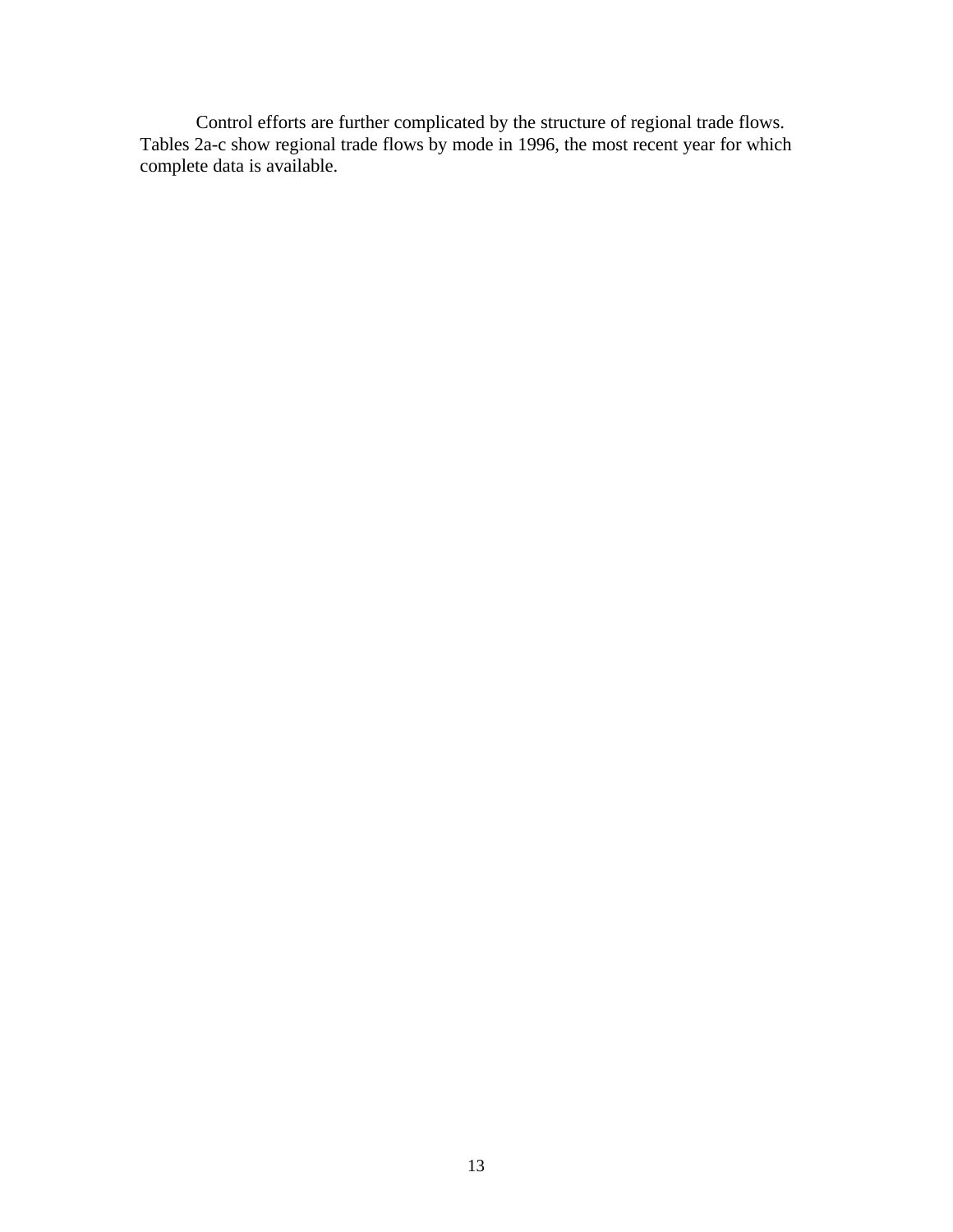Control efforts are further complicated by the structure of regional trade flows. Tables 2a-c show regional trade flows by mode in 1996, the most recent year for which complete data is available.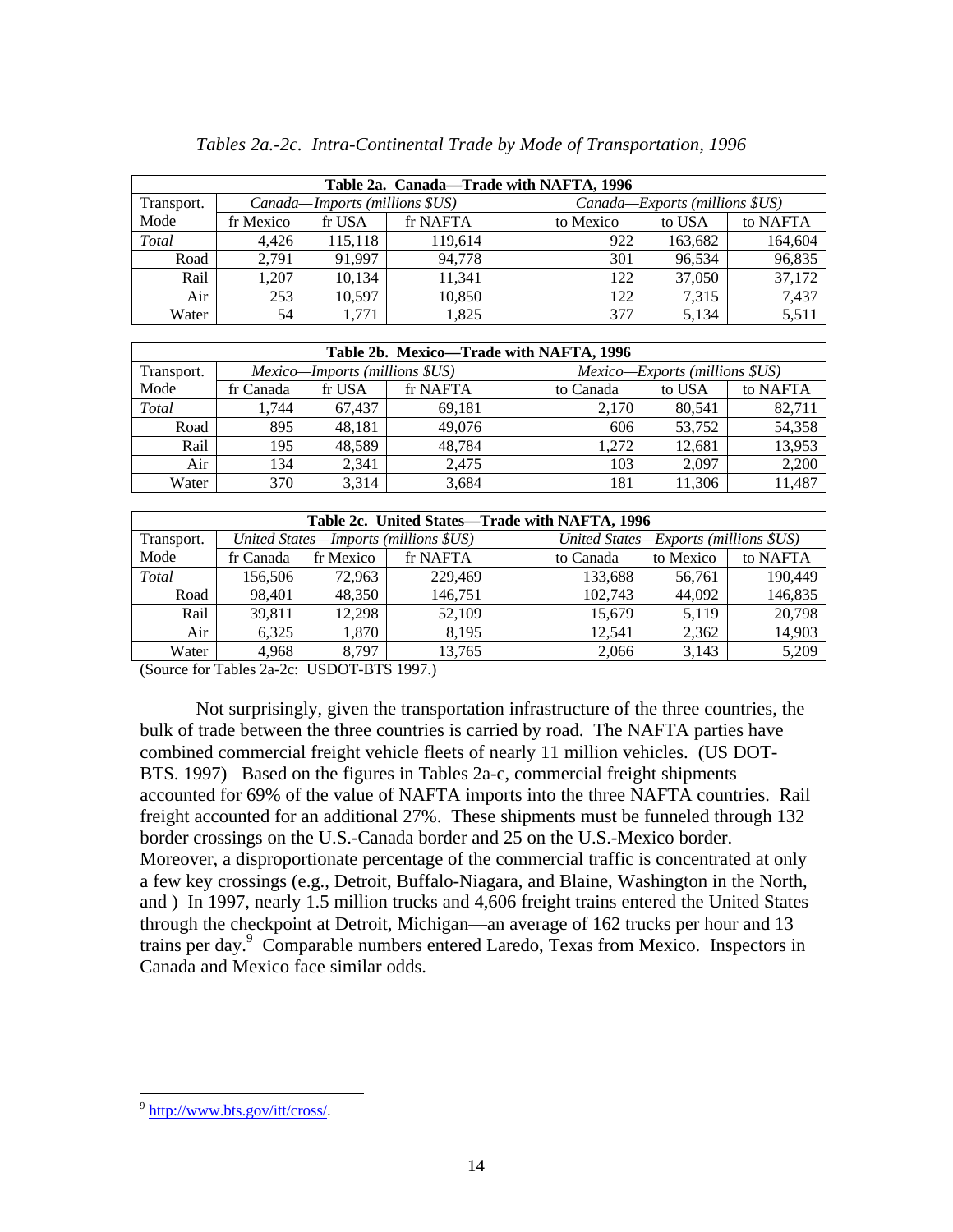| Table 2a. Canada—Trade with NAFTA, 1996 |           |                                |          |  |           |                                |          |  |  |  |  |  |  |
|-----------------------------------------|-----------|--------------------------------|----------|--|-----------|--------------------------------|----------|--|--|--|--|--|--|
| Transport.                              |           | Canada-Imports (millions \$US) |          |  |           | Canada—Exports (millions \$US) |          |  |  |  |  |  |  |
| Mode                                    | fr Mexico | fr USA                         | fr NAFTA |  | to Mexico | to USA                         | to NAFTA |  |  |  |  |  |  |
| Total                                   | 4.426     | 115,118                        | 119.614  |  | 922       | 163,682                        | 164,604  |  |  |  |  |  |  |
| Road                                    | 2.791     | 91.997                         | 94.778   |  | 301       | 96.534                         | 96,835   |  |  |  |  |  |  |
| Rail                                    | 1.207     | 10,134                         | 11.341   |  | 122       | 37,050                         | 37,172   |  |  |  |  |  |  |
| Air                                     | 253       | 10.597                         | 10.850   |  | 122       | 7.315                          | 7,437    |  |  |  |  |  |  |
| Water                                   | 54        | 1.771                          | 1,825    |  | 377       | 5,134                          | 5,511    |  |  |  |  |  |  |

|            | Table 2b. Mexico—Trade with NAFTA, 1996 |                                |          |  |           |                                       |          |  |  |  |  |  |  |  |
|------------|-----------------------------------------|--------------------------------|----------|--|-----------|---------------------------------------|----------|--|--|--|--|--|--|--|
| Transport. |                                         | Mexico-Imports (millions \$US) |          |  |           | <i>Mexico—Exports (millions \$US)</i> |          |  |  |  |  |  |  |  |
| Mode       | fr Canada                               | fr USA                         | fr NAFTA |  | to Canada | to USA                                | to NAFTA |  |  |  |  |  |  |  |
| Total      | 1,744                                   | 67.437                         | 69.181   |  | 2.170     | 80.541                                | 82,711   |  |  |  |  |  |  |  |
| Road       | 895                                     | 48.181                         | 49,076   |  | 606       | 53,752                                | 54,358   |  |  |  |  |  |  |  |
| Rail       | 195                                     | 48,589                         | 48,784   |  | 1.272     | 12.681                                | 13,953   |  |  |  |  |  |  |  |
| Air        | 134                                     | 2.341                          | 2.475    |  | 103       | 2.097                                 | 2,200    |  |  |  |  |  |  |  |
| Water      | 370                                     | 3.314                          | 3,684    |  | 181       | 11.306                                | 11,487   |  |  |  |  |  |  |  |

|            | Table 2c. United States—Trade with NAFTA, 1996 |           |                                       |  |           |                                       |          |  |  |  |  |  |  |  |  |
|------------|------------------------------------------------|-----------|---------------------------------------|--|-----------|---------------------------------------|----------|--|--|--|--|--|--|--|--|
| Transport. |                                                |           | United States—Imports (millions \$US) |  |           | United States—Exports (millions \$US) |          |  |  |  |  |  |  |  |  |
| Mode       | fr Canada                                      | fr Mexico | fr NAFTA                              |  | to Canada | to Mexico                             | to NAFTA |  |  |  |  |  |  |  |  |
| Total      | 156,506                                        | 72.963    | 229,469                               |  | 133,688   | 56,761                                | 190,449  |  |  |  |  |  |  |  |  |
| Road       | 98,401                                         | 48,350    | 146.751                               |  | 102,743   | 44.092                                | 146,835  |  |  |  |  |  |  |  |  |
| Rail       | 39,811                                         | 12,298    | 52,109                                |  | 15,679    | 5,119                                 | 20,798   |  |  |  |  |  |  |  |  |
| Air        | 6.325                                          | 1,870     | 8.195                                 |  | 12,541    | 2,362                                 | 14,903   |  |  |  |  |  |  |  |  |
| Water      | 4.968                                          | 8.797     | 13,765                                |  | 2,066     | 3.143                                 | 5,209    |  |  |  |  |  |  |  |  |

(Source for Tables 2a-2c: USDOT-BTS 1997.)

Not surprisingly, given the transportation infrastructure of the three countries, the bulk of trade between the three countries is carried by road. The NAFTA parties have combined commercial freight vehicle fleets of nearly 11 million vehicles. (US DOT-BTS. 1997) Based on the figures in Tables 2a-c, commercial freight shipments accounted for 69% of the value of NAFTA imports into the three NAFTA countries. Rail freight accounted for an additional 27%. These shipments must be funneled through 132 border crossings on the U.S.-Canada border and 25 on the U.S.-Mexico border. Moreover, a disproportionate percentage of the commercial traffic is concentrated at only a few key crossings (e.g., Detroit, Buffalo-Niagara, and Blaine, Washington in the North, and ) In 1997, nearly 1.5 million trucks and 4,606 freight trains entered the United States through the checkpoint at Detroit, Michigan—an average of 162 trucks per hour and 13 trains per day.<sup>9</sup> Comparable numbers entered Laredo, Texas from Mexico. Inspectors in Canada and Mexico face similar odds.

<sup>&</sup>lt;sup>9</sup> http://www.bts.gov/itt/cross/.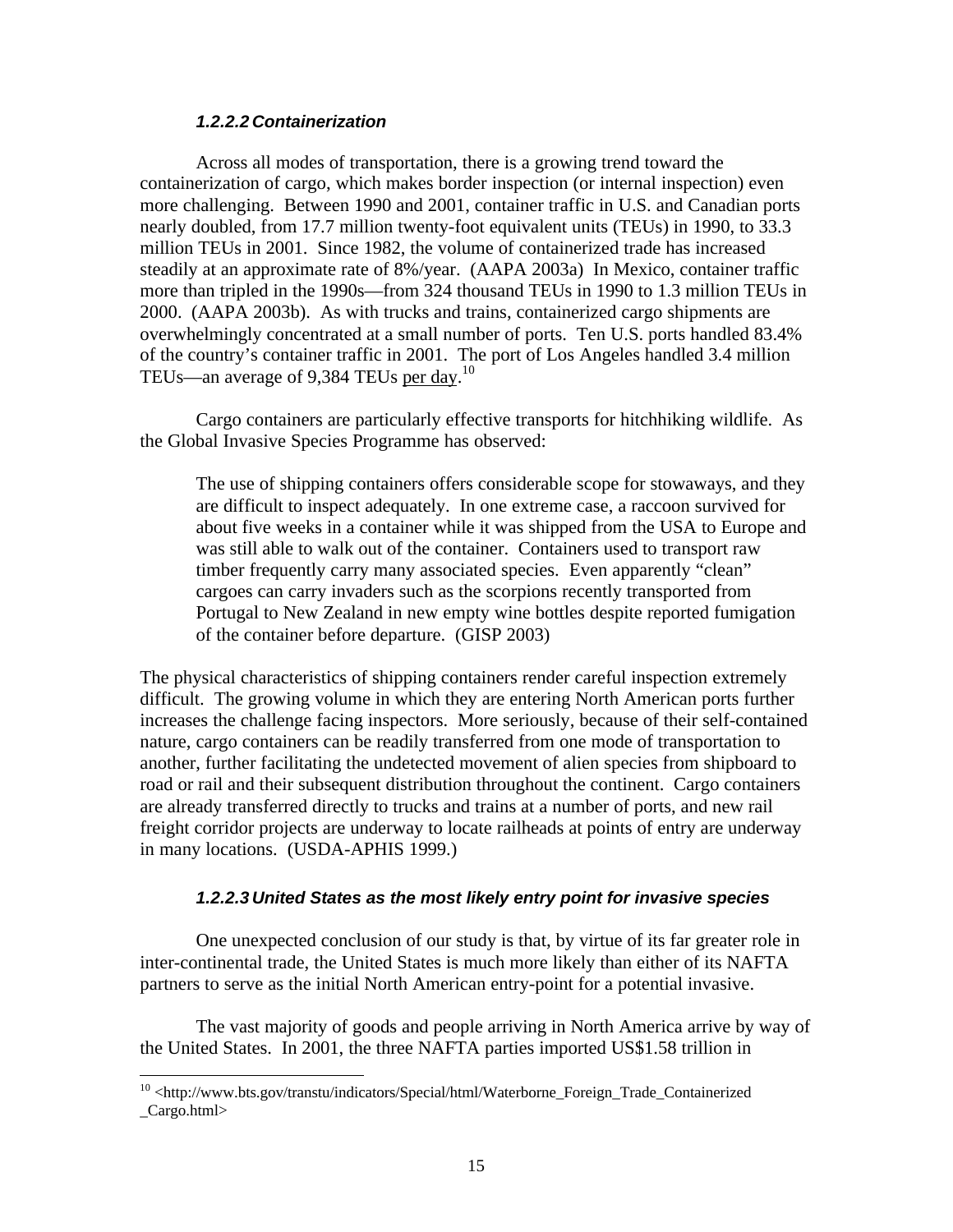#### *1.2.2.2 Containerization*

Across all modes of transportation, there is a growing trend toward the containerization of cargo, which makes border inspection (or internal inspection) even more challenging. Between 1990 and 2001, container traffic in U.S. and Canadian ports nearly doubled, from 17.7 million twenty-foot equivalent units (TEUs) in 1990, to 33.3 million TEUs in 2001. Since 1982, the volume of containerized trade has increased steadily at an approximate rate of 8%/year. (AAPA 2003a) In Mexico, container traffic more than tripled in the 1990s—from 324 thousand TEUs in 1990 to 1.3 million TEUs in 2000. (AAPA 2003b). As with trucks and trains, containerized cargo shipments are overwhelmingly concentrated at a small number of ports. Ten U.S. ports handled 83.4% of the country's container traffic in 2001. The port of Los Angeles handled 3.4 million TEUs—an average of 9,384 TEUs per day.<sup>10</sup>

Cargo containers are particularly effective transports for hitchhiking wildlife. As the Global Invasive Species Programme has observed:

The use of shipping containers offers considerable scope for stowaways, and they are difficult to inspect adequately. In one extreme case, a raccoon survived for about five weeks in a container while it was shipped from the USA to Europe and was still able to walk out of the container. Containers used to transport raw timber frequently carry many associated species. Even apparently "clean" cargoes can carry invaders such as the scorpions recently transported from Portugal to New Zealand in new empty wine bottles despite reported fumigation of the container before departure. (GISP 2003)

The physical characteristics of shipping containers render careful inspection extremely difficult. The growing volume in which they are entering North American ports further increases the challenge facing inspectors. More seriously, because of their self-contained nature, cargo containers can be readily transferred from one mode of transportation to another, further facilitating the undetected movement of alien species from shipboard to road or rail and their subsequent distribution throughout the continent. Cargo containers are already transferred directly to trucks and trains at a number of ports, and new rail freight corridor projects are underway to locate railheads at points of entry are underway in many locations. (USDA-APHIS 1999.)

#### *1.2.2.3 United States as the most likely entry point for invasive species*

One unexpected conclusion of our study is that, by virtue of its far greater role in inter-continental trade, the United States is much more likely than either of its NAFTA partners to serve as the initial North American entry-point for a potential invasive.

The vast majority of goods and people arriving in North America arrive by way of the United States. In 2001, the three NAFTA parties imported US\$1.58 trillion in

<sup>&</sup>lt;sup>10</sup> <http://www.bts.gov/transtu/indicators/Special/html/Waterborne\_Foreign\_Trade\_Containerized \_Cargo.html>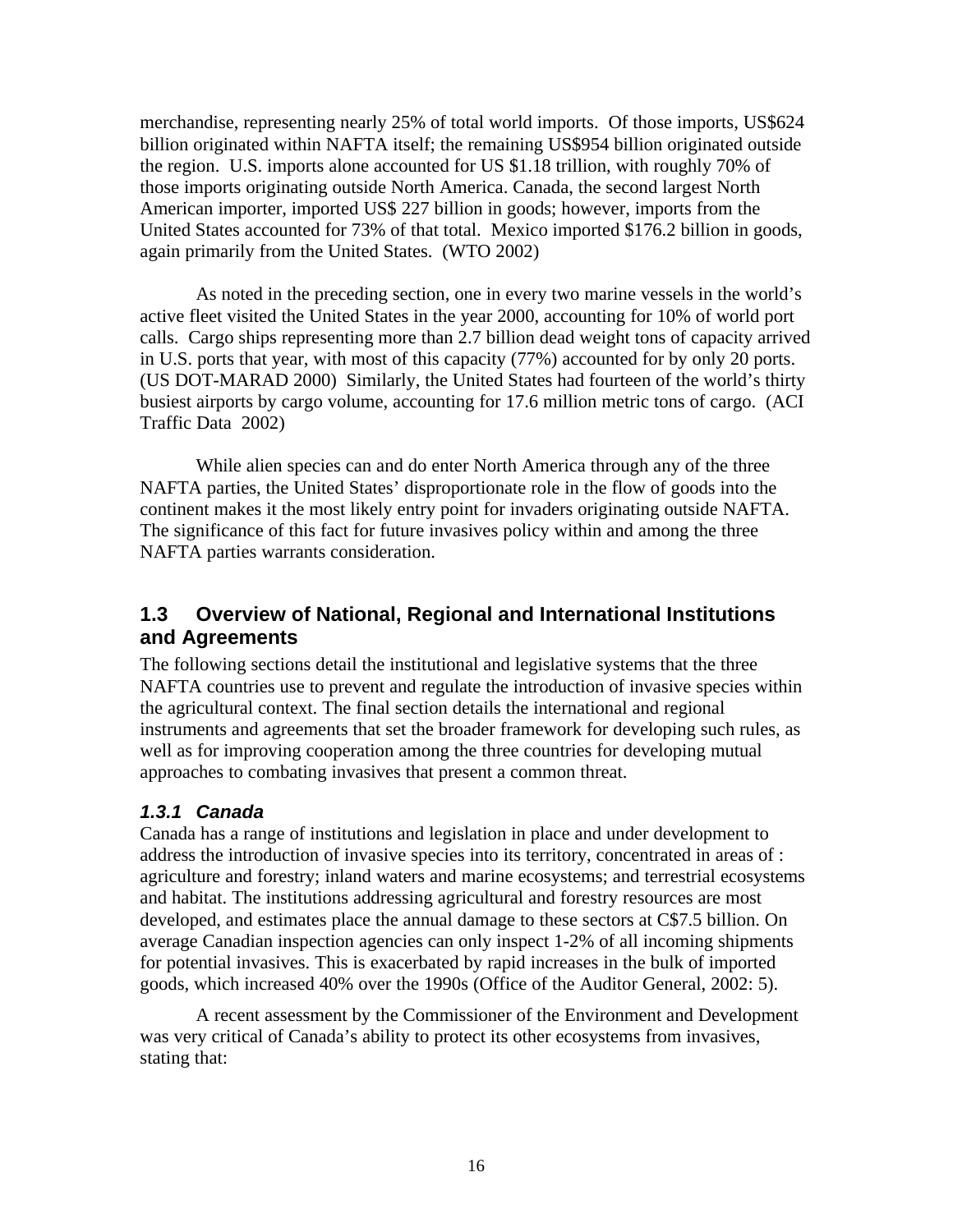merchandise, representing nearly 25% of total world imports. Of those imports, US\$624 billion originated within NAFTA itself; the remaining US\$954 billion originated outside the region. U.S. imports alone accounted for US \$1.18 trillion, with roughly 70% of those imports originating outside North America. Canada, the second largest North American importer, imported US\$ 227 billion in goods; however, imports from the United States accounted for 73% of that total. Mexico imported \$176.2 billion in goods, again primarily from the United States. (WTO 2002)

As noted in the preceding section, one in every two marine vessels in the world's active fleet visited the United States in the year 2000, accounting for 10% of world port calls. Cargo ships representing more than 2.7 billion dead weight tons of capacity arrived in U.S. ports that year, with most of this capacity (77%) accounted for by only 20 ports. (US DOT-MARAD 2000) Similarly, the United States had fourteen of the world's thirty busiest airports by cargo volume, accounting for 17.6 million metric tons of cargo. (ACI Traffic Data 2002)

While alien species can and do enter North America through any of the three NAFTA parties, the United States' disproportionate role in the flow of goods into the continent makes it the most likely entry point for invaders originating outside NAFTA. The significance of this fact for future invasives policy within and among the three NAFTA parties warrants consideration.

# **1.3 Overview of National, Regional and International Institutions and Agreements**

The following sections detail the institutional and legislative systems that the three NAFTA countries use to prevent and regulate the introduction of invasive species within the agricultural context. The final section details the international and regional instruments and agreements that set the broader framework for developing such rules, as well as for improving cooperation among the three countries for developing mutual approaches to combating invasives that present a common threat.

## *1.3.1 Canada*

Canada has a range of institutions and legislation in place and under development to address the introduction of invasive species into its territory, concentrated in areas of : agriculture and forestry; inland waters and marine ecosystems; and terrestrial ecosystems and habitat. The institutions addressing agricultural and forestry resources are most developed, and estimates place the annual damage to these sectors at C\$7.5 billion. On average Canadian inspection agencies can only inspect 1-2% of all incoming shipments for potential invasives. This is exacerbated by rapid increases in the bulk of imported goods, which increased 40% over the 1990s (Office of the Auditor General, 2002: 5).

A recent assessment by the Commissioner of the Environment and Development was very critical of Canada's ability to protect its other ecosystems from invasives, stating that: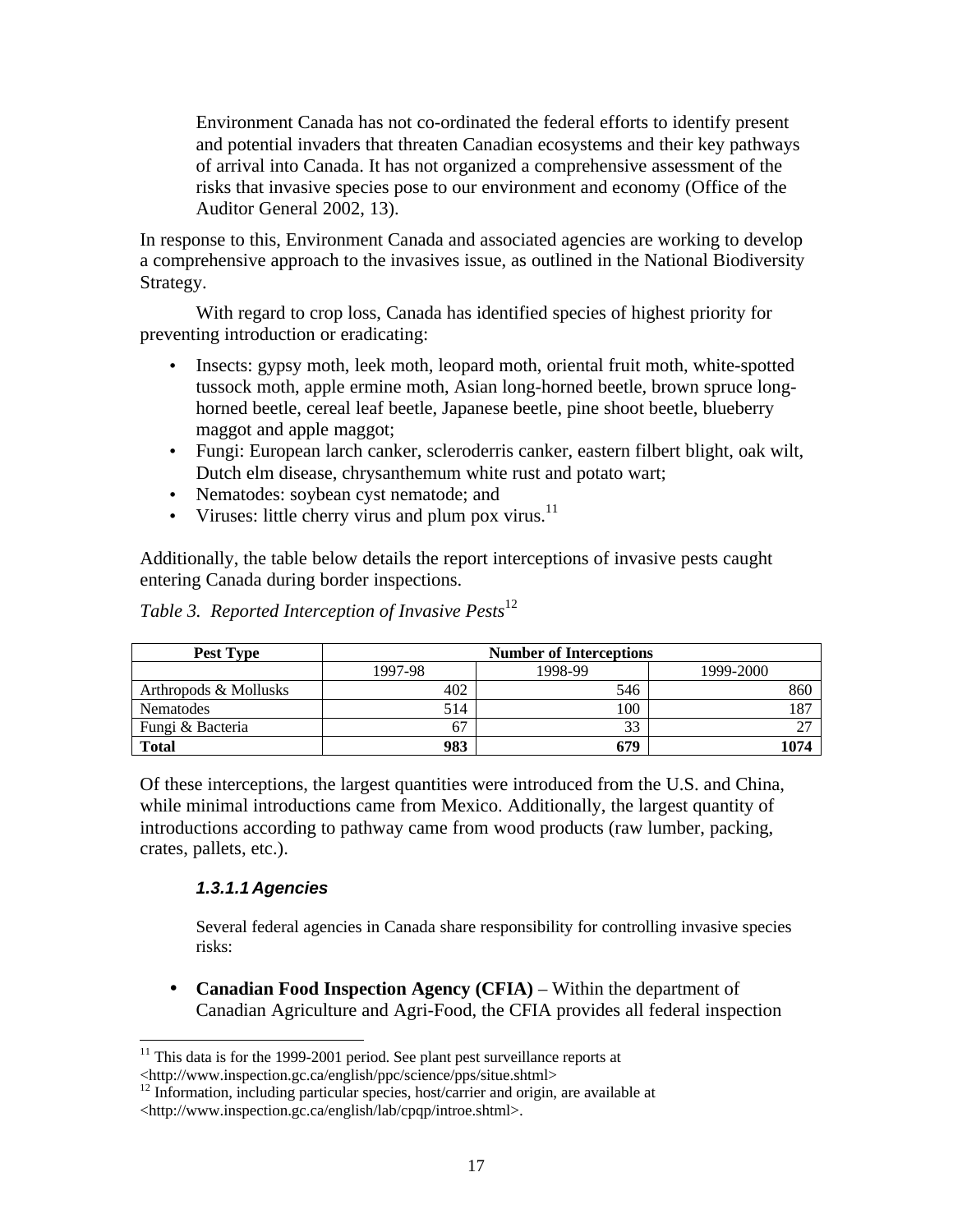Environment Canada has not co-ordinated the federal efforts to identify present and potential invaders that threaten Canadian ecosystems and their key pathways of arrival into Canada. It has not organized a comprehensive assessment of the risks that invasive species pose to our environment and economy (Office of the Auditor General 2002, 13).

In response to this, Environment Canada and associated agencies are working to develop a comprehensive approach to the invasives issue, as outlined in the National Biodiversity Strategy.

With regard to crop loss, Canada has identified species of highest priority for preventing introduction or eradicating:

- Insects: gypsy moth, leek moth, leopard moth, oriental fruit moth, white-spotted tussock moth, apple ermine moth, Asian long-horned beetle, brown spruce longhorned beetle, cereal leaf beetle, Japanese beetle, pine shoot beetle, blueberry maggot and apple maggot;
- Fungi: European larch canker, scleroderris canker, eastern filbert blight, oak wilt, Dutch elm disease, chrysanthemum white rust and potato wart;
- Nematodes: soybean cyst nematode; and
- Viruses: little cherry virus and plum pox virus. $11$

Additionally, the table below details the report interceptions of invasive pests caught entering Canada during border inspections.

| Pest Type             |         | <b>Number of Interceptions</b> |           |  |  |  |  |  |  |  |
|-----------------------|---------|--------------------------------|-----------|--|--|--|--|--|--|--|
|                       | 1997-98 | 1998-99                        | 1999-2000 |  |  |  |  |  |  |  |
| Arthropods & Mollusks | 402     | 546                            | 860       |  |  |  |  |  |  |  |
| Nematodes             | 514     | 100                            | 187       |  |  |  |  |  |  |  |
| Fungi & Bacteria      | 67      | 33                             | 27        |  |  |  |  |  |  |  |
| <b>Total</b>          | 983     | 679                            | 074       |  |  |  |  |  |  |  |

*Table 3. Reported Interception of Invasive Pests*<sup>12</sup>

Of these interceptions, the largest quantities were introduced from the U.S. and China, while minimal introductions came from Mexico. Additionally, the largest quantity of introductions according to pathway came from wood products (raw lumber, packing, crates, pallets, etc.).

### *1.3.1.1 Agencies*

Several federal agencies in Canada share responsibility for controlling invasive species risks:

• **Canadian Food Inspection Agency (CFIA)** – Within the department of Canadian Agriculture and Agri-Food, the CFIA provides all federal inspection

 $\overline{a}$  $11$  This data is for the 1999-2001 period. See plant pest surveillance reports at <http://www.inspection.gc.ca/english/ppc/science/pps/situe.shtml>

 $12$  Information, including particular species, host/carrier and origin, are available at <http://www.inspection.gc.ca/english/lab/cpqp/introe.shtml>.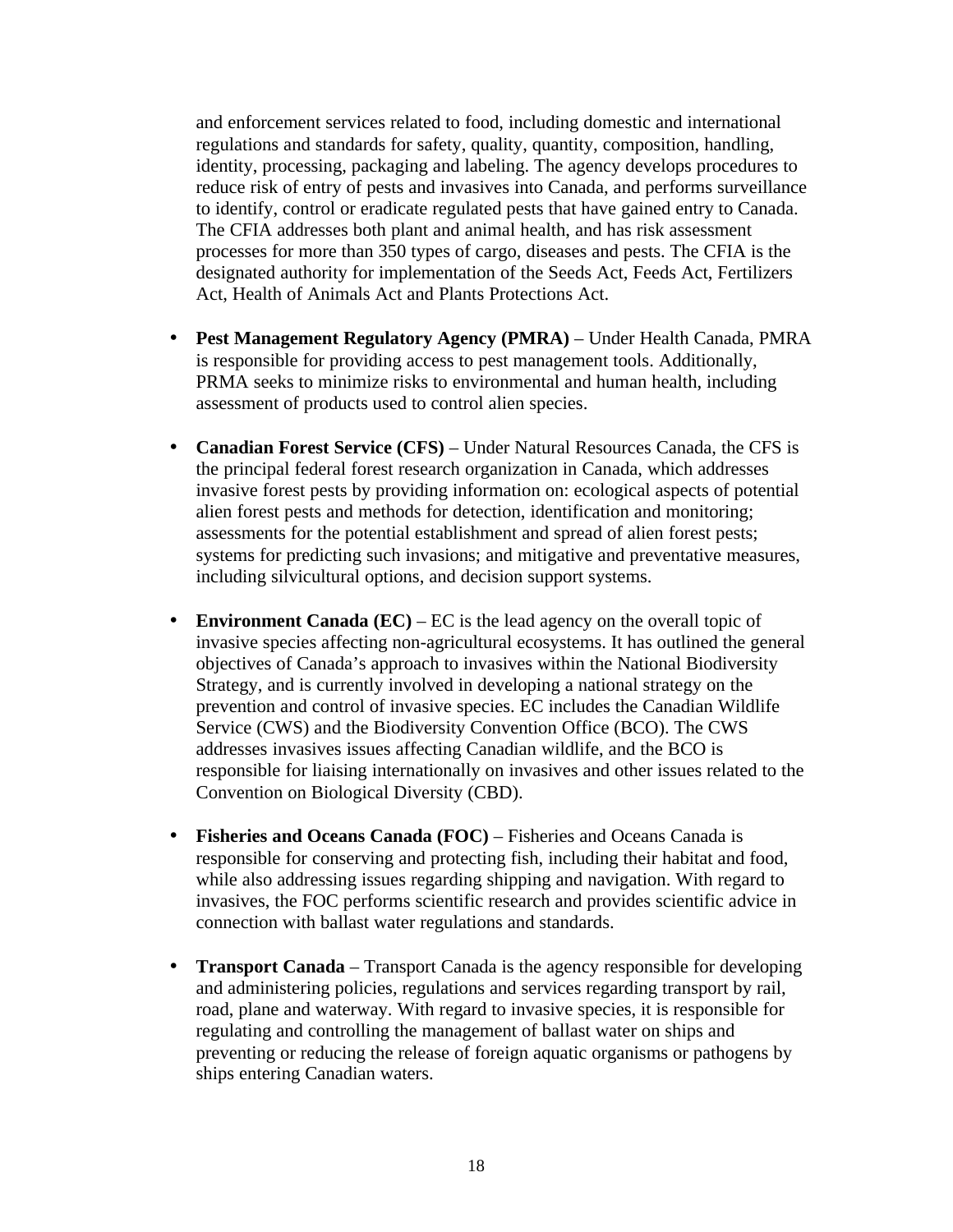and enforcement services related to food, including domestic and international regulations and standards for safety, quality, quantity, composition, handling, identity, processing, packaging and labeling. The agency develops procedures to reduce risk of entry of pests and invasives into Canada, and performs surveillance to identify, control or eradicate regulated pests that have gained entry to Canada. The CFIA addresses both plant and animal health, and has risk assessment processes for more than 350 types of cargo, diseases and pests. The CFIA is the designated authority for implementation of the Seeds Act, Feeds Act, Fertilizers Act, Health of Animals Act and Plants Protections Act.

- **Pest Management Regulatory Agency (PMRA)** Under Health Canada, PMRA is responsible for providing access to pest management tools. Additionally, PRMA seeks to minimize risks to environmental and human health, including assessment of products used to control alien species.
- **Canadian Forest Service (CFS)** Under Natural Resources Canada, the CFS is the principal federal forest research organization in Canada, which addresses invasive forest pests by providing information on: ecological aspects of potential alien forest pests and methods for detection, identification and monitoring; assessments for the potential establishment and spread of alien forest pests; systems for predicting such invasions; and mitigative and preventative measures, including silvicultural options, and decision support systems.
- **Environment Canada** (**EC**) EC is the lead agency on the overall topic of invasive species affecting non-agricultural ecosystems. It has outlined the general objectives of Canada's approach to invasives within the National Biodiversity Strategy, and is currently involved in developing a national strategy on the prevention and control of invasive species. EC includes the Canadian Wildlife Service (CWS) and the Biodiversity Convention Office (BCO). The CWS addresses invasives issues affecting Canadian wildlife, and the BCO is responsible for liaising internationally on invasives and other issues related to the Convention on Biological Diversity (CBD).
- **Fisheries and Oceans Canada (FOC)** Fisheries and Oceans Canada is responsible for conserving and protecting fish, including their habitat and food, while also addressing issues regarding shipping and navigation. With regard to invasives, the FOC performs scientific research and provides scientific advice in connection with ballast water regulations and standards.
- **Transport Canada** Transport Canada is the agency responsible for developing and administering policies, regulations and services regarding transport by rail, road, plane and waterway. With regard to invasive species, it is responsible for regulating and controlling the management of ballast water on ships and preventing or reducing the release of foreign aquatic organisms or pathogens by ships entering Canadian waters.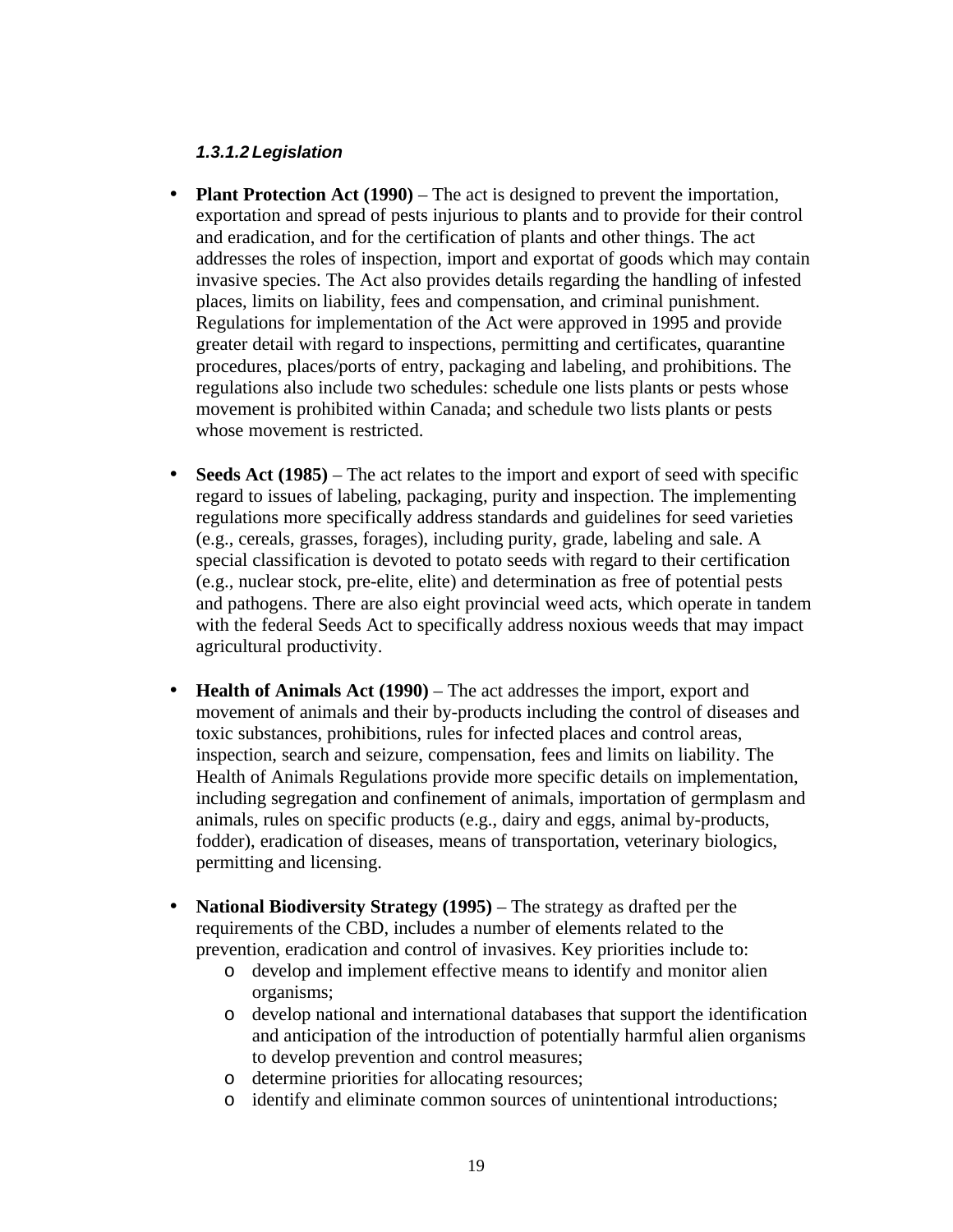### *1.3.1.2 Legislation*

- **Plant Protection Act (1990)** The act is designed to prevent the importation, exportation and spread of pests injurious to plants and to provide for their control and eradication, and for the certification of plants and other things. The act addresses the roles of inspection, import and exportat of goods which may contain invasive species. The Act also provides details regarding the handling of infested places, limits on liability, fees and compensation, and criminal punishment. Regulations for implementation of the Act were approved in 1995 and provide greater detail with regard to inspections, permitting and certificates, quarantine procedures, places/ports of entry, packaging and labeling, and prohibitions. The regulations also include two schedules: schedule one lists plants or pests whose movement is prohibited within Canada; and schedule two lists plants or pests whose movement is restricted.
- **Seeds Act (1985)** The act relates to the import and export of seed with specific regard to issues of labeling, packaging, purity and inspection. The implementing regulations more specifically address standards and guidelines for seed varieties (e.g., cereals, grasses, forages), including purity, grade, labeling and sale. A special classification is devoted to potato seeds with regard to their certification (e.g., nuclear stock, pre-elite, elite) and determination as free of potential pests and pathogens. There are also eight provincial weed acts, which operate in tandem with the federal Seeds Act to specifically address noxious weeds that may impact agricultural productivity.
- **Health of Animals Act (1990)** The act addresses the import, export and movement of animals and their by-products including the control of diseases and toxic substances, prohibitions, rules for infected places and control areas, inspection, search and seizure, compensation, fees and limits on liability. The Health of Animals Regulations provide more specific details on implementation, including segregation and confinement of animals, importation of germplasm and animals, rules on specific products (e.g., dairy and eggs, animal by-products, fodder), eradication of diseases, means of transportation, veterinary biologics, permitting and licensing.
- **National Biodiversity Strategy (1995)** The strategy as drafted per the requirements of the CBD, includes a number of elements related to the prevention, eradication and control of invasives. Key priorities include to:
	- o develop and implement effective means to identify and monitor alien organisms;
	- o develop national and international databases that support the identification and anticipation of the introduction of potentially harmful alien organisms to develop prevention and control measures;
	- o determine priorities for allocating resources;
	- o identify and eliminate common sources of unintentional introductions;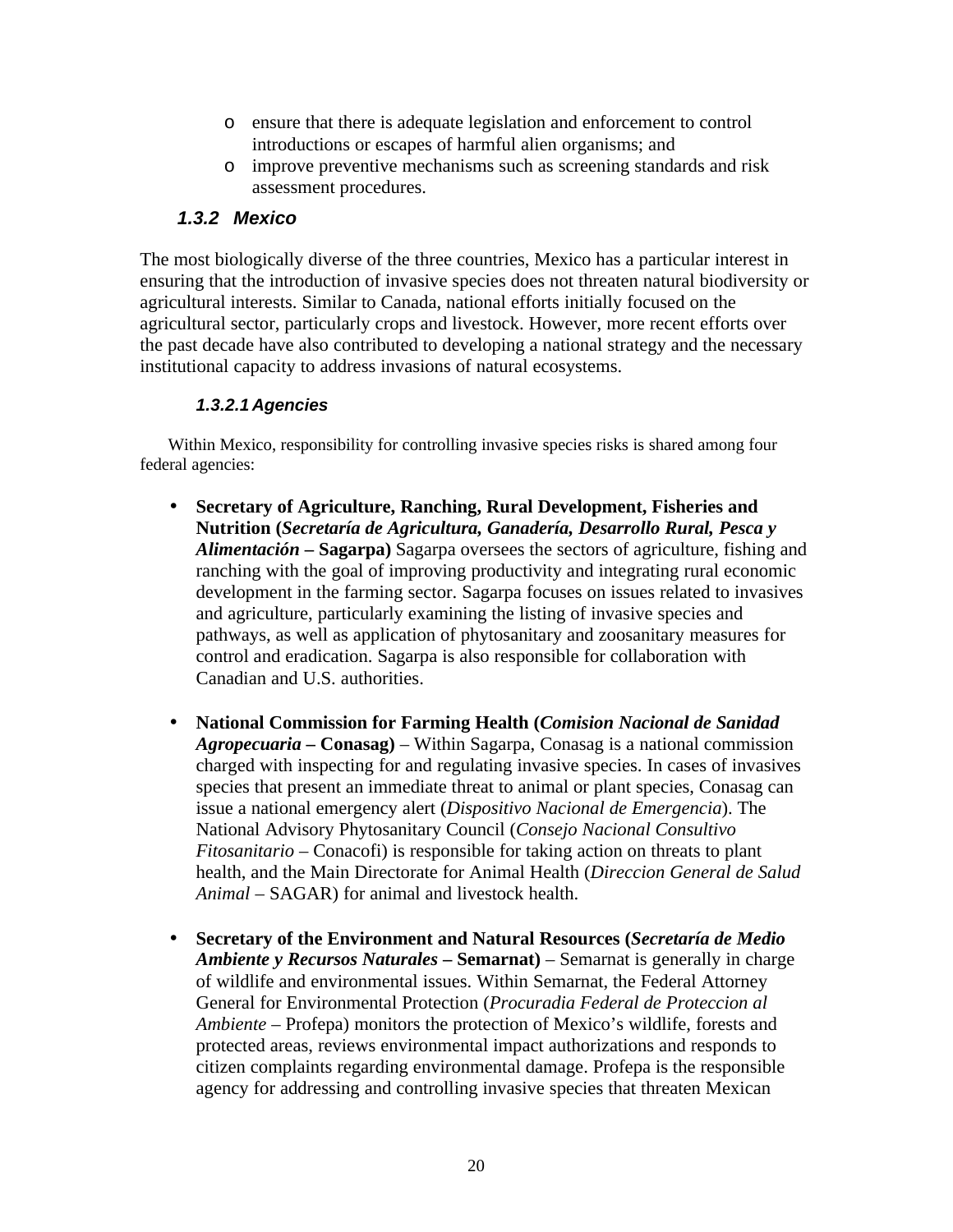- o ensure that there is adequate legislation and enforcement to control introductions or escapes of harmful alien organisms; and
- o improve preventive mechanisms such as screening standards and risk assessment procedures.

## *1.3.2 Mexico*

The most biologically diverse of the three countries, Mexico has a particular interest in ensuring that the introduction of invasive species does not threaten natural biodiversity or agricultural interests. Similar to Canada, national efforts initially focused on the agricultural sector, particularly crops and livestock. However, more recent efforts over the past decade have also contributed to developing a national strategy and the necessary institutional capacity to address invasions of natural ecosystems.

### *1.3.2.1 Agencies*

Within Mexico, responsibility for controlling invasive species risks is shared among four federal agencies:

- **Secretary of Agriculture, Ranching, Rural Development, Fisheries and Nutrition (***Secretaría de Agricultura, Ganadería, Desarrollo Rural, Pesca y Alimentación* **– Sagarpa)** Sagarpa oversees the sectors of agriculture, fishing and ranching with the goal of improving productivity and integrating rural economic development in the farming sector. Sagarpa focuses on issues related to invasives and agriculture, particularly examining the listing of invasive species and pathways, as well as application of phytosanitary and zoosanitary measures for control and eradication. Sagarpa is also responsible for collaboration with Canadian and U.S. authorities.
- **National Commission for Farming Health (***Comision Nacional de Sanidad Agropecuaria* **– Conasag)** – Within Sagarpa, Conasag is a national commission charged with inspecting for and regulating invasive species. In cases of invasives species that present an immediate threat to animal or plant species, Conasag can issue a national emergency alert (*Dispositivo Nacional de Emergencia*). The National Advisory Phytosanitary Council (*Consejo Nacional Consultivo Fitosanitario* – Conacofi) is responsible for taking action on threats to plant health, and the Main Directorate for Animal Health (*Direccion General de Salud Animal* – SAGAR) for animal and livestock health.
- **Secretary of the Environment and Natural Resources (***Secretaría de Medio Ambiente y Recursos Naturales* **– Semarnat)** – Semarnat is generally in charge of wildlife and environmental issues. Within Semarnat, the Federal Attorney General for Environmental Protection (*Procuradia Federal de Proteccion al Ambiente* – Profepa) monitors the protection of Mexico's wildlife, forests and protected areas, reviews environmental impact authorizations and responds to citizen complaints regarding environmental damage. Profepa is the responsible agency for addressing and controlling invasive species that threaten Mexican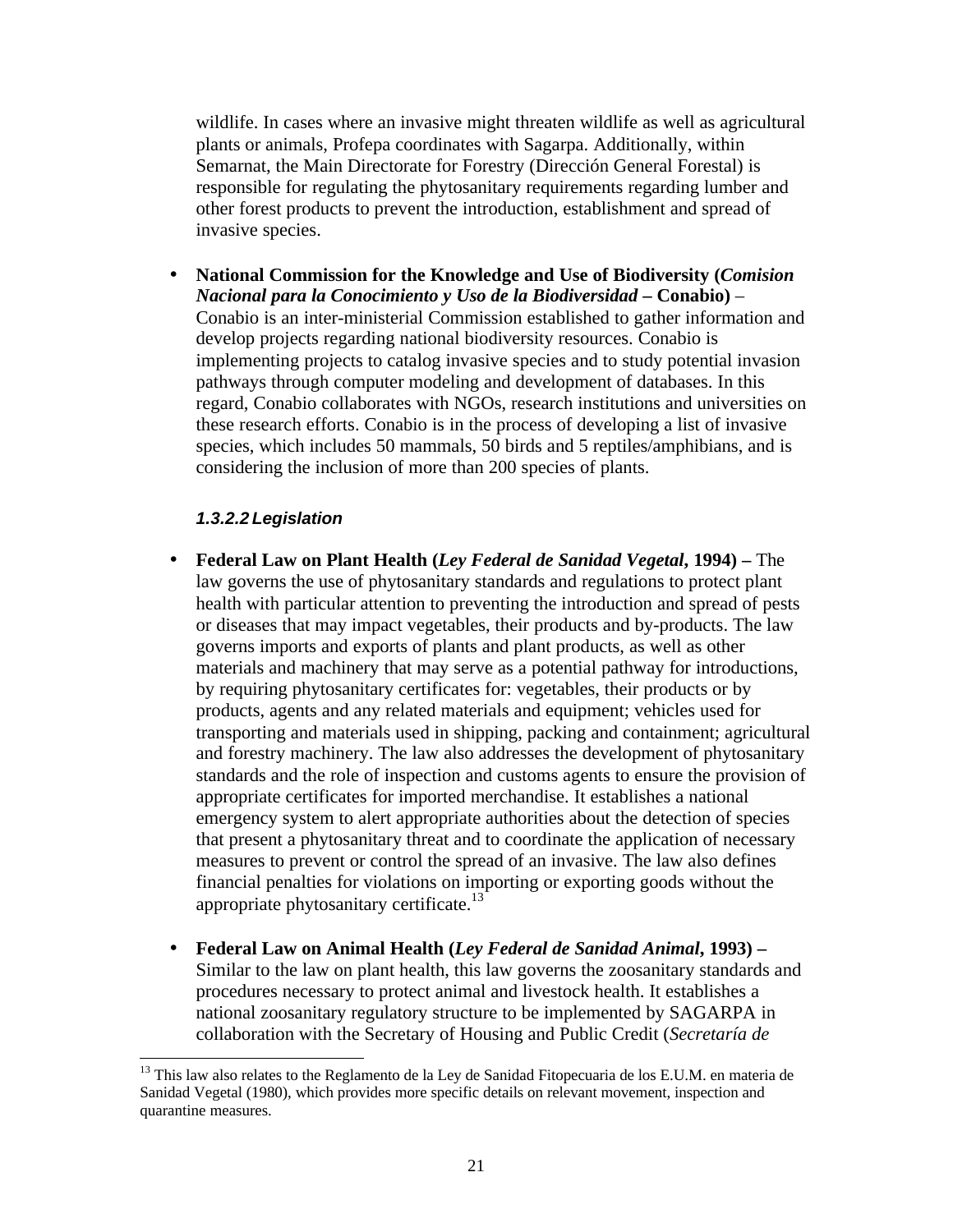wildlife. In cases where an invasive might threaten wildlife as well as agricultural plants or animals, Profepa coordinates with Sagarpa. Additionally, within Semarnat, the Main Directorate for Forestry (Dirección General Forestal) is responsible for regulating the phytosanitary requirements regarding lumber and other forest products to prevent the introduction, establishment and spread of invasive species.

• **National Commission for the Knowledge and Use of Biodiversity (***Comision Nacional para la Conocimiento y Uso de la Biodiversidad* **– Conabio)** – Conabio is an inter-ministerial Commission established to gather information and develop projects regarding national biodiversity resources. Conabio is implementing projects to catalog invasive species and to study potential invasion pathways through computer modeling and development of databases. In this regard, Conabio collaborates with NGOs, research institutions and universities on these research efforts. Conabio is in the process of developing a list of invasive species, which includes 50 mammals, 50 birds and 5 reptiles/amphibians, and is considering the inclusion of more than 200 species of plants.

#### *1.3.2.2 Legislation*

- **Federal Law on Plant Health (***Ley Federal de Sanidad Vegetal***, 1994)** The law governs the use of phytosanitary standards and regulations to protect plant health with particular attention to preventing the introduction and spread of pests or diseases that may impact vegetables, their products and by-products. The law governs imports and exports of plants and plant products, as well as other materials and machinery that may serve as a potential pathway for introductions, by requiring phytosanitary certificates for: vegetables, their products or by products, agents and any related materials and equipment; vehicles used for transporting and materials used in shipping, packing and containment; agricultural and forestry machinery. The law also addresses the development of phytosanitary standards and the role of inspection and customs agents to ensure the provision of appropriate certificates for imported merchandise. It establishes a national emergency system to alert appropriate authorities about the detection of species that present a phytosanitary threat and to coordinate the application of necessary measures to prevent or control the spread of an invasive. The law also defines financial penalties for violations on importing or exporting goods without the appropriate phytosanitary certificate.<sup>13</sup>
- **Federal Law on Animal Health (***Ley Federal de Sanidad Animal***, 1993) –** Similar to the law on plant health, this law governs the zoosanitary standards and procedures necessary to protect animal and livestock health. It establishes a national zoosanitary regulatory structure to be implemented by SAGARPA in collaboration with the Secretary of Housing and Public Credit (*Secretaría de*

<sup>&</sup>lt;sup>13</sup> This law also relates to the Reglamento de la Ley de Sanidad Fitopecuaria de los E.U.M. en materia de Sanidad Vegetal (1980), which provides more specific details on relevant movement, inspection and quarantine measures.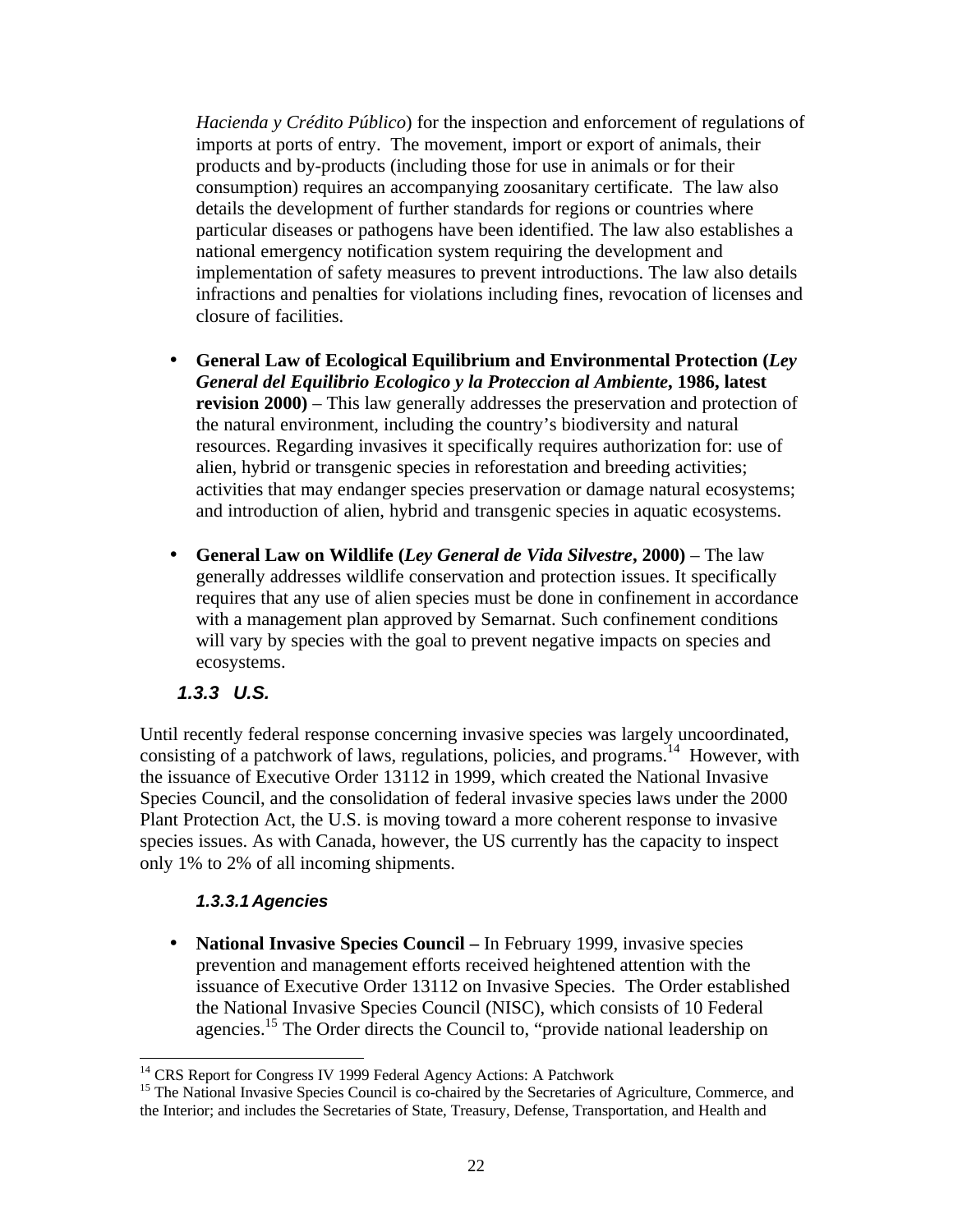*Hacienda y Crédito Público*) for the inspection and enforcement of regulations of imports at ports of entry. The movement, import or export of animals, their products and by-products (including those for use in animals or for their consumption) requires an accompanying zoosanitary certificate. The law also details the development of further standards for regions or countries where particular diseases or pathogens have been identified. The law also establishes a national emergency notification system requiring the development and implementation of safety measures to prevent introductions. The law also details infractions and penalties for violations including fines, revocation of licenses and closure of facilities.

- **General Law of Ecological Equilibrium and Environmental Protection (***Ley General del Equilibrio Ecologico y la Proteccion al Ambiente***, 1986, latest revision 2000)** – This law generally addresses the preservation and protection of the natural environment, including the country's biodiversity and natural resources. Regarding invasives it specifically requires authorization for: use of alien, hybrid or transgenic species in reforestation and breeding activities; activities that may endanger species preservation or damage natural ecosystems; and introduction of alien, hybrid and transgenic species in aquatic ecosystems.
- **General Law on Wildlife (***Ley General de Vida Silvestre***, 2000)**  The law generally addresses wildlife conservation and protection issues. It specifically requires that any use of alien species must be done in confinement in accordance with a management plan approved by Semarnat. Such confinement conditions will vary by species with the goal to prevent negative impacts on species and ecosystems.

### *1.3.3 U.S.*

-

Until recently federal response concerning invasive species was largely uncoordinated, consisting of a patchwork of laws, regulations, policies, and programs.<sup>14</sup> However, with the issuance of Executive Order 13112 in 1999, which created the National Invasive Species Council, and the consolidation of federal invasive species laws under the 2000 Plant Protection Act, the U.S. is moving toward a more coherent response to invasive species issues. As with Canada, however, the US currently has the capacity to inspect only 1% to 2% of all incoming shipments.

### *1.3.3.1 Agencies*

• **National Invasive Species Council – In February 1999, invasive species** prevention and management efforts received heightened attention with the issuance of Executive Order 13112 on Invasive Species. The Order established the National Invasive Species Council (NISC), which consists of 10 Federal agencies.<sup>15</sup> The Order directs the Council to, "provide national leadership on

<sup>&</sup>lt;sup>14</sup> CRS Report for Congress IV 1999 Federal Agency Actions: A Patchwork

<sup>&</sup>lt;sup>15</sup> The National Invasive Species Council is co-chaired by the Secretaries of Agriculture, Commerce, and the Interior; and includes the Secretaries of State, Treasury, Defense, Transportation, and Health and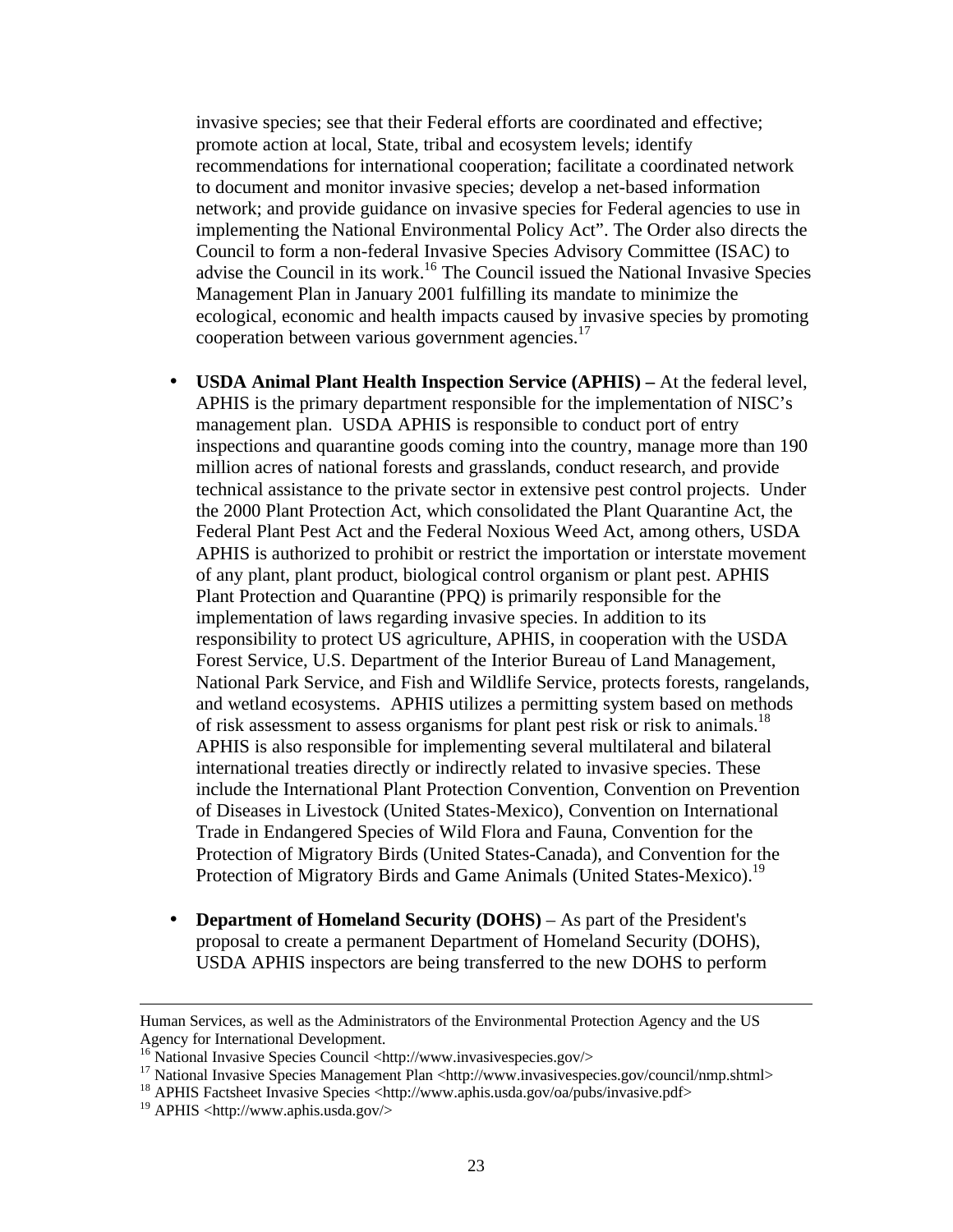invasive species; see that their Federal efforts are coordinated and effective; promote action at local, State, tribal and ecosystem levels; identify recommendations for international cooperation; facilitate a coordinated network to document and monitor invasive species; develop a net-based information network; and provide guidance on invasive species for Federal agencies to use in implementing the National Environmental Policy Act". The Order also directs the Council to form a non-federal Invasive Species Advisory Committee (ISAC) to advise the Council in its work.<sup>16</sup> The Council issued the National Invasive Species Management Plan in January 2001 fulfilling its mandate to minimize the ecological, economic and health impacts caused by invasive species by promoting cooperation between various government agencies. $17$ 

- **USDA Animal Plant Health Inspection Service (APHIS)** At the federal level, APHIS is the primary department responsible for the implementation of NISC's management plan. USDA APHIS is responsible to conduct port of entry inspections and quarantine goods coming into the country, manage more than 190 million acres of national forests and grasslands, conduct research, and provide technical assistance to the private sector in extensive pest control projects. Under the 2000 Plant Protection Act, which consolidated the Plant Quarantine Act, the Federal Plant Pest Act and the Federal Noxious Weed Act, among others, USDA APHIS is authorized to prohibit or restrict the importation or interstate movement of any plant, plant product, biological control organism or plant pest. APHIS Plant Protection and Quarantine (PPQ) is primarily responsible for the implementation of laws regarding invasive species. In addition to its responsibility to protect US agriculture, APHIS, in cooperation with the USDA Forest Service, U.S. Department of the Interior Bureau of Land Management, National Park Service, and Fish and Wildlife Service, protects forests, rangelands, and wetland ecosystems. APHIS utilizes a permitting system based on methods of risk assessment to assess organisms for plant pest risk or risk to animals.<sup>18</sup> APHIS is also responsible for implementing several multilateral and bilateral international treaties directly or indirectly related to invasive species. These include the International Plant Protection Convention, Convention on Prevention of Diseases in Livestock (United States-Mexico), Convention on International Trade in Endangered Species of Wild Flora and Fauna, Convention for the Protection of Migratory Birds (United States-Canada), and Convention for the Protection of Migratory Birds and Game Animals (United States-Mexico).<sup>19</sup>
- **Department of Homeland Security (DOHS)** As part of the President's proposal to create a permanent Department of Homeland Security (DOHS), USDA APHIS inspectors are being transferred to the new DOHS to perform

Human Services, as well as the Administrators of the Environmental Protection Agency and the US Agency for International Development.

<sup>16</sup> National Invasive Species Council <http://www.invasivespecies.gov/>

<sup>&</sup>lt;sup>17</sup> National Invasive Species Management Plan <http://www.invasivespecies.gov/council/nmp.shtml>

<sup>&</sup>lt;sup>18</sup> APHIS Factsheet Invasive Species <http://www.aphis.usda.gov/oa/pubs/invasive.pdf>

<sup>&</sup>lt;sup>19</sup> APHIS <http://www.aphis.usda.gov/>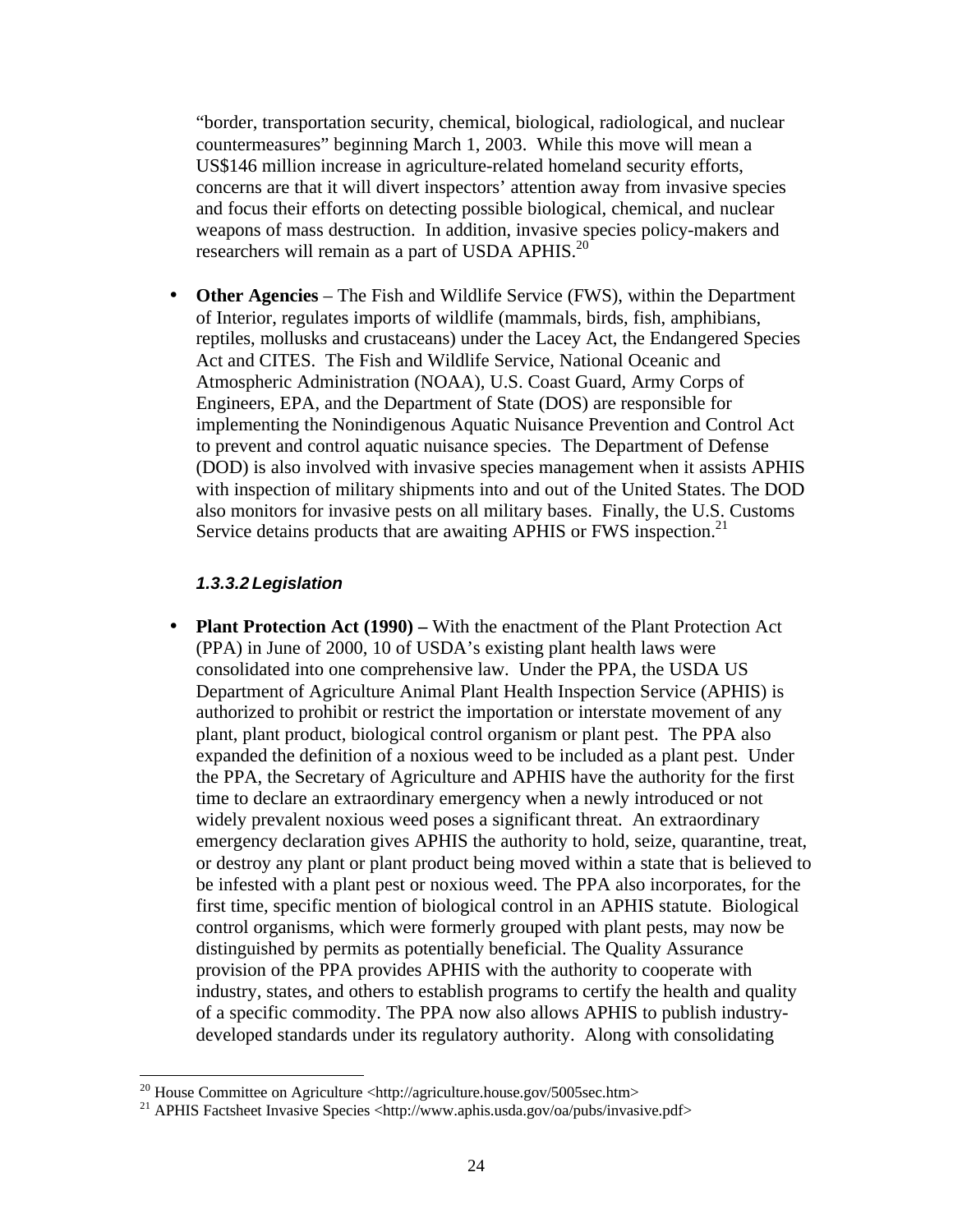"border, transportation security, chemical, biological, radiological, and nuclear countermeasures" beginning March 1, 2003. While this move will mean a US\$146 million increase in agriculture-related homeland security efforts, concerns are that it will divert inspectors' attention away from invasive species and focus their efforts on detecting possible biological, chemical, and nuclear weapons of mass destruction. In addition, invasive species policy-makers and researchers will remain as a part of USDA APHIS.<sup>20</sup>

• **Other Agencies** – The Fish and Wildlife Service (FWS), within the Department of Interior, regulates imports of wildlife (mammals, birds, fish, amphibians, reptiles, mollusks and crustaceans) under the Lacey Act, the Endangered Species Act and CITES. The Fish and Wildlife Service, National Oceanic and Atmospheric Administration (NOAA), U.S. Coast Guard, Army Corps of Engineers, EPA, and the Department of State (DOS) are responsible for implementing the Nonindigenous Aquatic Nuisance Prevention and Control Act to prevent and control aquatic nuisance species. The Department of Defense (DOD) is also involved with invasive species management when it assists APHIS with inspection of military shipments into and out of the United States. The DOD also monitors for invasive pests on all military bases. Finally, the U.S. Customs Service detains products that are awaiting APHIS or FWS inspection.<sup>21</sup>

### *1.3.3.2 Legislation*

• **Plant Protection Act (1990)** – With the enactment of the Plant Protection Act (PPA) in June of 2000, 10 of USDA's existing plant health laws were consolidated into one comprehensive law. Under the PPA, the USDA US Department of Agriculture Animal Plant Health Inspection Service (APHIS) is authorized to prohibit or restrict the importation or interstate movement of any plant, plant product, biological control organism or plant pest. The PPA also expanded the definition of a noxious weed to be included as a plant pest. Under the PPA, the Secretary of Agriculture and APHIS have the authority for the first time to declare an extraordinary emergency when a newly introduced or not widely prevalent noxious weed poses a significant threat. An extraordinary emergency declaration gives APHIS the authority to hold, seize, quarantine, treat, or destroy any plant or plant product being moved within a state that is believed to be infested with a plant pest or noxious weed. The PPA also incorporates, for the first time, specific mention of biological control in an APHIS statute. Biological control organisms, which were formerly grouped with plant pests, may now be distinguished by permits as potentially beneficial. The Quality Assurance provision of the PPA provides APHIS with the authority to cooperate with industry, states, and others to establish programs to certify the health and quality of a specific commodity. The PPA now also allows APHIS to publish industrydeveloped standards under its regulatory authority. Along with consolidating

 $\overline{a}$ <sup>20</sup> House Committee on Agriculture <http://agriculture.house.gov/5005sec.htm>

<sup>21</sup> APHIS Factsheet Invasive Species <http://www.aphis.usda.gov/oa/pubs/invasive.pdf>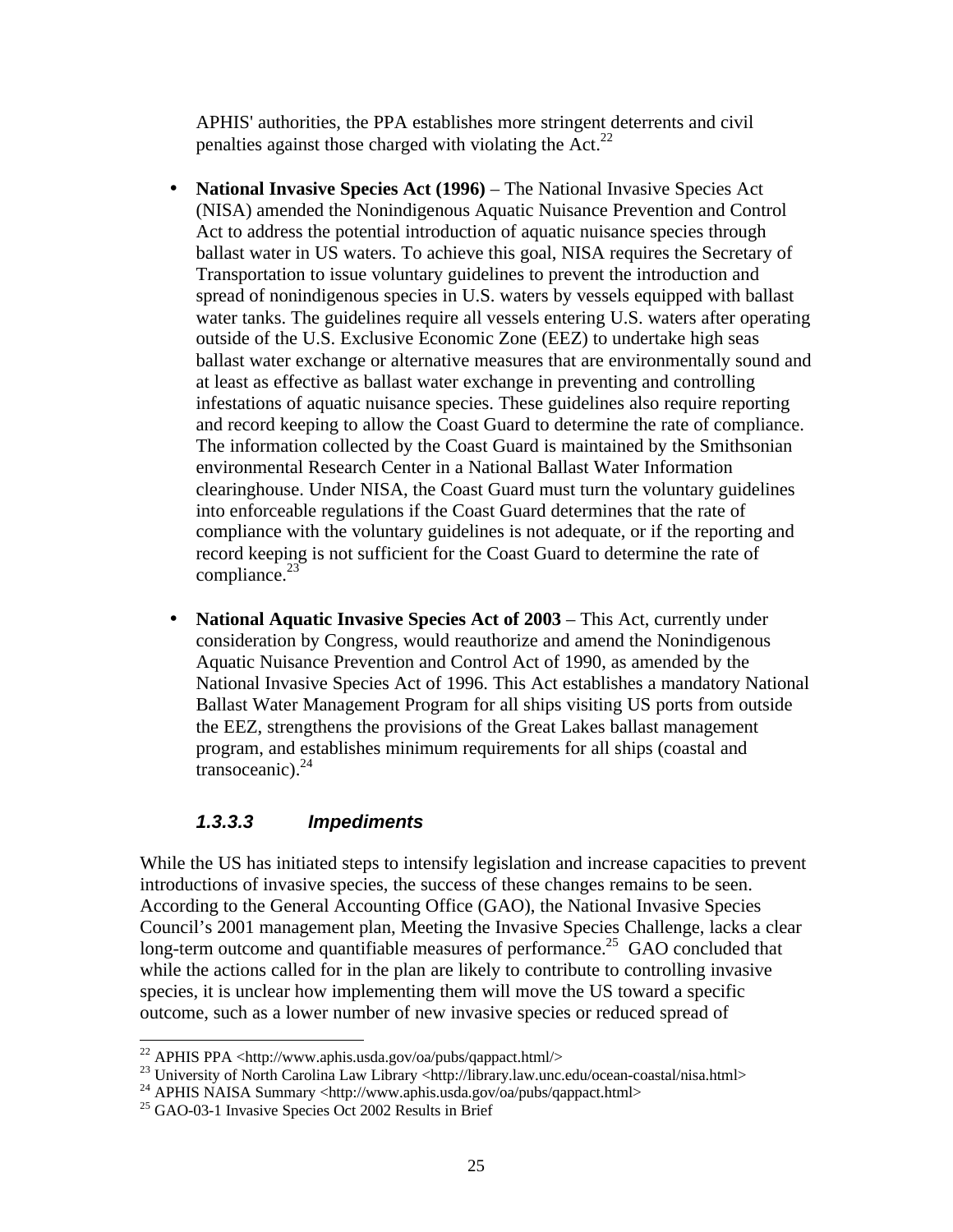APHIS' authorities, the PPA establishes more stringent deterrents and civil penalties against those charged with violating the  $Act.<sup>22</sup>$ 

- **National Invasive Species Act (1996)** The National Invasive Species Act (NISA) amended the Nonindigenous Aquatic Nuisance Prevention and Control Act to address the potential introduction of aquatic nuisance species through ballast water in US waters. To achieve this goal, NISA requires the Secretary of Transportation to issue voluntary guidelines to prevent the introduction and spread of nonindigenous species in U.S. waters by vessels equipped with ballast water tanks. The guidelines require all vessels entering U.S. waters after operating outside of the U.S. Exclusive Economic Zone (EEZ) to undertake high seas ballast water exchange or alternative measures that are environmentally sound and at least as effective as ballast water exchange in preventing and controlling infestations of aquatic nuisance species. These guidelines also require reporting and record keeping to allow the Coast Guard to determine the rate of compliance. The information collected by the Coast Guard is maintained by the Smithsonian environmental Research Center in a National Ballast Water Information clearinghouse. Under NISA, the Coast Guard must turn the voluntary guidelines into enforceable regulations if the Coast Guard determines that the rate of compliance with the voluntary guidelines is not adequate, or if the reporting and record keeping is not sufficient for the Coast Guard to determine the rate of compliance. $^{23}$
- **National Aquatic Invasive Species Act of 2003** This Act, currently under consideration by Congress, would reauthorize and amend the Nonindigenous Aquatic Nuisance Prevention and Control Act of 1990, as amended by the National Invasive Species Act of 1996. This Act establishes a mandatory National Ballast Water Management Program for all ships visiting US ports from outside the EEZ, strengthens the provisions of the Great Lakes ballast management program, and establishes minimum requirements for all ships (coastal and transoceanic). $24$

### *1.3.3.3 Impediments*

While the US has initiated steps to intensify legislation and increase capacities to prevent introductions of invasive species, the success of these changes remains to be seen. According to the General Accounting Office (GAO), the National Invasive Species Council's 2001 management plan, Meeting the Invasive Species Challenge, lacks a clear long-term outcome and quantifiable measures of performance.<sup>25</sup> GAO concluded that while the actions called for in the plan are likely to contribute to controlling invasive species, it is unclear how implementing them will move the US toward a specific outcome, such as a lower number of new invasive species or reduced spread of

 $\overline{a}$  $22$  APHIS PPA <http://www.aphis.usda.gov/oa/pubs/qappact.html/>

<sup>&</sup>lt;sup>23</sup> University of North Carolina Law Library <http://library.law.unc.edu/ocean-coastal/nisa.html>

<sup>&</sup>lt;sup>24</sup> APHIS NAISA Summary <http://www.aphis.usda.gov/oa/pubs/qappact.html>

<sup>25</sup> GAO-03-1 Invasive Species Oct 2002 Results in Brief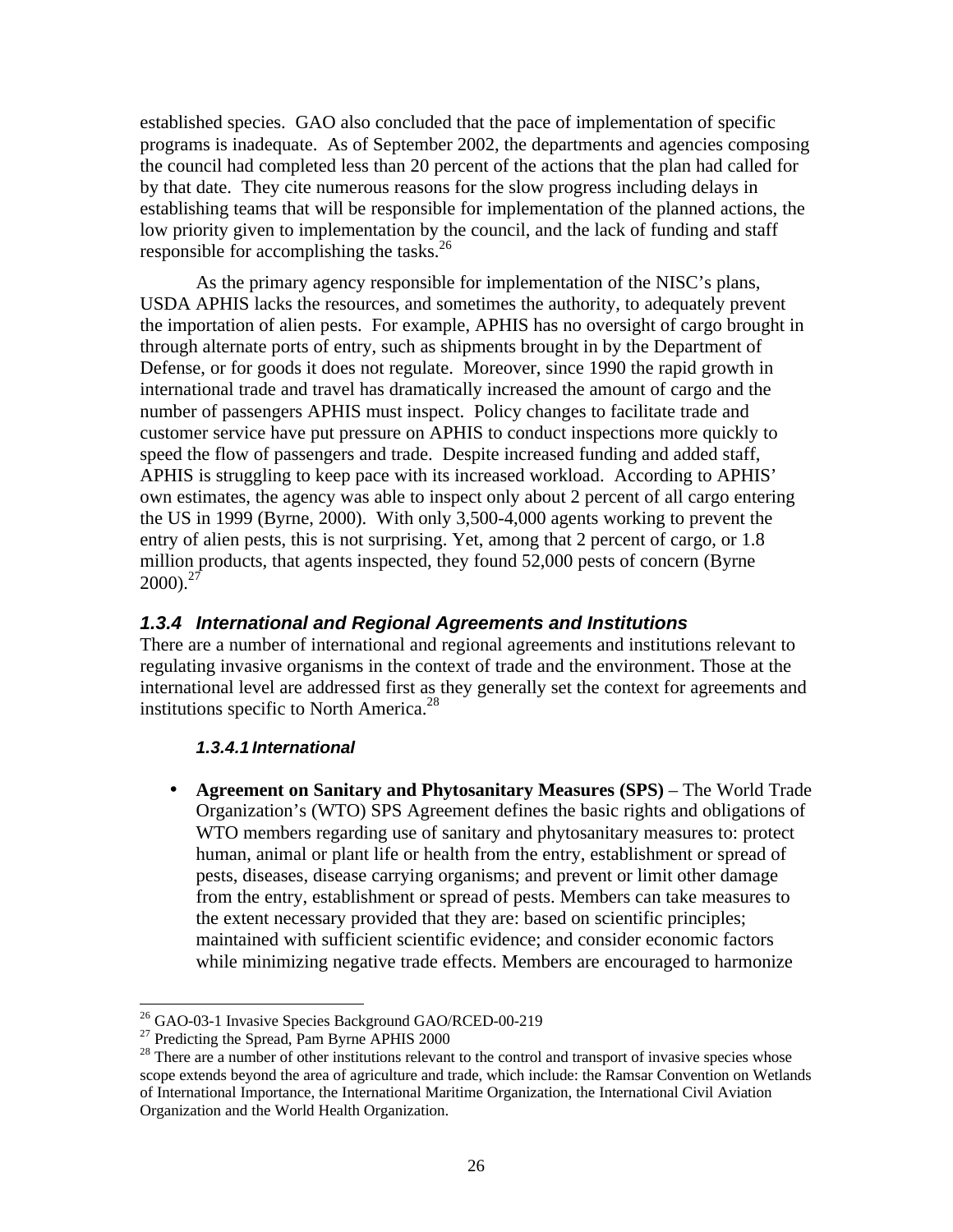established species. GAO also concluded that the pace of implementation of specific programs is inadequate. As of September 2002, the departments and agencies composing the council had completed less than 20 percent of the actions that the plan had called for by that date. They cite numerous reasons for the slow progress including delays in establishing teams that will be responsible for implementation of the planned actions, the low priority given to implementation by the council, and the lack of funding and staff responsible for accomplishing the tasks.<sup>26</sup>

As the primary agency responsible for implementation of the NISC's plans, USDA APHIS lacks the resources, and sometimes the authority, to adequately prevent the importation of alien pests. For example, APHIS has no oversight of cargo brought in through alternate ports of entry, such as shipments brought in by the Department of Defense, or for goods it does not regulate. Moreover, since 1990 the rapid growth in international trade and travel has dramatically increased the amount of cargo and the number of passengers APHIS must inspect. Policy changes to facilitate trade and customer service have put pressure on APHIS to conduct inspections more quickly to speed the flow of passengers and trade. Despite increased funding and added staff, APHIS is struggling to keep pace with its increased workload. According to APHIS' own estimates, the agency was able to inspect only about 2 percent of all cargo entering the US in 1999 (Byrne, 2000). With only 3,500-4,000 agents working to prevent the entry of alien pests, this is not surprising. Yet, among that 2 percent of cargo, or 1.8 million products, that agents inspected, they found 52,000 pests of concern (Byrne  $2000$ ).<sup>27</sup>

### *1.3.4 International and Regional Agreements and Institutions*

There are a number of international and regional agreements and institutions relevant to regulating invasive organisms in the context of trade and the environment. Those at the international level are addressed first as they generally set the context for agreements and institutions specific to North America.<sup>28</sup>

### *1.3.4.1 International*

• **Agreement on Sanitary and Phytosanitary Measures (SPS)** – The World Trade Organization's (WTO) SPS Agreement defines the basic rights and obligations of WTO members regarding use of sanitary and phytosanitary measures to: protect human, animal or plant life or health from the entry, establishment or spread of pests, diseases, disease carrying organisms; and prevent or limit other damage from the entry, establishment or spread of pests. Members can take measures to the extent necessary provided that they are: based on scientific principles; maintained with sufficient scientific evidence; and consider economic factors while minimizing negative trade effects. Members are encouraged to harmonize

<sup>-</sup><sup>26</sup> GAO-03-1 Invasive Species Background GAO/RCED-00-219

<sup>&</sup>lt;sup>27</sup> Predicting the Spread, Pam Byrne APHIS 2000

<sup>&</sup>lt;sup>28</sup> There are a number of other institutions relevant to the control and transport of invasive species whose scope extends beyond the area of agriculture and trade, which include: the Ramsar Convention on Wetlands of International Importance, the International Maritime Organization, the International Civil Aviation Organization and the World Health Organization.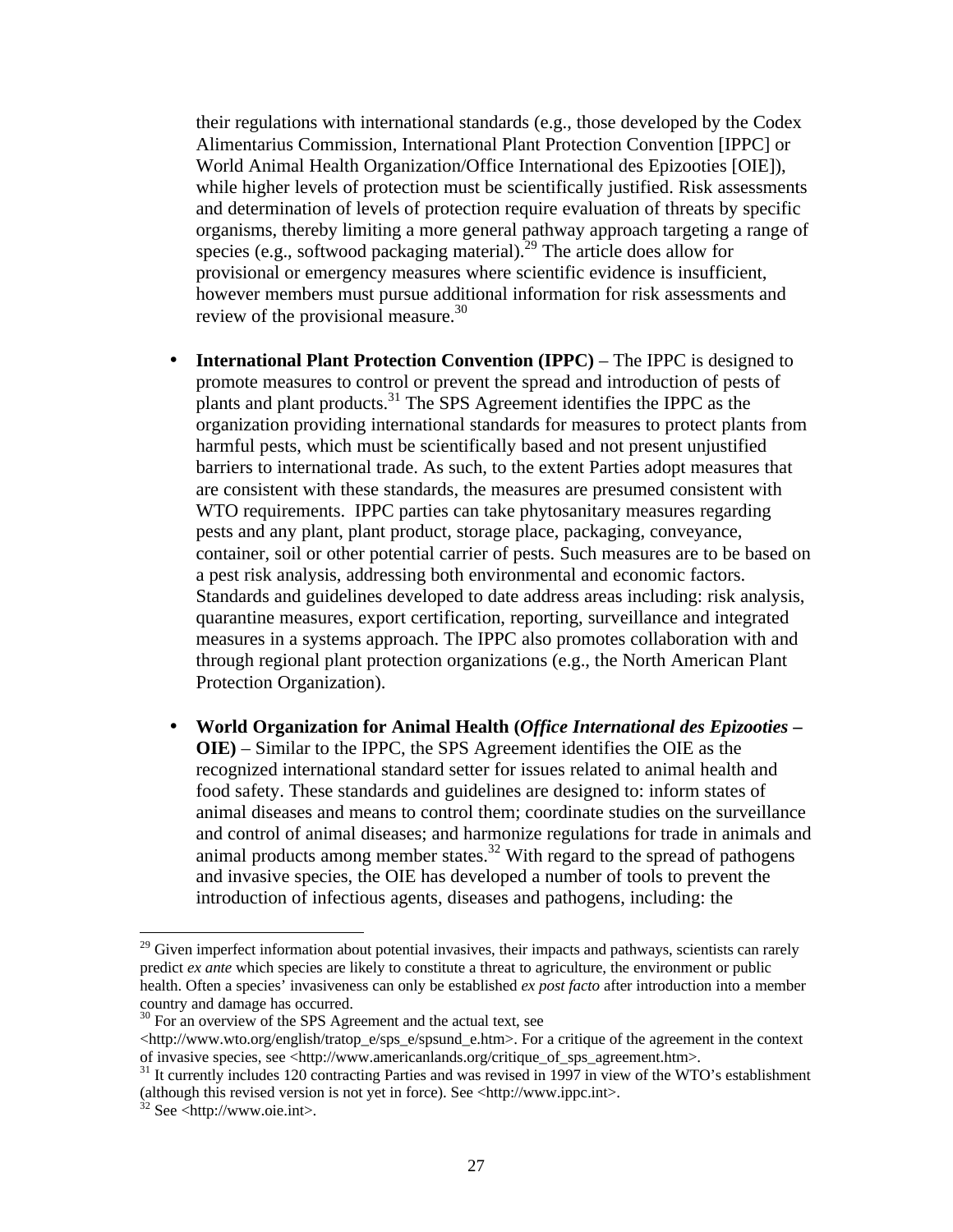their regulations with international standards (e.g., those developed by the Codex Alimentarius Commission, International Plant Protection Convention [IPPC] or World Animal Health Organization/Office International des Epizooties [OIE]), while higher levels of protection must be scientifically justified. Risk assessments and determination of levels of protection require evaluation of threats by specific organisms, thereby limiting a more general pathway approach targeting a range of species (e.g., softwood packaging material).<sup>29</sup> The article does allow for provisional or emergency measures where scientific evidence is insufficient, however members must pursue additional information for risk assessments and review of the provisional measure.<sup>30</sup>

- **International Plant Protection Convention (IPPC)** The IPPC is designed to promote measures to control or prevent the spread and introduction of pests of plants and plant products. $31$  The SPS Agreement identifies the IPPC as the organization providing international standards for measures to protect plants from harmful pests, which must be scientifically based and not present unjustified barriers to international trade. As such, to the extent Parties adopt measures that are consistent with these standards, the measures are presumed consistent with WTO requirements. IPPC parties can take phytosanitary measures regarding pests and any plant, plant product, storage place, packaging, conveyance, container, soil or other potential carrier of pests. Such measures are to be based on a pest risk analysis, addressing both environmental and economic factors. Standards and guidelines developed to date address areas including: risk analysis, quarantine measures, export certification, reporting, surveillance and integrated measures in a systems approach. The IPPC also promotes collaboration with and through regional plant protection organizations (e.g., the North American Plant Protection Organization).
- **World Organization for Animal Health (***Office International des Epizooties* **– OIE)** – Similar to the IPPC, the SPS Agreement identifies the OIE as the recognized international standard setter for issues related to animal health and food safety. These standards and guidelines are designed to: inform states of animal diseases and means to control them; coordinate studies on the surveillance and control of animal diseases; and harmonize regulations for trade in animals and animal products among member states.<sup>32</sup> With regard to the spread of pathogens and invasive species, the OIE has developed a number of tools to prevent the introduction of infectious agents, diseases and pathogens, including: the

<sup>&</sup>lt;sup>29</sup> Given imperfect information about potential invasives, their impacts and pathways, scientists can rarely predict *ex ante* which species are likely to constitute a threat to agriculture, the environment or public health. Often a species' invasiveness can only be established *ex post facto* after introduction into a member country and damage has occurred.

<sup>&</sup>lt;sup>30</sup> For an overview of the SPS Agreement and the actual text, see

 $\text{thtn:}/\text{www.wto.org/english/tratop e/sys}$  e/spsund e.htm>. For a critique of the agreement in the context of invasive species, see <http://www.americanlands.org/critique\_of\_sps\_agreement.htm>.

<sup>&</sup>lt;sup>31</sup> It currently includes 120 contracting Parties and was revised in 1997 in view of the WTO's establishment (although this revised version is not yet in force). See <http://www.ippc.int>.

 $32$  See <http://www.oie.int>.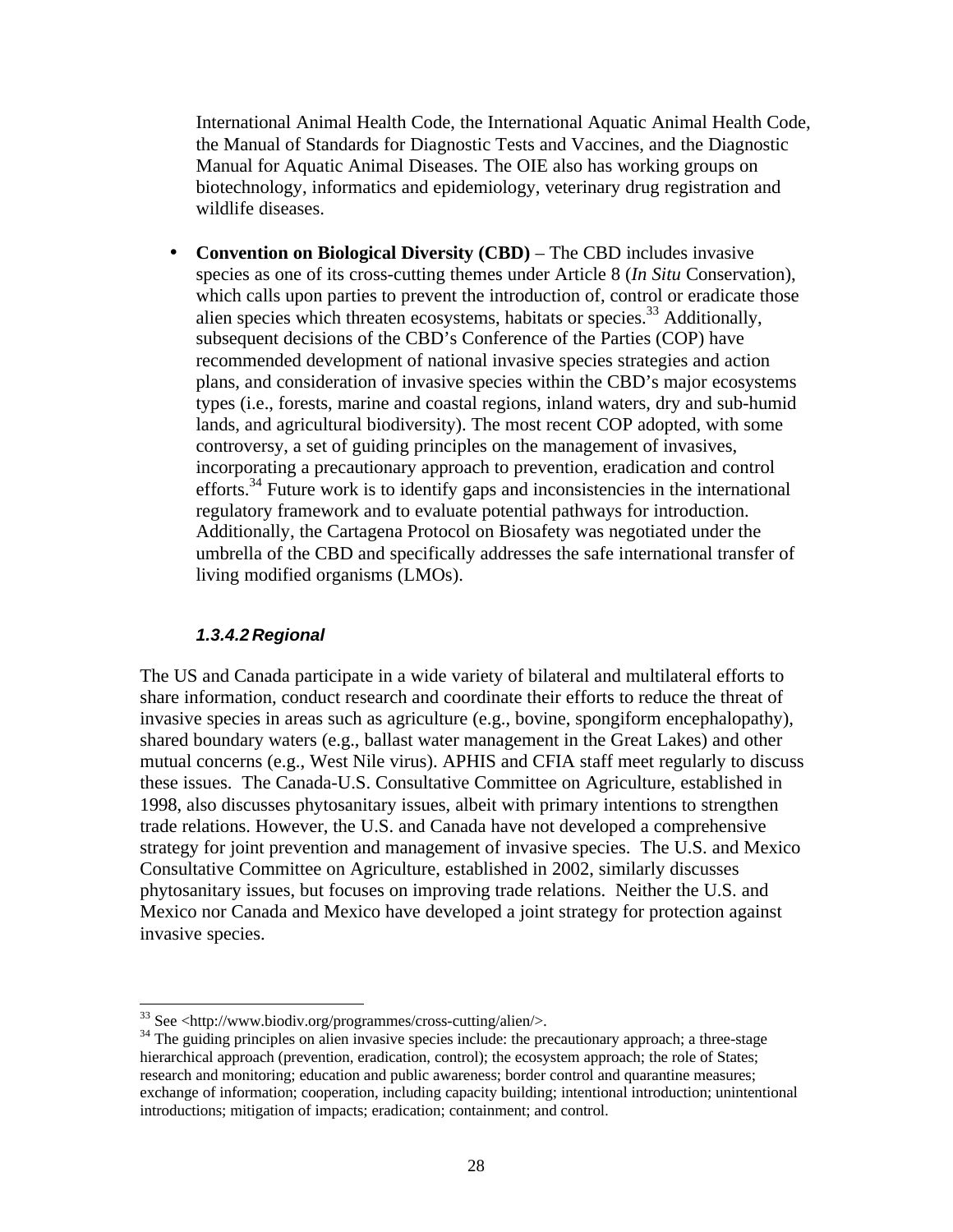International Animal Health Code, the International Aquatic Animal Health Code, the Manual of Standards for Diagnostic Tests and Vaccines, and the Diagnostic Manual for Aquatic Animal Diseases. The OIE also has working groups on biotechnology, informatics and epidemiology, veterinary drug registration and wildlife diseases.

• **Convention on Biological Diversity (CBD)** – The CBD includes invasive species as one of its cross-cutting themes under Article 8 (*In Situ* Conservation), which calls upon parties to prevent the introduction of, control or eradicate those alien species which threaten ecosystems, habitats or species.<sup>33</sup> Additionally, subsequent decisions of the CBD's Conference of the Parties (COP) have recommended development of national invasive species strategies and action plans, and consideration of invasive species within the CBD's major ecosystems types (i.e., forests, marine and coastal regions, inland waters, dry and sub-humid lands, and agricultural biodiversity). The most recent COP adopted, with some controversy, a set of guiding principles on the management of invasives, incorporating a precautionary approach to prevention, eradication and control efforts.<sup>34</sup> Future work is to identify gaps and inconsistencies in the international regulatory framework and to evaluate potential pathways for introduction. Additionally, the Cartagena Protocol on Biosafety was negotiated under the umbrella of the CBD and specifically addresses the safe international transfer of living modified organisms (LMOs).

### *1.3.4.2 Regional*

 $\overline{a}$ 

The US and Canada participate in a wide variety of bilateral and multilateral efforts to share information, conduct research and coordinate their efforts to reduce the threat of invasive species in areas such as agriculture (e.g., bovine, spongiform encephalopathy), shared boundary waters (e.g., ballast water management in the Great Lakes) and other mutual concerns (e.g., West Nile virus). APHIS and CFIA staff meet regularly to discuss these issues. The Canada-U.S. Consultative Committee on Agriculture, established in 1998, also discusses phytosanitary issues, albeit with primary intentions to strengthen trade relations. However, the U.S. and Canada have not developed a comprehensive strategy for joint prevention and management of invasive species. The U.S. and Mexico Consultative Committee on Agriculture, established in 2002, similarly discusses phytosanitary issues, but focuses on improving trade relations. Neither the U.S. and Mexico nor Canada and Mexico have developed a joint strategy for protection against invasive species.

<sup>33</sup> See <http://www.biodiv.org/programmes/cross-cutting/alien/>.

<sup>&</sup>lt;sup>34</sup> The guiding principles on alien invasive species include: the precautionary approach; a three-stage hierarchical approach (prevention, eradication, control); the ecosystem approach; the role of States; research and monitoring; education and public awareness; border control and quarantine measures; exchange of information; cooperation, including capacity building; intentional introduction; unintentional introductions; mitigation of impacts; eradication; containment; and control.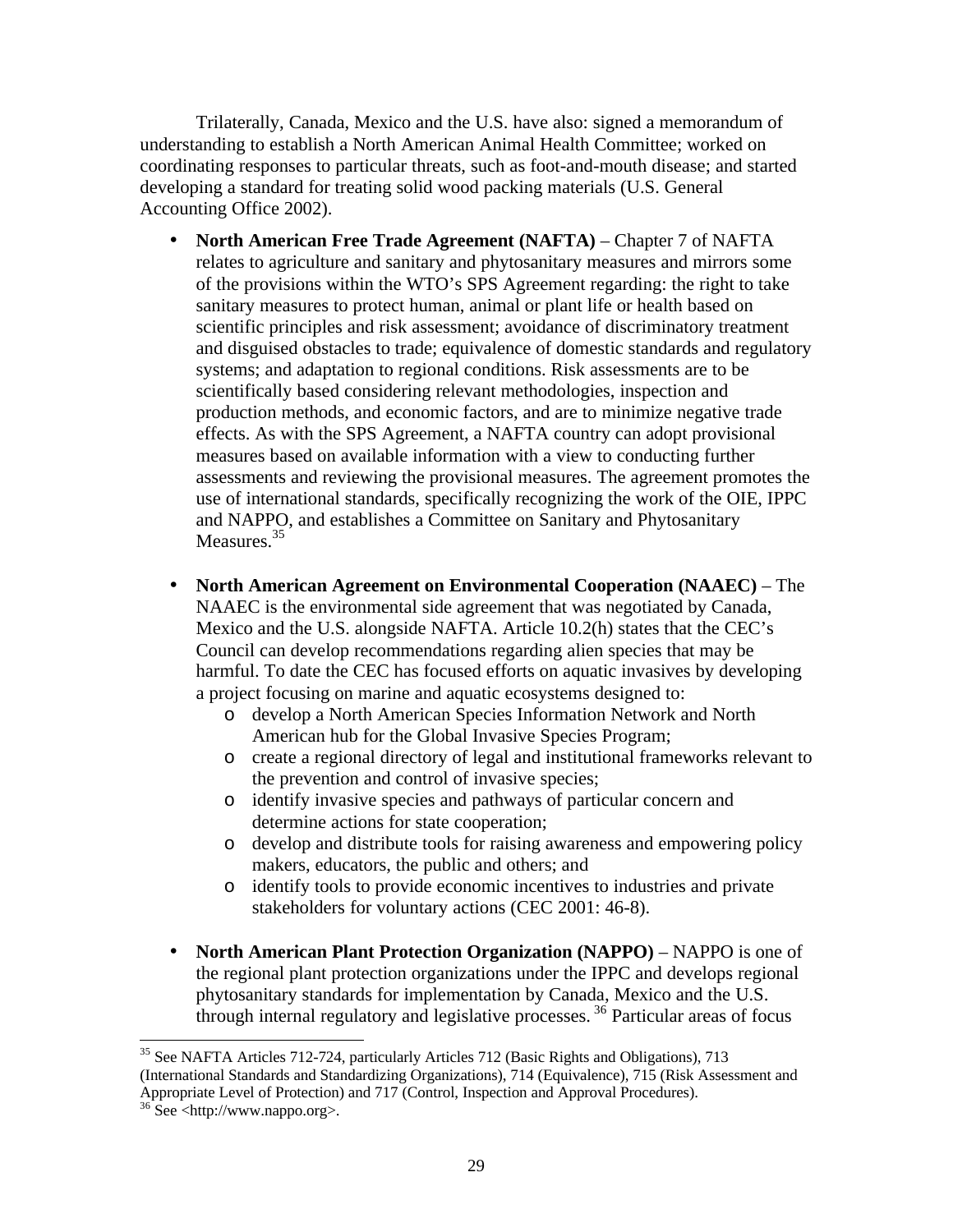Trilaterally, Canada, Mexico and the U.S. have also: signed a memorandum of understanding to establish a North American Animal Health Committee; worked on coordinating responses to particular threats, such as foot-and-mouth disease; and started developing a standard for treating solid wood packing materials (U.S. General Accounting Office 2002).

- **North American Free Trade Agreement (NAFTA)** Chapter 7 of NAFTA relates to agriculture and sanitary and phytosanitary measures and mirrors some of the provisions within the WTO's SPS Agreement regarding: the right to take sanitary measures to protect human, animal or plant life or health based on scientific principles and risk assessment; avoidance of discriminatory treatment and disguised obstacles to trade; equivalence of domestic standards and regulatory systems; and adaptation to regional conditions. Risk assessments are to be scientifically based considering relevant methodologies, inspection and production methods, and economic factors, and are to minimize negative trade effects. As with the SPS Agreement, a NAFTA country can adopt provisional measures based on available information with a view to conducting further assessments and reviewing the provisional measures. The agreement promotes the use of international standards, specifically recognizing the work of the OIE, IPPC and NAPPO, and establishes a Committee on Sanitary and Phytosanitary Measures.<sup>35</sup>
- **North American Agreement on Environmental Cooperation (NAAEC)** The NAAEC is the environmental side agreement that was negotiated by Canada, Mexico and the U.S. alongside NAFTA. Article 10.2(h) states that the CEC's Council can develop recommendations regarding alien species that may be harmful. To date the CEC has focused efforts on aquatic invasives by developing a project focusing on marine and aquatic ecosystems designed to:
	- o develop a North American Species Information Network and North American hub for the Global Invasive Species Program;
	- o create a regional directory of legal and institutional frameworks relevant to the prevention and control of invasive species;
	- o identify invasive species and pathways of particular concern and determine actions for state cooperation;
	- o develop and distribute tools for raising awareness and empowering policy makers, educators, the public and others; and
	- o identify tools to provide economic incentives to industries and private stakeholders for voluntary actions (CEC 2001: 46-8).
- **North American Plant Protection Organization (NAPPO)** NAPPO is one of the regional plant protection organizations under the IPPC and develops regional phytosanitary standards for implementation by Canada, Mexico and the U.S. through internal regulatory and legislative processes. <sup>36</sup> Particular areas of focus

 $\overline{a}$ <sup>35</sup> See NAFTA Articles 712-724, particularly Articles 712 (Basic Rights and Obligations), 713 (International Standards and Standardizing Organizations), 714 (Equivalence), 715 (Risk Assessment and

Appropriate Level of Protection) and 717 (Control, Inspection and Approval Procedures).

<sup>36</sup> See <http://www.nappo.org>.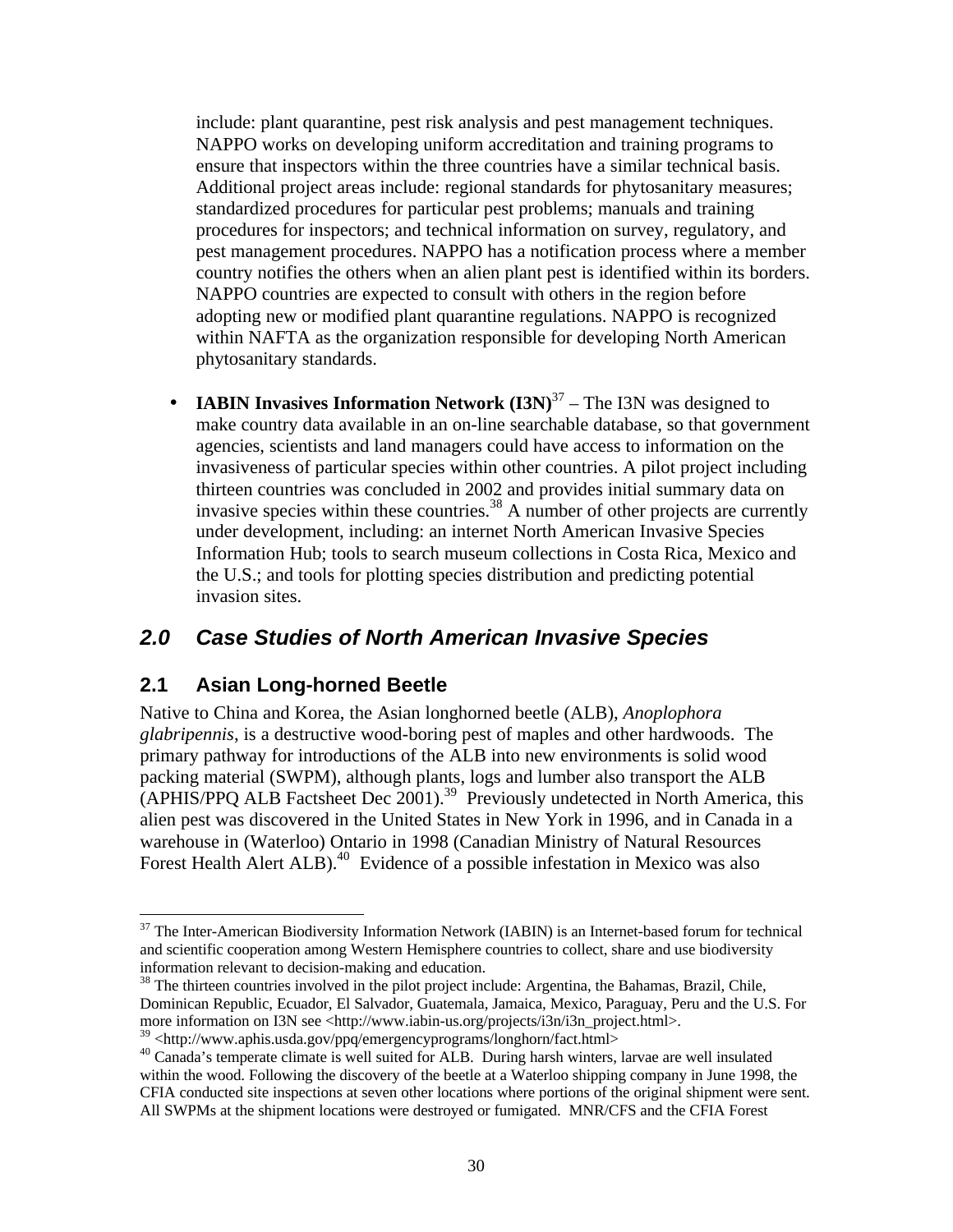include: plant quarantine, pest risk analysis and pest management techniques. NAPPO works on developing uniform accreditation and training programs to ensure that inspectors within the three countries have a similar technical basis. Additional project areas include: regional standards for phytosanitary measures; standardized procedures for particular pest problems; manuals and training procedures for inspectors; and technical information on survey, regulatory, and pest management procedures. NAPPO has a notification process where a member country notifies the others when an alien plant pest is identified within its borders. NAPPO countries are expected to consult with others in the region before adopting new or modified plant quarantine regulations. NAPPO is recognized within NAFTA as the organization responsible for developing North American phytosanitary standards.

• **IABIN Invasives Information Network**  $(I3N)^{37}$  – The I3N was designed to make country data available in an on-line searchable database, so that government agencies, scientists and land managers could have access to information on the invasiveness of particular species within other countries. A pilot project including thirteen countries was concluded in 2002 and provides initial summary data on invasive species within these countries.<sup>38</sup> A number of other projects are currently under development, including: an internet North American Invasive Species Information Hub; tools to search museum collections in Costa Rica, Mexico and the U.S.; and tools for plotting species distribution and predicting potential invasion sites.

# *2.0 Case Studies of North American Invasive Species*

## **2.1 Asian Long-horned Beetle**

<u>.</u>

Native to China and Korea, the Asian longhorned beetle (ALB), *Anoplophora glabripennis*, is a destructive wood-boring pest of maples and other hardwoods. The primary pathway for introductions of the ALB into new environments is solid wood packing material (SWPM), although plants, logs and lumber also transport the ALB  $(APHIS/PPQ ALB$  Factsheet Dec 2001).<sup>39</sup> Previously undetected in North America, this alien pest was discovered in the United States in New York in 1996, and in Canada in a warehouse in (Waterloo) Ontario in 1998 (Canadian Ministry of Natural Resources Forest Health Alert ALB).<sup>40</sup> Evidence of a possible infestation in Mexico was also

<sup>&</sup>lt;sup>37</sup> The Inter-American Biodiversity Information Network (IABIN) is an Internet-based forum for technical and scientific cooperation among Western Hemisphere countries to collect, share and use biodiversity information relevant to decision-making and education.

<sup>&</sup>lt;sup>38</sup> The thirteen countries involved in the pilot project include: Argentina, the Bahamas, Brazil, Chile, Dominican Republic, Ecuador, El Salvador, Guatemala, Jamaica, Mexico, Paraguay, Peru and the U.S. For more information on I3N see <http://www.iabin-us.org/projects/i3n/i3n\_project.html>.

<sup>39</sup> <http://www.aphis.usda.gov/ppq/emergencyprograms/longhorn/fact.html>

<sup>&</sup>lt;sup>40</sup> Canada's temperate climate is well suited for ALB. During harsh winters, larvae are well insulated within the wood. Following the discovery of the beetle at a Waterloo shipping company in June 1998, the CFIA conducted site inspections at seven other locations where portions of the original shipment were sent. All SWPMs at the shipment locations were destroyed or fumigated. MNR/CFS and the CFIA Forest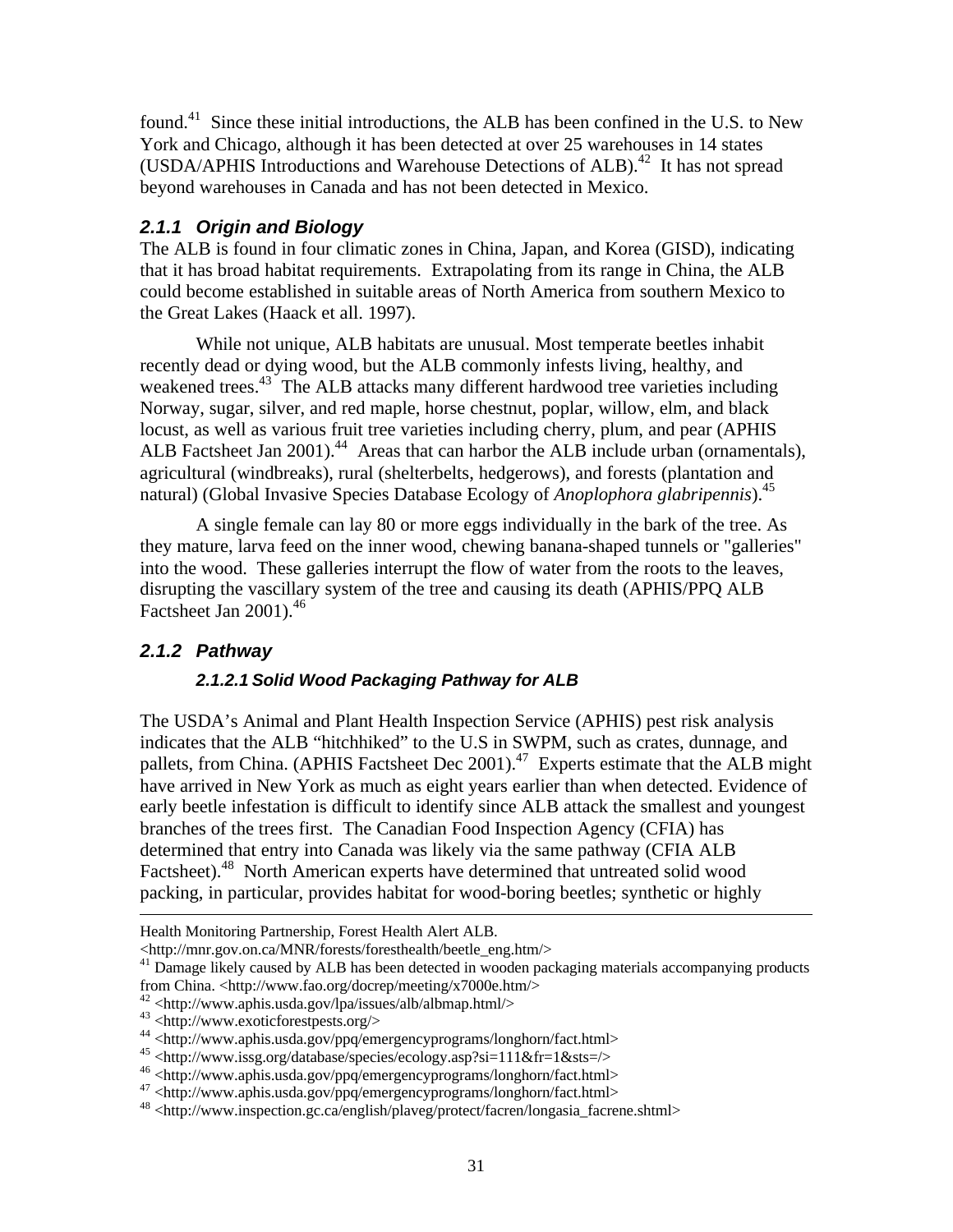found.<sup>41</sup> Since these initial introductions, the ALB has been confined in the U.S. to New York and Chicago, although it has been detected at over 25 warehouses in 14 states (USDA/APHIS Introductions and Warehouse Detections of ALB).<sup>42</sup> It has not spread beyond warehouses in Canada and has not been detected in Mexico.

### *2.1.1 Origin and Biology*

The ALB is found in four climatic zones in China, Japan, and Korea (GISD), indicating that it has broad habitat requirements. Extrapolating from its range in China, the ALB could become established in suitable areas of North America from southern Mexico to the Great Lakes (Haack et all. 1997).

While not unique, ALB habitats are unusual. Most temperate beetles inhabit recently dead or dying wood, but the ALB commonly infests living, healthy, and weakened trees.<sup>43</sup> The ALB attacks many different hardwood tree varieties including Norway, sugar, silver, and red maple, horse chestnut, poplar, willow, elm, and black locust, as well as various fruit tree varieties including cherry, plum, and pear (APHIS ALB Factsheet Jan  $2001$ ).<sup>44</sup> Areas that can harbor the ALB include urban (ornamentals), agricultural (windbreaks), rural (shelterbelts, hedgerows), and forests (plantation and natural) (Global Invasive Species Database Ecology of *Anoplophora glabripennis*).<sup>45</sup>

A single female can lay 80 or more eggs individually in the bark of the tree. As they mature, larva feed on the inner wood, chewing banana-shaped tunnels or "galleries" into the wood. These galleries interrupt the flow of water from the roots to the leaves, disrupting the vascillary system of the tree and causing its death (APHIS/PPQ ALB Factsheet Jan  $2001$ ).<sup>46</sup>

## *2.1.2 Pathway*

 $\overline{a}$ 

### *2.1.2.1 Solid Wood Packaging Pathway for ALB*

The USDA's Animal and Plant Health Inspection Service (APHIS) pest risk analysis indicates that the ALB "hitchhiked" to the U.S in SWPM, such as crates, dunnage, and pallets, from China. (APHIS Factsheet Dec 2001).<sup>47</sup> Experts estimate that the ALB might have arrived in New York as much as eight years earlier than when detected. Evidence of early beetle infestation is difficult to identify since ALB attack the smallest and youngest branches of the trees first. The Canadian Food Inspection Agency (CFIA) has determined that entry into Canada was likely via the same pathway (CFIA ALB Factsheet).<sup>48</sup> North American experts have determined that untreated solid wood packing, in particular, provides habitat for wood-boring beetles; synthetic or highly

Health Monitoring Partnership, Forest Health Alert ALB.

<sup>&</sup>lt;http://mnr.gov.on.ca/MNR/forests/foresthealth/beetle\_eng.htm/>

<sup>&</sup>lt;sup>41</sup> Damage likely caused by ALB has been detected in wooden packaging materials accompanying products from China. <http://www.fao.org/docrep/meeting/x7000e.htm/>

<sup>42</sup> <http://www.aphis.usda.gov/lpa/issues/alb/albmap.html/>

<sup>43</sup> <http://www.exoticforestpests.org/>

<sup>44</sup> <http://www.aphis.usda.gov/ppq/emergencyprograms/longhorn/fact.html>

 $45$  <http://www.issg.org/database/species/ecology.asp?si=111&fr=1&sts=/>

<sup>46</sup> <http://www.aphis.usda.gov/ppq/emergencyprograms/longhorn/fact.html>

<sup>47</sup> <http://www.aphis.usda.gov/ppq/emergencyprograms/longhorn/fact.html>

<sup>48</sup> <http://www.inspection.gc.ca/english/plaveg/protect/facren/longasia\_facrene.shtml>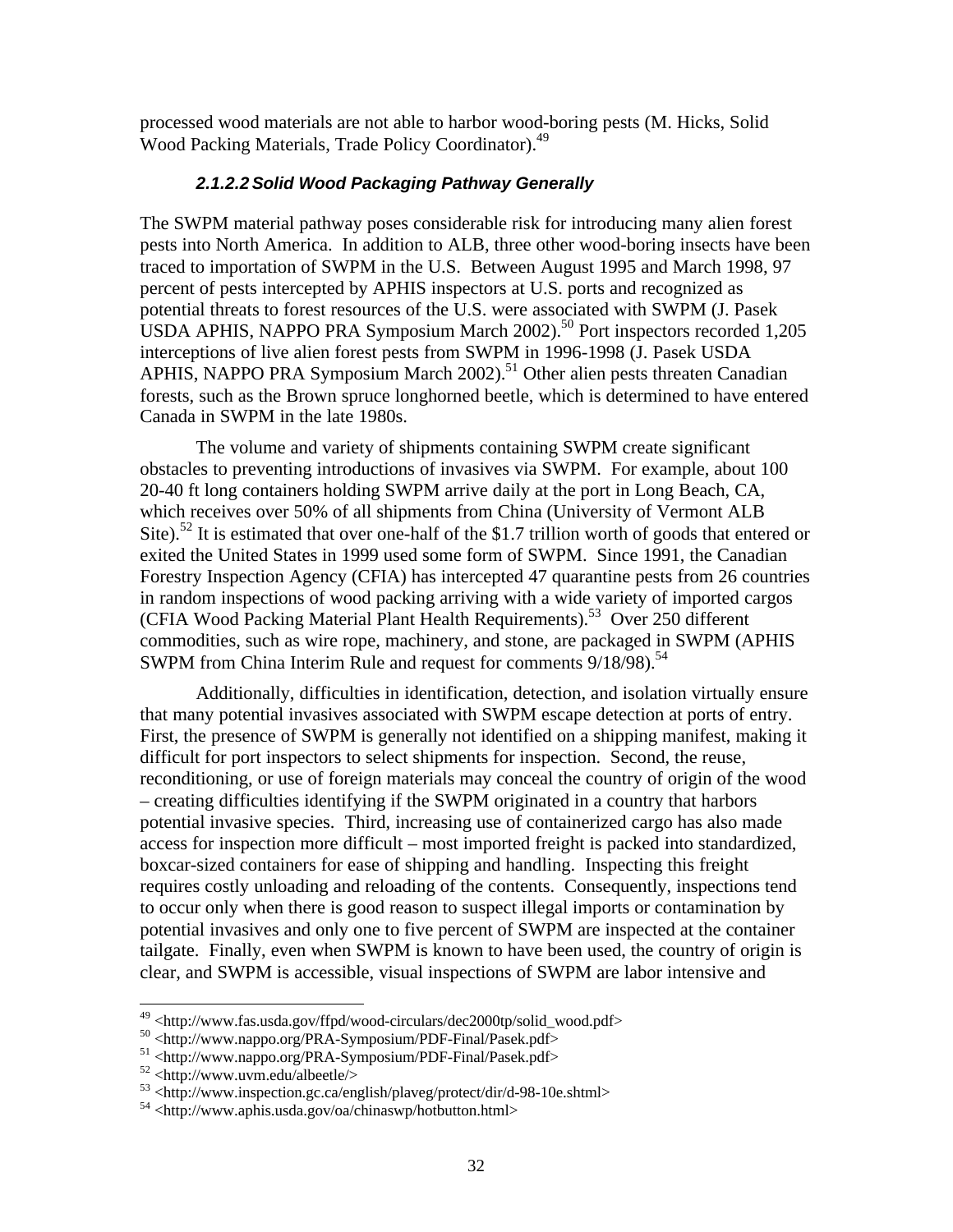processed wood materials are not able to harbor wood-boring pests (M. Hicks, Solid Wood Packing Materials, Trade Policy Coordinator).<sup>49</sup>

### *2.1.2.2Solid Wood Packaging Pathway Generally*

The SWPM material pathway poses considerable risk for introducing many alien forest pests into North America. In addition to ALB, three other wood-boring insects have been traced to importation of SWPM in the U.S. Between August 1995 and March 1998, 97 percent of pests intercepted by APHIS inspectors at U.S. ports and recognized as potential threats to forest resources of the U.S. were associated with SWPM (J. Pasek USDA APHIS, NAPPO PRA Symposium March  $2002$ <sup>50</sup> Port inspectors recorded 1,205 interceptions of live alien forest pests from SWPM in 1996-1998 (J. Pasek USDA APHIS, NAPPO PRA Symposium March 2002).<sup>51</sup> Other alien pests threaten Canadian forests, such as the Brown spruce longhorned beetle, which is determined to have entered Canada in SWPM in the late 1980s.

The volume and variety of shipments containing SWPM create significant obstacles to preventing introductions of invasives via SWPM. For example, about 100 20-40 ft long containers holding SWPM arrive daily at the port in Long Beach, CA, which receives over 50% of all shipments from China (University of Vermont ALB Site).<sup>52</sup> It is estimated that over one-half of the \$1.7 trillion worth of goods that entered or exited the United States in 1999 used some form of SWPM. Since 1991, the Canadian Forestry Inspection Agency (CFIA) has intercepted 47 quarantine pests from 26 countries in random inspections of wood packing arriving with a wide variety of imported cargos (CFIA Wood Packing Material Plant Health Requirements).<sup>53</sup> Over 250 different commodities, such as wire rope, machinery, and stone, are packaged in SWPM (APHIS SWPM from China Interim Rule and request for comments 9/18/98).<sup>54</sup>

Additionally, difficulties in identification, detection, and isolation virtually ensure that many potential invasives associated with SWPM escape detection at ports of entry. First, the presence of SWPM is generally not identified on a shipping manifest, making it difficult for port inspectors to select shipments for inspection. Second, the reuse, reconditioning, or use of foreign materials may conceal the country of origin of the wood – creating difficulties identifying if the SWPM originated in a country that harbors potential invasive species. Third, increasing use of containerized cargo has also made access for inspection more difficult – most imported freight is packed into standardized, boxcar-sized containers for ease of shipping and handling. Inspecting this freight requires costly unloading and reloading of the contents. Consequently, inspections tend to occur only when there is good reason to suspect illegal imports or contamination by potential invasives and only one to five percent of SWPM are inspected at the container tailgate. Finally, even when SWPM is known to have been used, the country of origin is clear, and SWPM is accessible, visual inspections of SWPM are labor intensive and

<sup>&</sup>lt;sup>49</sup> <http://www.fas.usda.gov/ffpd/wood-circulars/dec2000tp/solid\_wood.pdf>

<sup>50</sup> <http://www.nappo.org/PRA-Symposium/PDF-Final/Pasek.pdf>

<sup>51 &</sup>lt;http://www.nappo.org/PRA-Symposium/PDF-Final/Pasek.pdf>

 $52$  <http://www.uvm.edu/albeetle/>

<sup>53</sup> <http://www.inspection.gc.ca/english/plaveg/protect/dir/d-98-10e.shtml>

<sup>54</sup> <http://www.aphis.usda.gov/oa/chinaswp/hotbutton.html>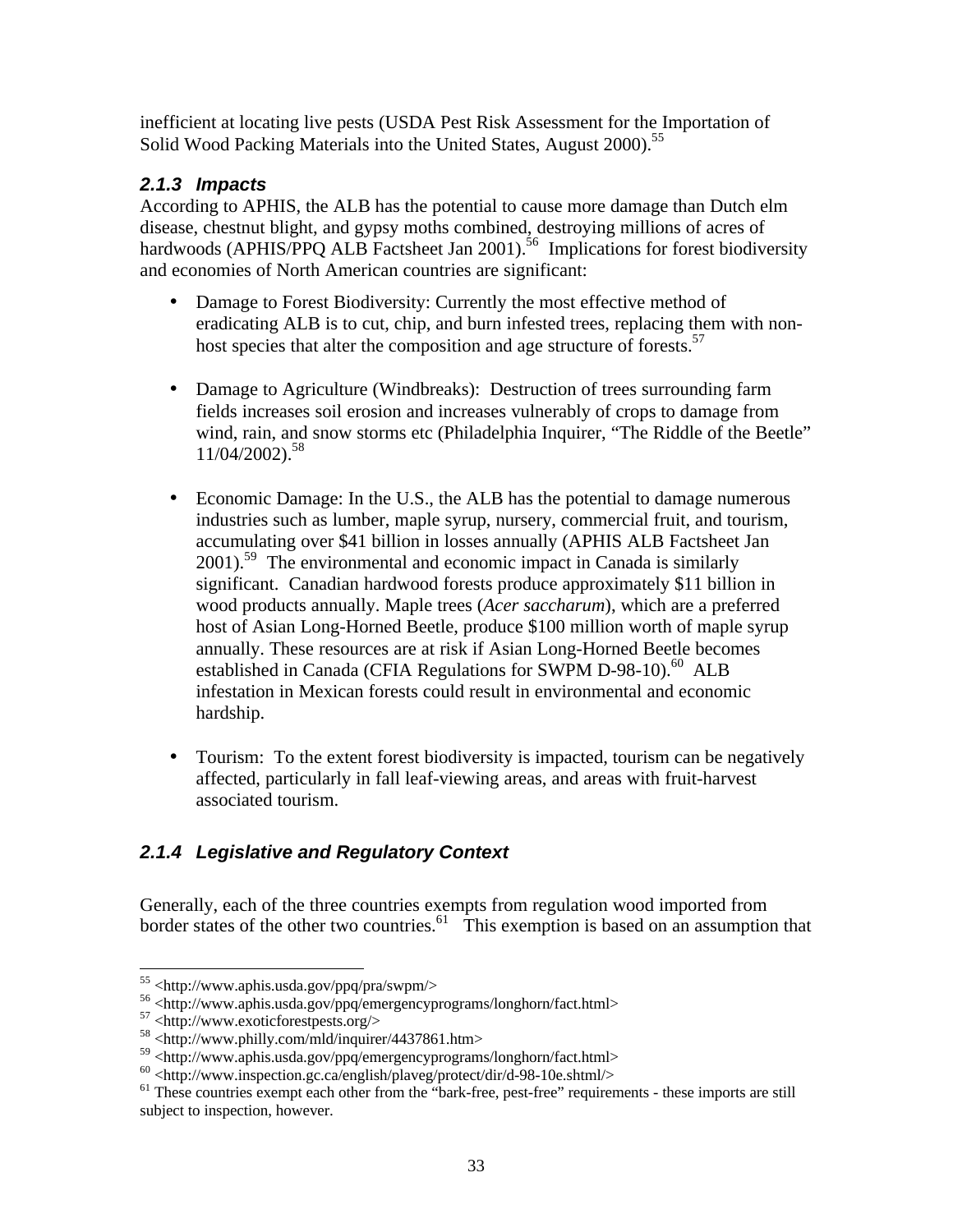inefficient at locating live pests (USDA Pest Risk Assessment for the Importation of Solid Wood Packing Materials into the United States, August 2000).<sup>55</sup>

## *2.1.3 Impacts*

According to APHIS, the ALB has the potential to cause more damage than Dutch elm disease, chestnut blight, and gypsy moths combined, destroying millions of acres of hardwoods (APHIS/PPQ ALB Factsheet Jan 2001).<sup>56</sup> Implications for forest biodiversity and economies of North American countries are significant:

- Damage to Forest Biodiversity: Currently the most effective method of eradicating ALB is to cut, chip, and burn infested trees, replacing them with nonhost species that alter the composition and age structure of forests.<sup>57</sup>
- Damage to Agriculture (Windbreaks): Destruction of trees surrounding farm fields increases soil erosion and increases vulnerably of crops to damage from wind, rain, and snow storms etc (Philadelphia Inquirer, "The Riddle of the Beetle" 11/04/2002).<sup>58</sup>
- Economic Damage: In the U.S., the ALB has the potential to damage numerous industries such as lumber, maple syrup, nursery, commercial fruit, and tourism, accumulating over \$41 billion in losses annually (APHIS ALB Factsheet Jan  $2001$ <sup>59</sup>. The environmental and economic impact in Canada is similarly significant. Canadian hardwood forests produce approximately \$11 billion in wood products annually. Maple trees (*Acer saccharum*), which are a preferred host of Asian Long-Horned Beetle, produce \$100 million worth of maple syrup annually. These resources are at risk if Asian Long-Horned Beetle becomes established in Canada (CFIA Regulations for SWPM D-98-10).<sup>60</sup> ALB infestation in Mexican forests could result in environmental and economic hardship.
- Tourism: To the extent forest biodiversity is impacted, tourism can be negatively affected, particularly in fall leaf-viewing areas, and areas with fruit-harvest associated tourism.

# *2.1.4 Legislative and Regulatory Context*

Generally, each of the three countries exempts from regulation wood imported from border states of the other two countries.<sup>61</sup> This exemption is based on an assumption that

<sup>55</sup> <http://www.aphis.usda.gov/ppq/pra/swpm/>

<sup>56</sup> <http://www.aphis.usda.gov/ppq/emergencyprograms/longhorn/fact.html>

 $57$  <http://www.exoticforestpests.org/>

<sup>58</sup> <http://www.philly.com/mld/inquirer/4437861.htm>

<sup>59 &</sup>lt;http://www.aphis.usda.gov/ppq/emergencyprograms/longhorn/fact.html>

 $^{60}$  <http://www.inspection.gc.ca/english/plaveg/protect/dir/d-98-10e.shtml/>

<sup>&</sup>lt;sup>61</sup> These countries exempt each other from the "bark-free, pest-free" requirements - these imports are still subject to inspection, however.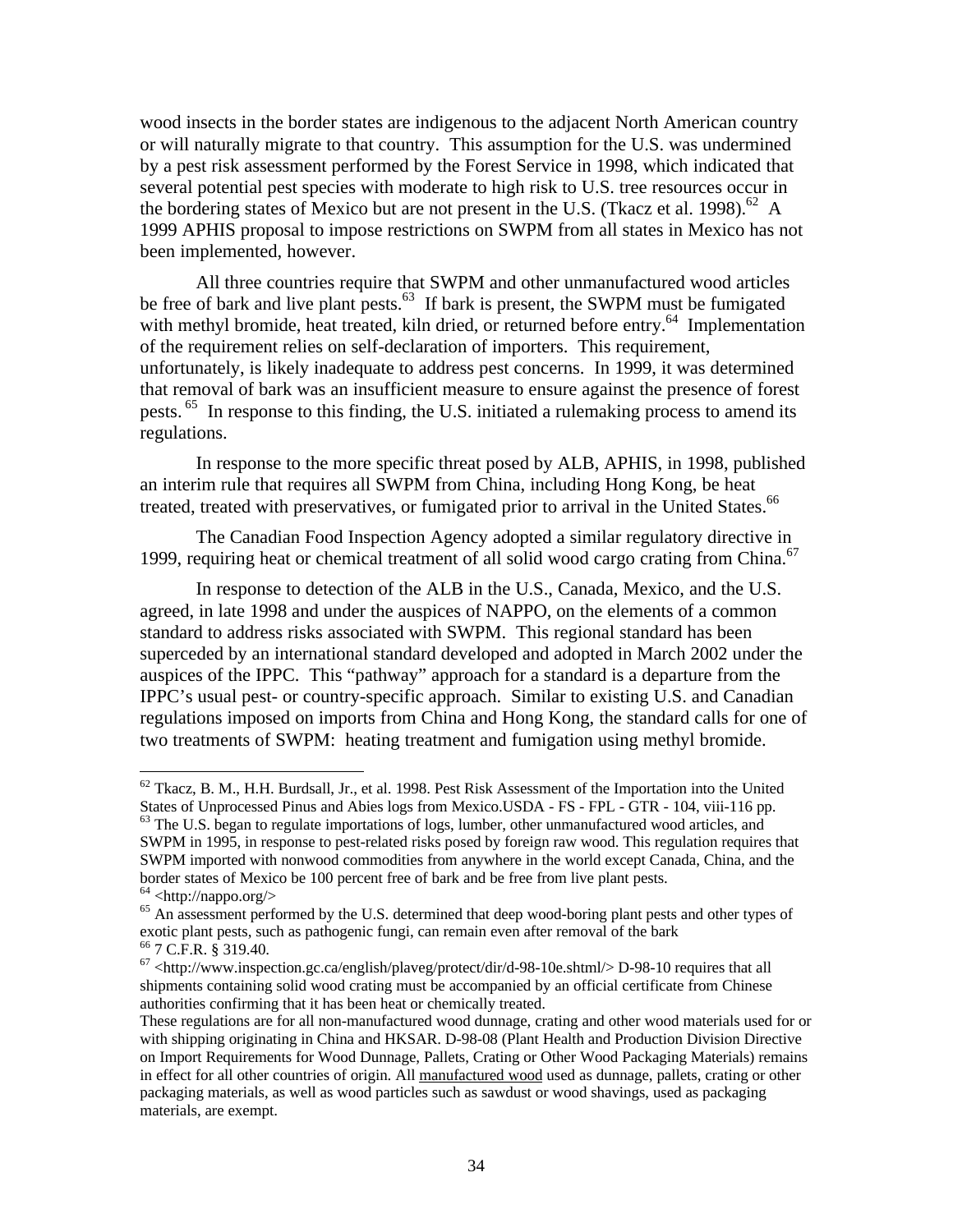wood insects in the border states are indigenous to the adjacent North American country or will naturally migrate to that country. This assumption for the U.S. was undermined by a pest risk assessment performed by the Forest Service in 1998, which indicated that several potential pest species with moderate to high risk to U.S. tree resources occur in the bordering states of Mexico but are not present in the U.S. (Tkacz et al. 1998).<sup>62</sup> A 1999 APHIS proposal to impose restrictions on SWPM from all states in Mexico has not been implemented, however.

All three countries require that SWPM and other unmanufactured wood articles be free of bark and live plant pests.<sup>63</sup> If bark is present, the SWPM must be fumigated with methyl bromide, heat treated, kiln dried, or returned before entry.<sup>64</sup> Implementation of the requirement relies on self-declaration of importers. This requirement, unfortunately, is likely inadequate to address pest concerns. In 1999, it was determined that removal of bark was an insufficient measure to ensure against the presence of forest pests. <sup>65</sup> In response to this finding, the U.S. initiated a rulemaking process to amend its regulations.

In response to the more specific threat posed by ALB, APHIS, in 1998, published an interim rule that requires all SWPM from China, including Hong Kong, be heat treated, treated with preservatives, or fumigated prior to arrival in the United States.<sup>66</sup>

The Canadian Food Inspection Agency adopted a similar regulatory directive in 1999, requiring heat or chemical treatment of all solid wood cargo crating from China.<sup>67</sup>

In response to detection of the ALB in the U.S., Canada, Mexico, and the U.S. agreed, in late 1998 and under the auspices of NAPPO, on the elements of a common standard to address risks associated with SWPM. This regional standard has been superceded by an international standard developed and adopted in March 2002 under the auspices of the IPPC. This "pathway" approach for a standard is a departure from the IPPC's usual pest- or country-specific approach. Similar to existing U.S. and Canadian regulations imposed on imports from China and Hong Kong, the standard calls for one of two treatments of SWPM: heating treatment and fumigation using methyl bromide.

 $62$  Tkacz, B. M., H.H. Burdsall, Jr., et al. 1998. Pest Risk Assessment of the Importation into the United States of Unprocessed Pinus and Abies logs from Mexico.USDA - FS - FPL - GTR - 104, viii-116 pp. <sup>63</sup> The U.S. began to regulate importations of logs, lumber, other unmanufactured wood articles, and

SWPM in 1995, in response to pest-related risks posed by foreign raw wood. This regulation requires that SWPM imported with nonwood commodities from anywhere in the world except Canada, China, and the border states of Mexico be 100 percent free of bark and be free from live plant pests.

 $64$  <http://nappo.org/>

<sup>&</sup>lt;sup>65</sup> An assessment performed by the U.S. determined that deep wood-boring plant pests and other types of exotic plant pests, such as pathogenic fungi, can remain even after removal of the bark <sup>66</sup> 7 C.F.R. § 319.40.

 $67$  <http://www.inspection.gc.ca/english/plaveg/protect/dir/d-98-10e.shtml/> D-98-10 requires that all shipments containing solid wood crating must be accompanied by an official certificate from Chinese authorities confirming that it has been heat or chemically treated.

These regulations are for all non-manufactured wood dunnage, crating and other wood materials used for or with shipping originating in China and HKSAR. D-98-08 (Plant Health and Production Division Directive on Import Requirements for Wood Dunnage, Pallets, Crating or Other Wood Packaging Materials) remains in effect for all other countries of origin. All manufactured wood used as dunnage, pallets, crating or other packaging materials, as well as wood particles such as sawdust or wood shavings, used as packaging materials, are exempt.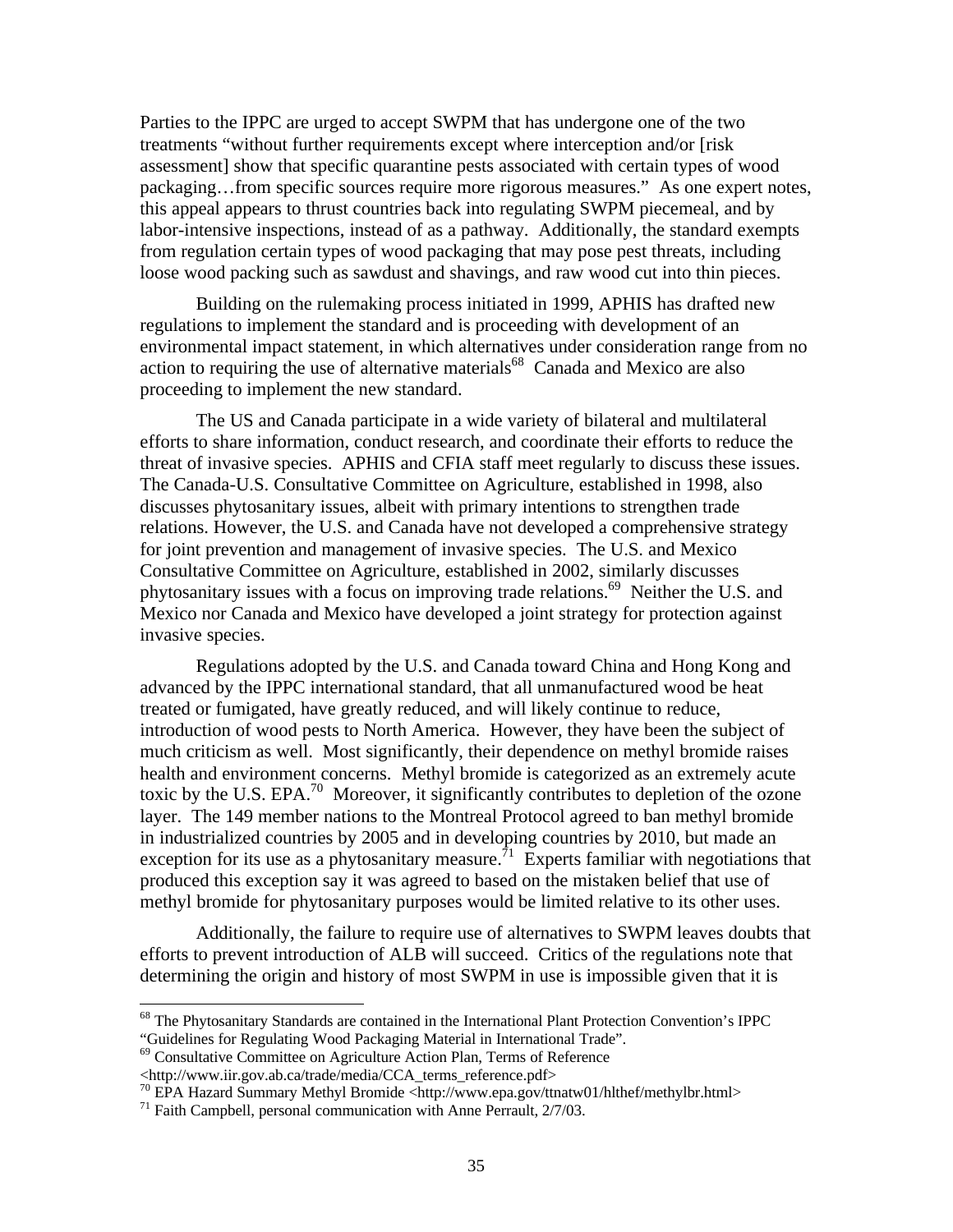Parties to the IPPC are urged to accept SWPM that has undergone one of the two treatments "without further requirements except where interception and/or [risk assessment] show that specific quarantine pests associated with certain types of wood packaging…from specific sources require more rigorous measures." As one expert notes, this appeal appears to thrust countries back into regulating SWPM piecemeal, and by labor-intensive inspections, instead of as a pathway. Additionally, the standard exempts from regulation certain types of wood packaging that may pose pest threats, including loose wood packing such as sawdust and shavings, and raw wood cut into thin pieces.

Building on the rulemaking process initiated in 1999, APHIS has drafted new regulations to implement the standard and is proceeding with development of an environmental impact statement, in which alternatives under consideration range from no action to requiring the use of alternative materials<sup>68</sup> Canada and Mexico are also proceeding to implement the new standard.

The US and Canada participate in a wide variety of bilateral and multilateral efforts to share information, conduct research, and coordinate their efforts to reduce the threat of invasive species. APHIS and CFIA staff meet regularly to discuss these issues. The Canada-U.S. Consultative Committee on Agriculture, established in 1998, also discusses phytosanitary issues, albeit with primary intentions to strengthen trade relations. However, the U.S. and Canada have not developed a comprehensive strategy for joint prevention and management of invasive species. The U.S. and Mexico Consultative Committee on Agriculture, established in 2002, similarly discusses phytosanitary issues with a focus on improving trade relations.<sup>69</sup> Neither the U.S. and Mexico nor Canada and Mexico have developed a joint strategy for protection against invasive species.

Regulations adopted by the U.S. and Canada toward China and Hong Kong and advanced by the IPPC international standard, that all unmanufactured wood be heat treated or fumigated, have greatly reduced, and will likely continue to reduce, introduction of wood pests to North America. However, they have been the subject of much criticism as well. Most significantly, their dependence on methyl bromide raises health and environment concerns. Methyl bromide is categorized as an extremely acute toxic by the U.S. EPA.<sup>70</sup> Moreover, it significantly contributes to depletion of the ozone layer. The 149 member nations to the Montreal Protocol agreed to ban methyl bromide in industrialized countries by 2005 and in developing countries by 2010, but made an exception for its use as a phytosanitary measure.<sup>71</sup> Experts familiar with negotiations that produced this exception say it was agreed to based on the mistaken belief that use of methyl bromide for phytosanitary purposes would be limited relative to its other uses.

Additionally, the failure to require use of alternatives to SWPM leaves doubts that efforts to prevent introduction of ALB will succeed. Critics of the regulations note that determining the origin and history of most SWPM in use is impossible given that it is

<sup>&</sup>lt;sup>68</sup> The Phytosanitary Standards are contained in the International Plant Protection Convention's IPPC "Guidelines for Regulating Wood Packaging Material in International Trade".

<sup>&</sup>lt;sup>69</sup> Consultative Committee on Agriculture Action Plan, Terms of Reference

<sup>&</sup>lt;http://www.iir.gov.ab.ca/trade/media/CCA\_terms\_reference.pdf>

<sup>70</sup> EPA Hazard Summary Methyl Bromide <http://www.epa.gov/ttnatw01/hlthef/methylbr.html>

<sup>71</sup> Faith Campbell, personal communication with Anne Perrault, 2/7/03.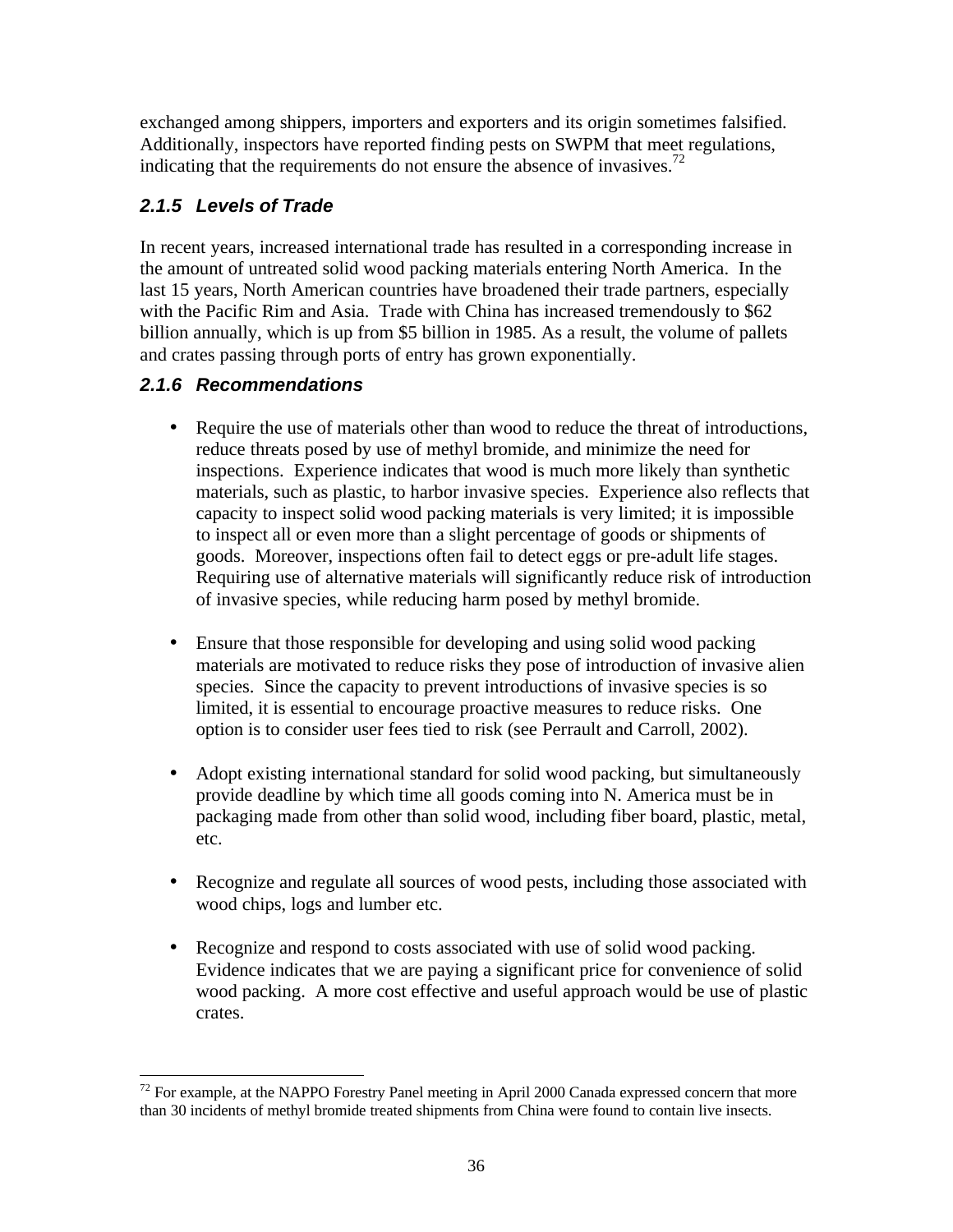exchanged among shippers, importers and exporters and its origin sometimes falsified. Additionally, inspectors have reported finding pests on SWPM that meet regulations, indicating that the requirements do not ensure the absence of invasives.<sup>72</sup>

# *2.1.5 Levels of Trade*

In recent years, increased international trade has resulted in a corresponding increase in the amount of untreated solid wood packing materials entering North America. In the last 15 years, North American countries have broadened their trade partners, especially with the Pacific Rim and Asia. Trade with China has increased tremendously to \$62 billion annually, which is up from \$5 billion in 1985. As a result, the volume of pallets and crates passing through ports of entry has grown exponentially.

# *2.1.6 Recommendations*

- Require the use of materials other than wood to reduce the threat of introductions, reduce threats posed by use of methyl bromide, and minimize the need for inspections. Experience indicates that wood is much more likely than synthetic materials, such as plastic, to harbor invasive species. Experience also reflects that capacity to inspect solid wood packing materials is very limited; it is impossible to inspect all or even more than a slight percentage of goods or shipments of goods. Moreover, inspections often fail to detect eggs or pre-adult life stages. Requiring use of alternative materials will significantly reduce risk of introduction of invasive species, while reducing harm posed by methyl bromide.
- Ensure that those responsible for developing and using solid wood packing materials are motivated to reduce risks they pose of introduction of invasive alien species. Since the capacity to prevent introductions of invasive species is so limited, it is essential to encourage proactive measures to reduce risks. One option is to consider user fees tied to risk (see Perrault and Carroll, 2002).
- Adopt existing international standard for solid wood packing, but simultaneously provide deadline by which time all goods coming into N. America must be in packaging made from other than solid wood, including fiber board, plastic, metal, etc.
- Recognize and regulate all sources of wood pests, including those associated with wood chips, logs and lumber etc.
- Recognize and respond to costs associated with use of solid wood packing. Evidence indicates that we are paying a significant price for convenience of solid wood packing. A more cost effective and useful approach would be use of plastic crates.

<sup>-</sup> $72$  For example, at the NAPPO Forestry Panel meeting in April 2000 Canada expressed concern that more than 30 incidents of methyl bromide treated shipments from China were found to contain live insects.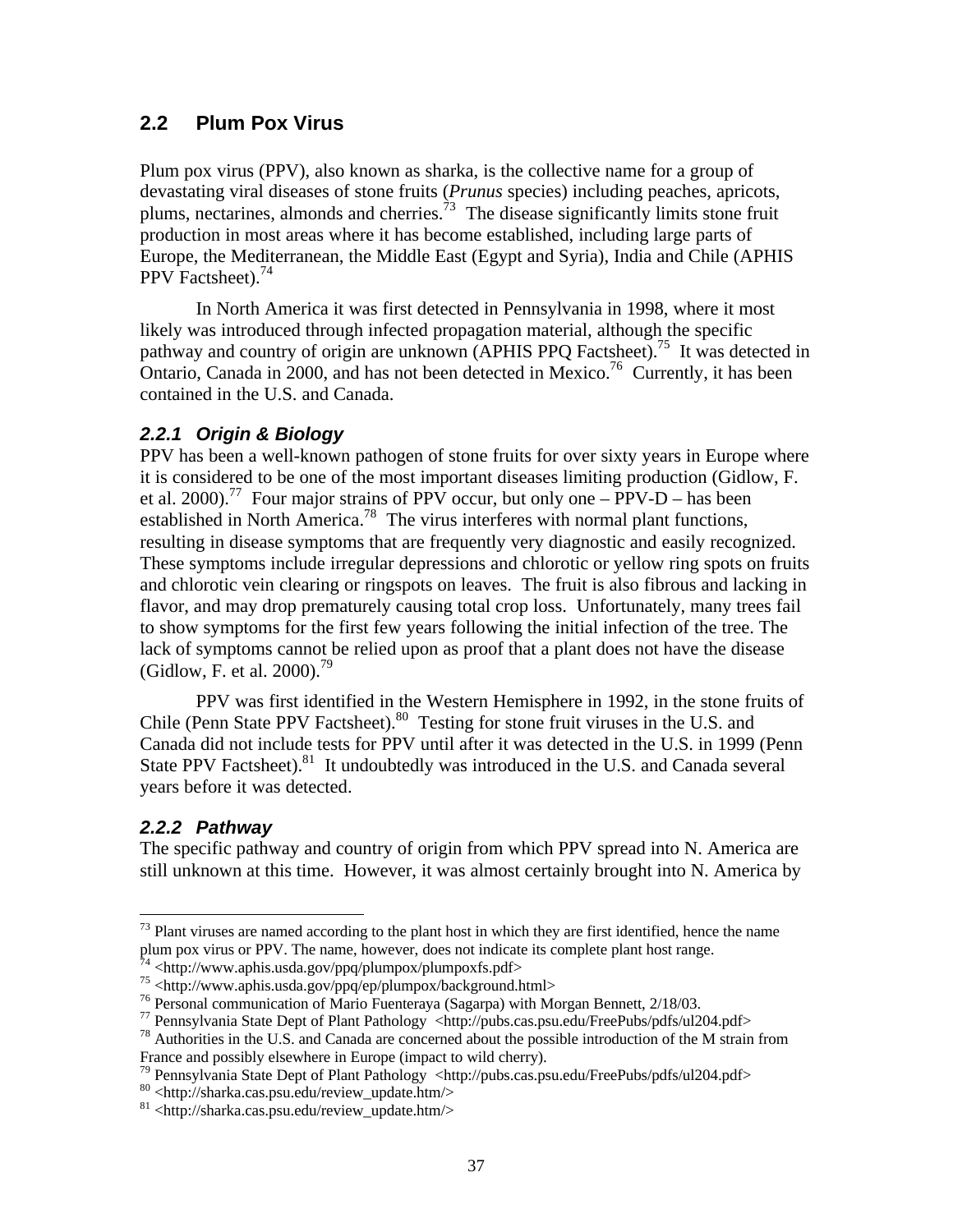### **2.2 Plum Pox Virus**

Plum pox virus (PPV), also known as sharka, is the collective name for a group of devastating viral diseases of stone fruits (*Prunus* species) including peaches, apricots, plums, nectarines, almonds and cherries.<sup>73</sup> The disease significantly limits stone fruit production in most areas where it has become established, including large parts of Europe, the Mediterranean, the Middle East (Egypt and Syria), India and Chile (APHIS PPV Factsheet).<sup>74</sup>

In North America it was first detected in Pennsylvania in 1998, where it most likely was introduced through infected propagation material, although the specific pathway and country of origin are unknown (APHIS PPQ Factsheet).<sup>75</sup> It was detected in Ontario, Canada in 2000, and has not been detected in Mexico.<sup>76</sup> Currently, it has been contained in the U.S. and Canada.

### *2.2.1 Origin & Biology*

PPV has been a well-known pathogen of stone fruits for over sixty years in Europe where it is considered to be one of the most important diseases limiting production (Gidlow, F. et al. 2000).<sup>77</sup> Four major strains of PPV occur, but only one – PPV-D – has been established in North America.<sup>78</sup> The virus interferes with normal plant functions, resulting in disease symptoms that are frequently very diagnostic and easily recognized. These symptoms include irregular depressions and chlorotic or yellow ring spots on fruits and chlorotic vein clearing or ringspots on leaves. The fruit is also fibrous and lacking in flavor, and may drop prematurely causing total crop loss. Unfortunately, many trees fail to show symptoms for the first few years following the initial infection of the tree. The lack of symptoms cannot be relied upon as proof that a plant does not have the disease (Gidlow, F. et al.  $2000$ ).<sup>79</sup>

PPV was first identified in the Western Hemisphere in 1992, in the stone fruits of Chile (Penn State PPV Factsheet).<sup>80</sup> Testing for stone fruit viruses in the U.S. and Canada did not include tests for PPV until after it was detected in the U.S. in 1999 (Penn State PPV Factsheet).<sup>81</sup> It undoubtedly was introduced in the U.S. and Canada several years before it was detected.

### *2.2.2 Pathway*

 $\overline{a}$ 

The specific pathway and country of origin from which PPV spread into N. America are still unknown at this time. However, it was almost certainly brought into N. America by

 $<sup>73</sup>$  Plant viruses are named according to the plant host in which they are first identified, hence the name</sup> plum pox virus or PPV. The name, however, does not indicate its complete plant host range.

 $4$  <http://www.aphis.usda.gov/ppq/plumpox/plumpoxfs.pdf>

 $^{75}$  <http://www.aphis.usda.gov/ppq/ep/plumpox/background.html>

<sup>76</sup> Personal communication of Mario Fuenteraya (Sagarpa) with Morgan Bennett, 2/18/03.

<sup>77</sup> Pennsylvania State Dept of Plant Pathology <http://pubs.cas.psu.edu/FreePubs/pdfs/ul204.pdf>

<sup>78</sup> Authorities in the U.S. and Canada are concerned about the possible introduction of the M strain from France and possibly elsewhere in Europe (impact to wild cherry).

<sup>&</sup>lt;sup>79</sup> Pennsylvania State Dept of Plant Pathology <http://pubs.cas.psu.edu/FreePubs/pdfs/ul204.pdf>

<sup>80</sup> <http://sharka.cas.psu.edu/review\_update.htm/>

<sup>81</sup> <http://sharka.cas.psu.edu/review\_update.htm/>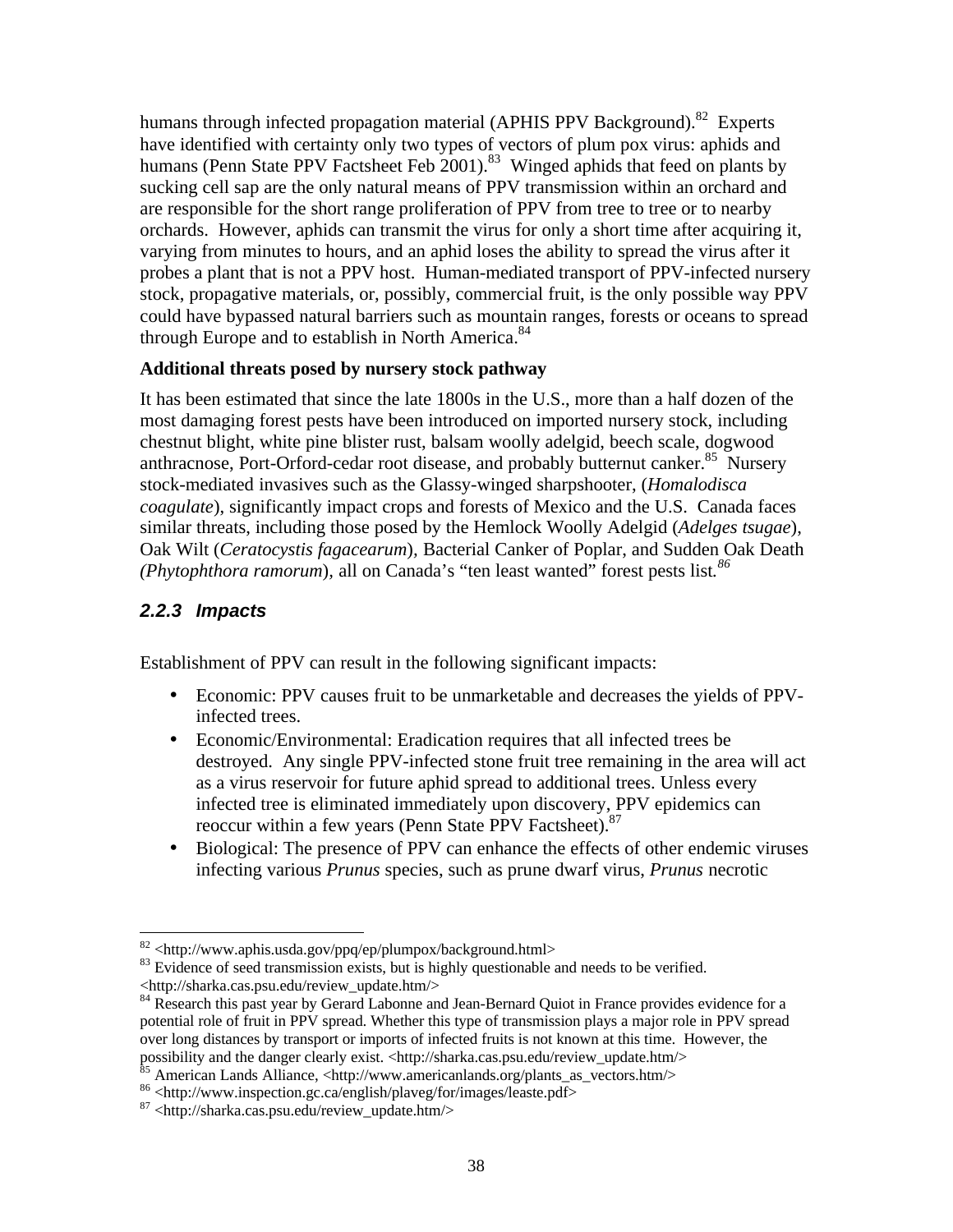humans through infected propagation material (APHIS PPV Background).<sup>82</sup> Experts have identified with certainty only two types of vectors of plum pox virus: aphids and humans (Penn State PPV Factsheet Feb 2001).<sup>83</sup> Winged aphids that feed on plants by sucking cell sap are the only natural means of PPV transmission within an orchard and are responsible for the short range proliferation of PPV from tree to tree or to nearby orchards. However, aphids can transmit the virus for only a short time after acquiring it, varying from minutes to hours, and an aphid loses the ability to spread the virus after it probes a plant that is not a PPV host. Human-mediated transport of PPV-infected nursery stock, propagative materials, or, possibly, commercial fruit, is the only possible way PPV could have bypassed natural barriers such as mountain ranges, forests or oceans to spread through Europe and to establish in North America.<sup>84</sup>

### **Additional threats posed by nursery stock pathway**

It has been estimated that since the late 1800s in the U.S., more than a half dozen of the most damaging forest pests have been introduced on imported nursery stock, including chestnut blight, white pine blister rust, balsam woolly adelgid, beech scale, dogwood anthracnose, Port-Orford-cedar root disease, and probably butternut canker.<sup>85</sup> Nursery stock-mediated invasives such as the Glassy-winged sharpshooter, (*Homalodisca coagulate*), significantly impact crops and forests of Mexico and the U.S. Canada faces similar threats, including those posed by the Hemlock Woolly Adelgid (*Adelges tsugae*), Oak Wilt (*Ceratocystis fagacearum*)*,* Bacterial Canker of Poplar, and Sudden Oak Death *(Phytophthora ramorum*)*,* all on Canada's "ten least wanted" forest pests list*. 86*

### *2.2.3 Impacts*

Establishment of PPV can result in the following significant impacts:

- Economic: PPV causes fruit to be unmarketable and decreases the yields of PPVinfected trees.
- Economic/Environmental: Eradication requires that all infected trees be destroyed. Any single PPV-infected stone fruit tree remaining in the area will act as a virus reservoir for future aphid spread to additional trees. Unless every infected tree is eliminated immediately upon discovery, PPV epidemics can reoccur within a few years (Penn State PPV Factsheet).<sup>87</sup>
- Biological: The presence of PPV can enhance the effects of other endemic viruses infecting various *Prunus* species, such as prune dwarf virus, *Prunus* necrotic

 $\overline{a}$ <sup>82</sup> <http://www.aphis.usda.gov/ppq/ep/plumpox/background.html>

<sup>&</sup>lt;sup>83</sup> Evidence of seed transmission exists, but is highly questionable and needs to be verified. <http://sharka.cas.psu.edu/review\_update.htm/>

<sup>&</sup>lt;sup>84</sup> Research this past year by Gerard Labonne and Jean-Bernard Quiot in France provides evidence for a potential role of fruit in PPV spread. Whether this type of transmission plays a major role in PPV spread over long distances by transport or imports of infected fruits is not known at this time. However, the possibility and the danger clearly exist. <http://sharka.cas.psu.edu/review\_update.htm/>

<sup>&</sup>lt;sup>85</sup> American Lands Alliance, <http://www.americanlands.org/plants\_as\_vectors.htm/>

<sup>86</sup> <http://www.inspection.gc.ca/english/plaveg/for/images/leaste.pdf>

<sup>87</sup> <http://sharka.cas.psu.edu/review\_update.htm/>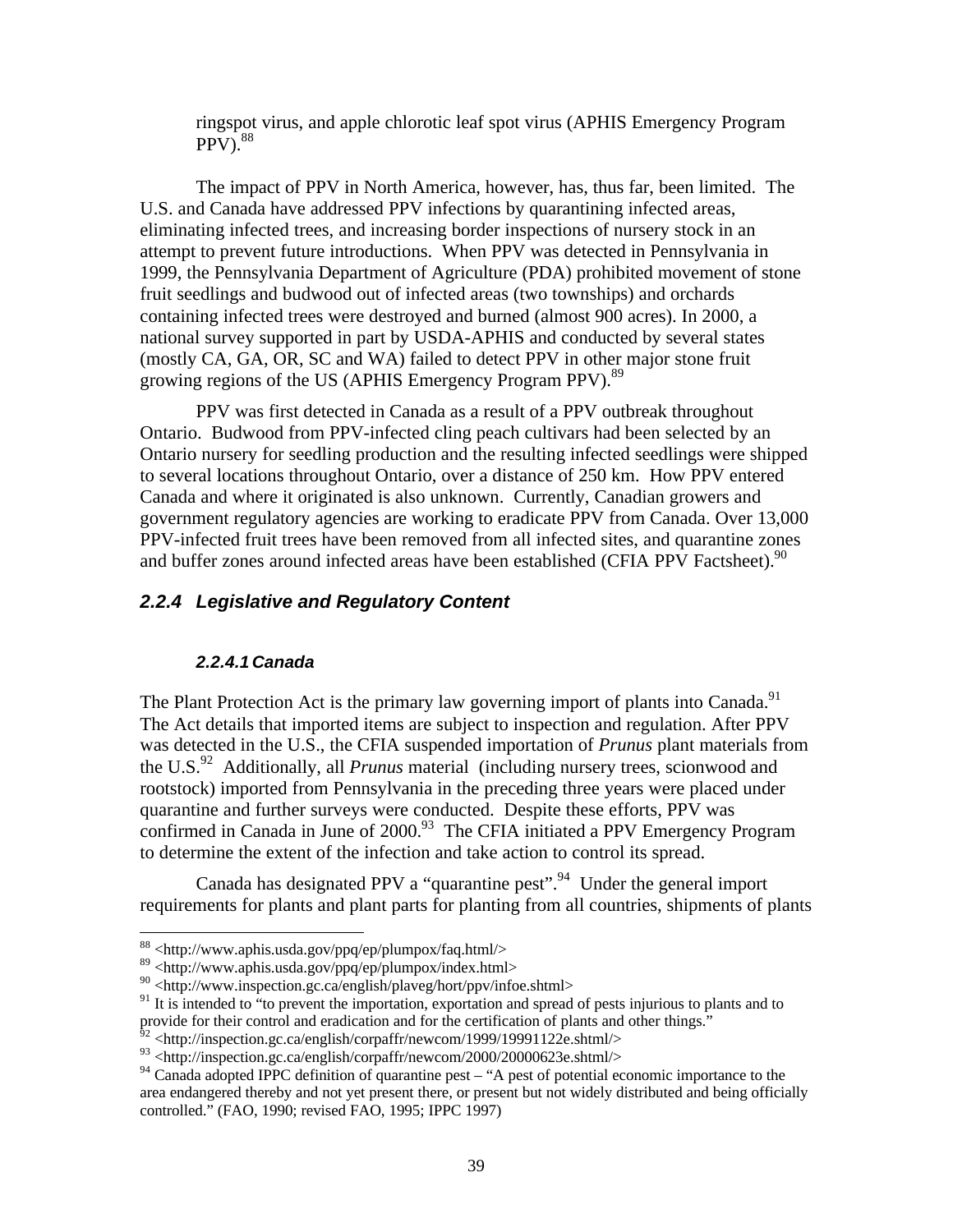ringspot virus, and apple chlorotic leaf spot virus (APHIS Emergency Program  $PPV$ ).  $88$ 

The impact of PPV in North America, however, has, thus far, been limited. The U.S. and Canada have addressed PPV infections by quarantining infected areas, eliminating infected trees, and increasing border inspections of nursery stock in an attempt to prevent future introductions. When PPV was detected in Pennsylvania in 1999, the Pennsylvania Department of Agriculture (PDA) prohibited movement of stone fruit seedlings and budwood out of infected areas (two townships) and orchards containing infected trees were destroyed and burned (almost 900 acres). In 2000, a national survey supported in part by USDA-APHIS and conducted by several states (mostly CA, GA, OR, SC and WA) failed to detect PPV in other major stone fruit growing regions of the US (APHIS Emergency Program PPV).<sup>89</sup>

PPV was first detected in Canada as a result of a PPV outbreak throughout Ontario. Budwood from PPV-infected cling peach cultivars had been selected by an Ontario nursery for seedling production and the resulting infected seedlings were shipped to several locations throughout Ontario, over a distance of 250 km. How PPV entered Canada and where it originated is also unknown. Currently, Canadian growers and government regulatory agencies are working to eradicate PPV from Canada. Over 13,000 PPV-infected fruit trees have been removed from all infected sites, and quarantine zones and buffer zones around infected areas have been established (CFIA PPV Factsheet). $90$ 

### *2.2.4 Legislative and Regulatory Content*

### *2.2.4.1 Canada*

The Plant Protection Act is the primary law governing import of plants into Canada.<sup>91</sup> The Act details that imported items are subject to inspection and regulation. After PPV was detected in the U.S., the CFIA suspended importation of *Prunus* plant materials from the U.S.<sup>92</sup> Additionally, all *Prunus* material (including nursery trees, scionwood and rootstock) imported from Pennsylvania in the preceding three years were placed under quarantine and further surveys were conducted. Despite these efforts, PPV was confirmed in Canada in June of  $2000<sup>93</sup>$  The CFIA initiated a PPV Emergency Program to determine the extent of the infection and take action to control its spread.

Canada has designated PPV a "quarantine pest".<sup>94</sup> Under the general import requirements for plants and plant parts for planting from all countries, shipments of plants

 $\overline{a}$ <sup>88</sup> <http://www.aphis.usda.gov/ppq/ep/plumpox/faq.html/>

<sup>89 &</sup>lt;http://www.aphis.usda.gov/ppq/ep/plumpox/index.html>

<sup>90</sup> <http://www.inspection.gc.ca/english/plaveg/hort/ppv/infoe.shtml>

<sup>&</sup>lt;sup>91</sup> It is intended to "to prevent the importation, exportation and spread of pests injurious to plants and to provide for their control and eradication and for the certification of plants and other things."

 $\mu^2$  <http://inspection.gc.ca/english/corpaffr/newcom/1999/19991122e.shtml/>

 $^{93}$  <http://inspection.gc.ca/english/corpaffr/newcom/2000/20000623e.shtml/>

<sup>&</sup>lt;sup>94</sup> Canada adopted IPPC definition of quarantine pest – "A pest of potential economic importance to the area endangered thereby and not yet present there, or present but not widely distributed and being officially controlled." (FAO, 1990; revised FAO, 1995; IPPC 1997)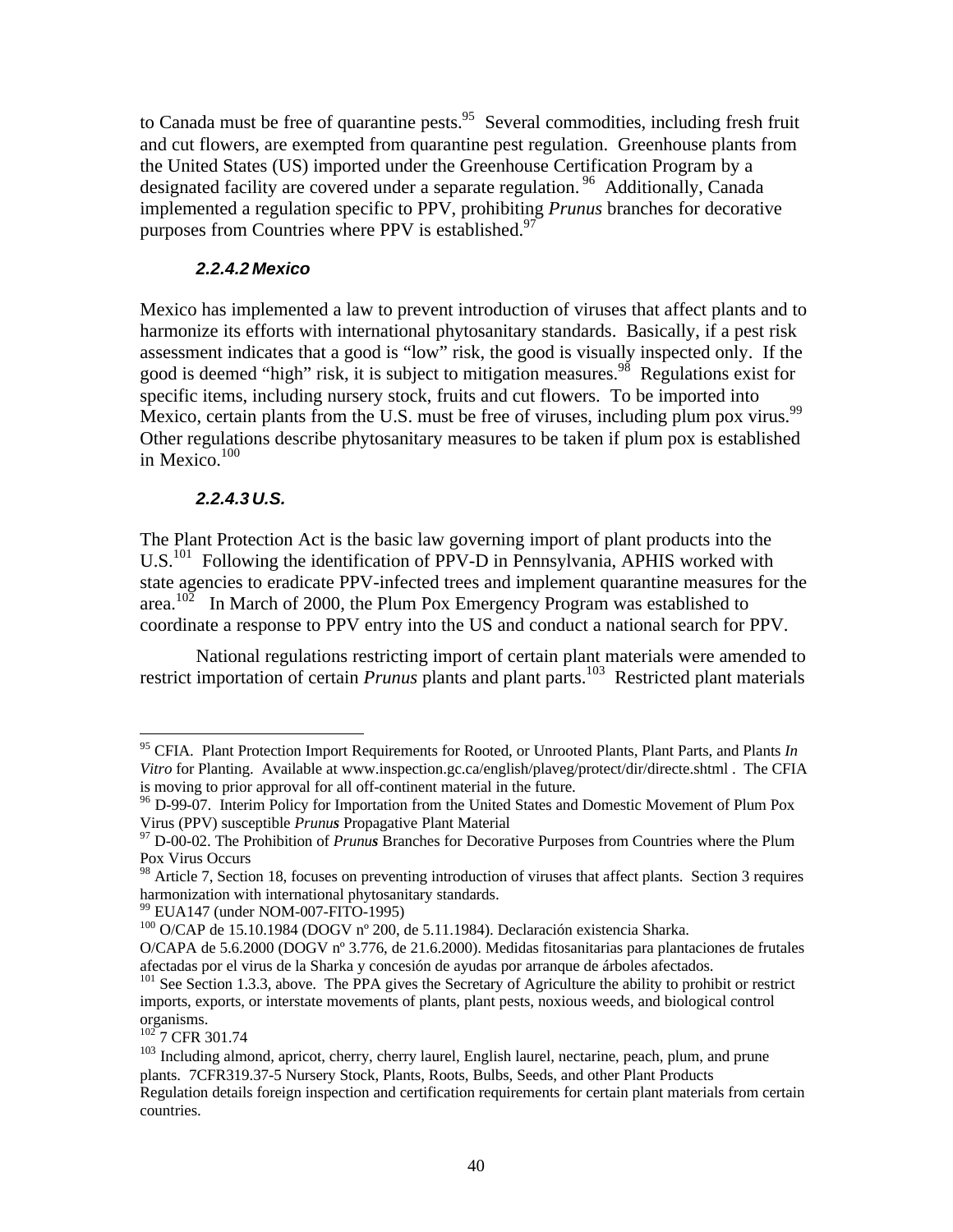to Canada must be free of quarantine pests. <sup>95</sup> Several commodities, including fresh fruit and cut flowers, are exempted from quarantine pest regulation. Greenhouse plants from the United States (US) imported under the Greenhouse Certification Program by a designated facility are covered under a separate regulation.<sup>96</sup> Additionally, Canada implemented a regulation specific to PPV, prohibiting *Prunus* branches for decorative purposes from Countries where PPV is established.<sup>97</sup>

### *2.2.4.2 Mexico*

Mexico has implemented a law to prevent introduction of viruses that affect plants and to harmonize its efforts with international phytosanitary standards. Basically, if a pest risk assessment indicates that a good is "low" risk, the good is visually inspected only. If the good is deemed "high" risk, it is subject to mitigation measures.<sup>98</sup> Regulations exist for specific items, including nursery stock, fruits and cut flowers. To be imported into Mexico, certain plants from the U.S. must be free of viruses, including plum pox virus.<sup>99</sup> Other regulations describe phytosanitary measures to be taken if plum pox is established in Mexico.<sup>100</sup>

#### *2.2.4.3 U.S.*

The Plant Protection Act is the basic law governing import of plant products into the U.S.<sup>101</sup> Following the identification of PPV-D in Pennsylvania, APHIS worked with state agencies to eradicate PPV-infected trees and implement quarantine measures for the area.<sup>102</sup> In March of 2000, the Plum Pox Emergency Program was established to coordinate a response to PPV entry into the US and conduct a national search for PPV.

National regulations restricting import of certain plant materials were amended to restrict importation of certain *Prunus* plants and plant parts.<sup>103</sup> Restricted plant materials

 $1027$  T CFR 301.74

<u>.</u>

<sup>95</sup> CFIA. Plant Protection Import Requirements for Rooted, or Unrooted Plants, Plant Parts, and Plants *In Vitro* for Planting. Available at www.inspection.gc.ca/english/plaveg/protect/dir/directe.shtml . The CFIA is moving to prior approval for all off-continent material in the future.

<sup>&</sup>lt;sup>96</sup> D-99-07. Interim Policy for Importation from the United States and Domestic Movement of Plum Pox Virus (PPV) susceptible *Prunus* Propagative Plant Material

<sup>&</sup>lt;sup>97</sup> D-00-02. The Prohibition of *Prunus* Branches for Decorative Purposes from Countries where the Plum Pox Virus Occurs

<sup>98</sup> Article 7, Section 18, focuses on preventing introduction of viruses that affect plants. Section 3 requires harmonization with international phytosanitary standards.

<sup>99</sup> EUA147 (under NOM-007-FITO-1995)

<sup>100</sup> O/CAP de 15.10.1984 (DOGV nº 200, de 5.11.1984). Declaración existencia Sharka.

O/CAPA de 5.6.2000 (DOGV nº 3.776, de 21.6.2000). Medidas fitosanitarias para plantaciones de frutales afectadas por el virus de la Sharka y concesión de ayudas por arranque de árboles afectados.

<sup>&</sup>lt;sup>101</sup> See Section 1.3.3, above. The PPA gives the Secretary of Agriculture the ability to prohibit or restrict imports, exports, or interstate movements of plants, plant pests, noxious weeds, and biological control organisms.

<sup>&</sup>lt;sup>103</sup> Including almond, apricot, cherry, cherry laurel, English laurel, nectarine, peach, plum, and prune plants. 7CFR319.37-5 Nursery Stock, Plants, Roots, Bulbs, Seeds, and other Plant Products Regulation details foreign inspection and certification requirements for certain plant materials from certain countries.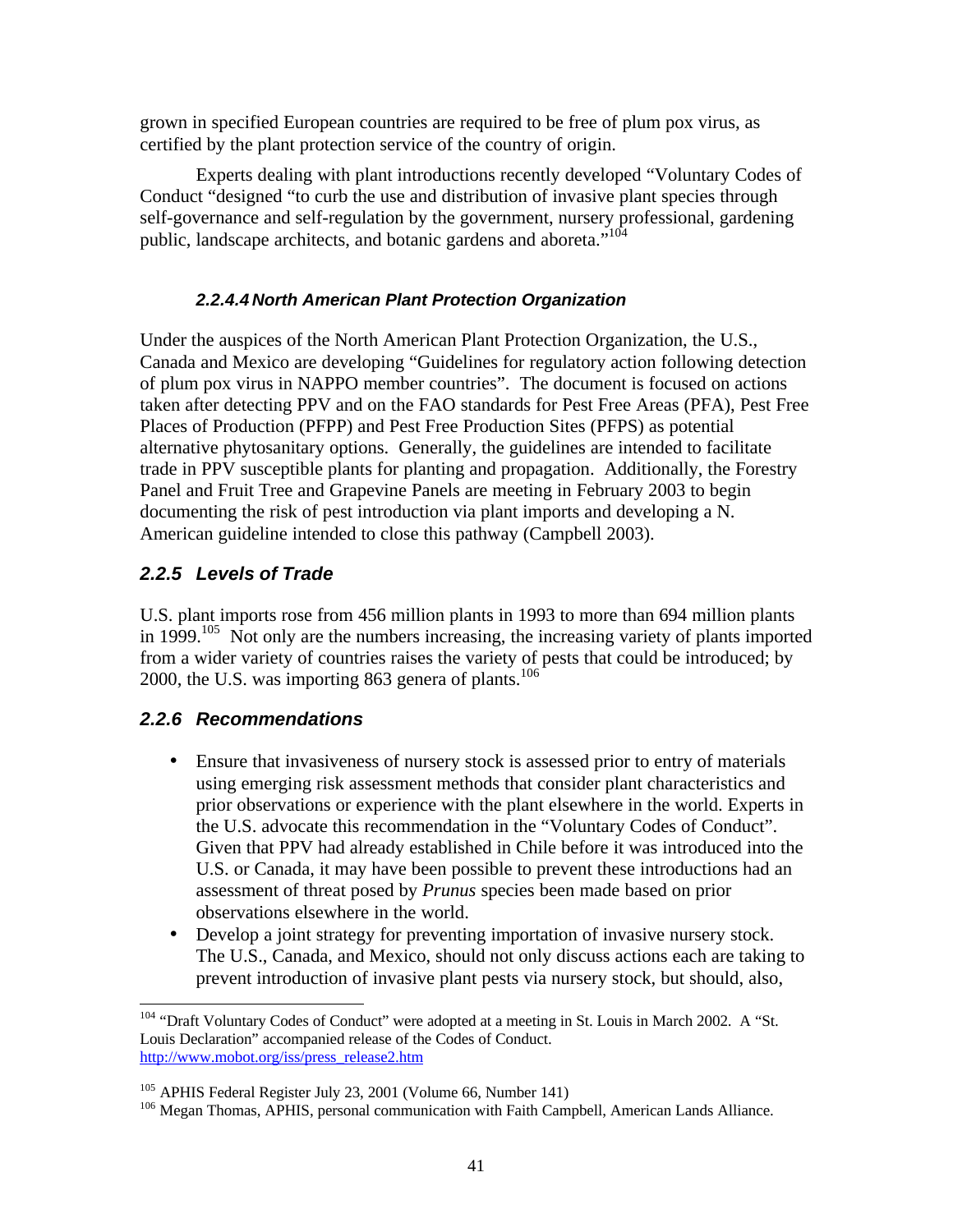grown in specified European countries are required to be free of plum pox virus, as certified by the plant protection service of the country of origin.

Experts dealing with plant introductions recently developed "Voluntary Codes of Conduct "designed "to curb the use and distribution of invasive plant species through self-governance and self-regulation by the government, nursery professional, gardening public, landscape architects, and botanic gardens and aboreta."<sup>104</sup>

### *2.2.4.4 North American Plant Protection Organization*

Under the auspices of the North American Plant Protection Organization, the U.S., Canada and Mexico are developing "Guidelines for regulatory action following detection of plum pox virus in NAPPO member countries". The document is focused on actions taken after detecting PPV and on the FAO standards for Pest Free Areas (PFA), Pest Free Places of Production (PFPP) and Pest Free Production Sites (PFPS) as potential alternative phytosanitary options. Generally, the guidelines are intended to facilitate trade in PPV susceptible plants for planting and propagation. Additionally, the Forestry Panel and Fruit Tree and Grapevine Panels are meeting in February 2003 to begin documenting the risk of pest introduction via plant imports and developing a N. American guideline intended to close this pathway (Campbell 2003).

## *2.2.5 Levels of Trade*

U.S. plant imports rose from 456 million plants in 1993 to more than 694 million plants in  $1999$ .<sup>105</sup> Not only are the numbers increasing, the increasing variety of plants imported from a wider variety of countries raises the variety of pests that could be introduced; by 2000, the U.S. was importing 863 genera of plants.<sup>106</sup>

### *2.2.6 Recommendations*

-

- Ensure that invasiveness of nursery stock is assessed prior to entry of materials using emerging risk assessment methods that consider plant characteristics and prior observations or experience with the plant elsewhere in the world. Experts in the U.S. advocate this recommendation in the "Voluntary Codes of Conduct". Given that PPV had already established in Chile before it was introduced into the U.S. or Canada, it may have been possible to prevent these introductions had an assessment of threat posed by *Prunus* species been made based on prior observations elsewhere in the world.
- Develop a joint strategy for preventing importation of invasive nursery stock. The U.S., Canada, and Mexico, should not only discuss actions each are taking to prevent introduction of invasive plant pests via nursery stock, but should, also,

<sup>&</sup>lt;sup>104</sup> "Draft Voluntary Codes of Conduct" were adopted at a meeting in St. Louis in March 2002. A "St. Louis Declaration" accompanied release of the Codes of Conduct. http://www.mobot.org/iss/press\_release2.htm

<sup>105</sup> APHIS Federal Register July 23, 2001 (Volume 66, Number 141)

<sup>&</sup>lt;sup>106</sup> Megan Thomas, APHIS, personal communication with Faith Campbell, American Lands Alliance.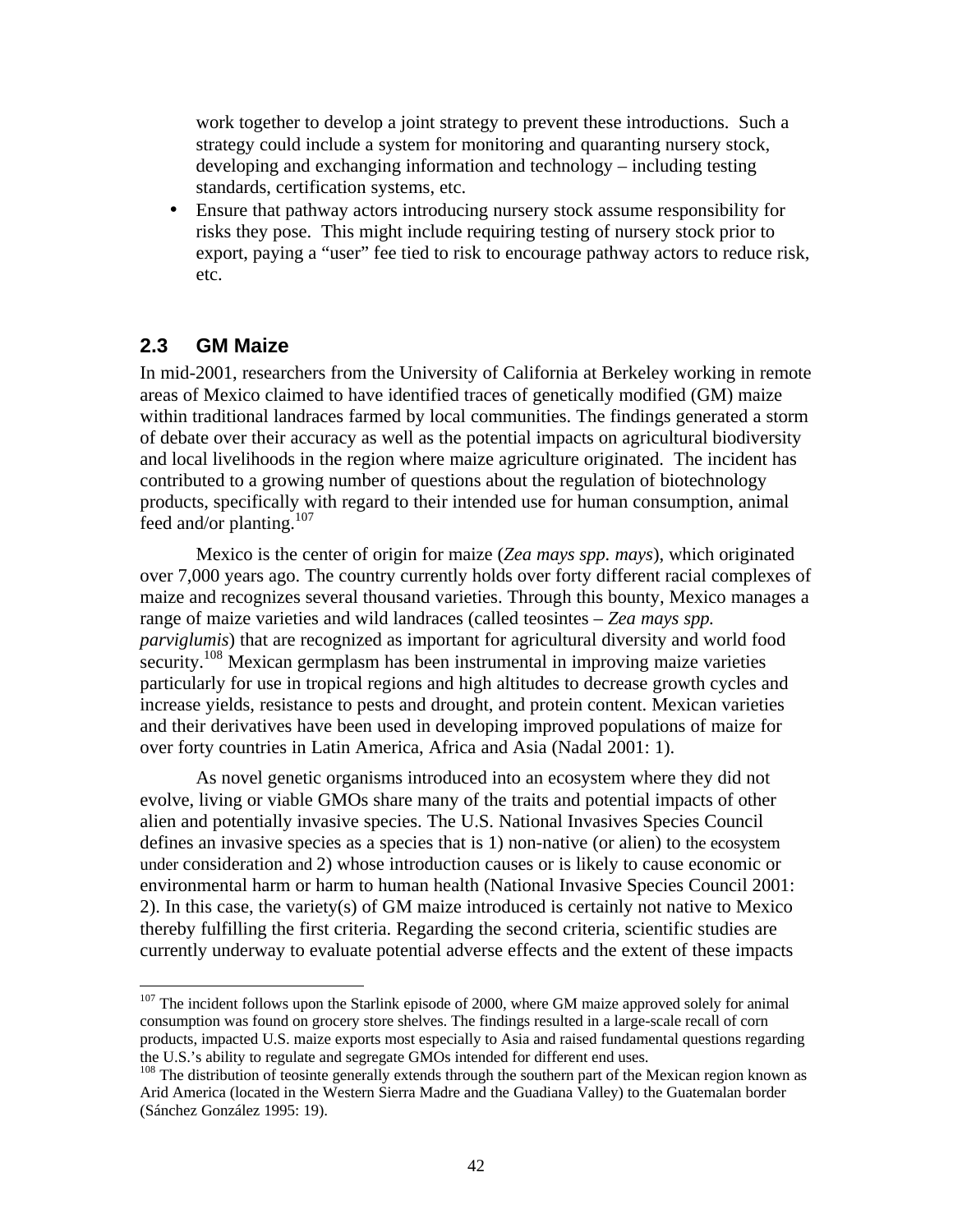work together to develop a joint strategy to prevent these introductions. Such a strategy could include a system for monitoring and quaranting nursery stock, developing and exchanging information and technology – including testing standards, certification systems, etc.

• Ensure that pathway actors introducing nursery stock assume responsibility for risks they pose. This might include requiring testing of nursery stock prior to export, paying a "user" fee tied to risk to encourage pathway actors to reduce risk, etc.

### **2.3 GM Maize**

-

In mid-2001, researchers from the University of California at Berkeley working in remote areas of Mexico claimed to have identified traces of genetically modified (GM) maize within traditional landraces farmed by local communities. The findings generated a storm of debate over their accuracy as well as the potential impacts on agricultural biodiversity and local livelihoods in the region where maize agriculture originated. The incident has contributed to a growing number of questions about the regulation of biotechnology products, specifically with regard to their intended use for human consumption, animal feed and/or planting.<sup>107</sup>

Mexico is the center of origin for maize (*Zea mays spp. mays*), which originated over 7,000 years ago. The country currently holds over forty different racial complexes of maize and recognizes several thousand varieties. Through this bounty, Mexico manages a range of maize varieties and wild landraces (called teosintes – *Zea mays spp. parviglumis*) that are recognized as important for agricultural diversity and world food security.<sup>108</sup> Mexican germplasm has been instrumental in improving maize varieties particularly for use in tropical regions and high altitudes to decrease growth cycles and increase yields, resistance to pests and drought, and protein content. Mexican varieties and their derivatives have been used in developing improved populations of maize for over forty countries in Latin America, Africa and Asia (Nadal 2001: 1).

As novel genetic organisms introduced into an ecosystem where they did not evolve, living or viable GMOs share many of the traits and potential impacts of other alien and potentially invasive species. The U.S. National Invasives Species Council defines an invasive species as a species that is 1) non-native (or alien) to the ecosystem under consideration and 2) whose introduction causes or is likely to cause economic or environmental harm or harm to human health (National Invasive Species Council 2001: 2). In this case, the variety(s) of GM maize introduced is certainly not native to Mexico thereby fulfilling the first criteria. Regarding the second criteria, scientific studies are currently underway to evaluate potential adverse effects and the extent of these impacts

<sup>&</sup>lt;sup>107</sup> The incident follows upon the Starlink episode of 2000, where GM maize approved solely for animal consumption was found on grocery store shelves. The findings resulted in a large-scale recall of corn products, impacted U.S. maize exports most especially to Asia and raised fundamental questions regarding the U.S.'s ability to regulate and segregate GMOs intended for different end uses.

<sup>&</sup>lt;sup>108</sup> The distribution of teosinte generally extends through the southern part of the Mexican region known as Arid America (located in the Western Sierra Madre and the Guadiana Valley) to the Guatemalan border (Sánchez González 1995: 19).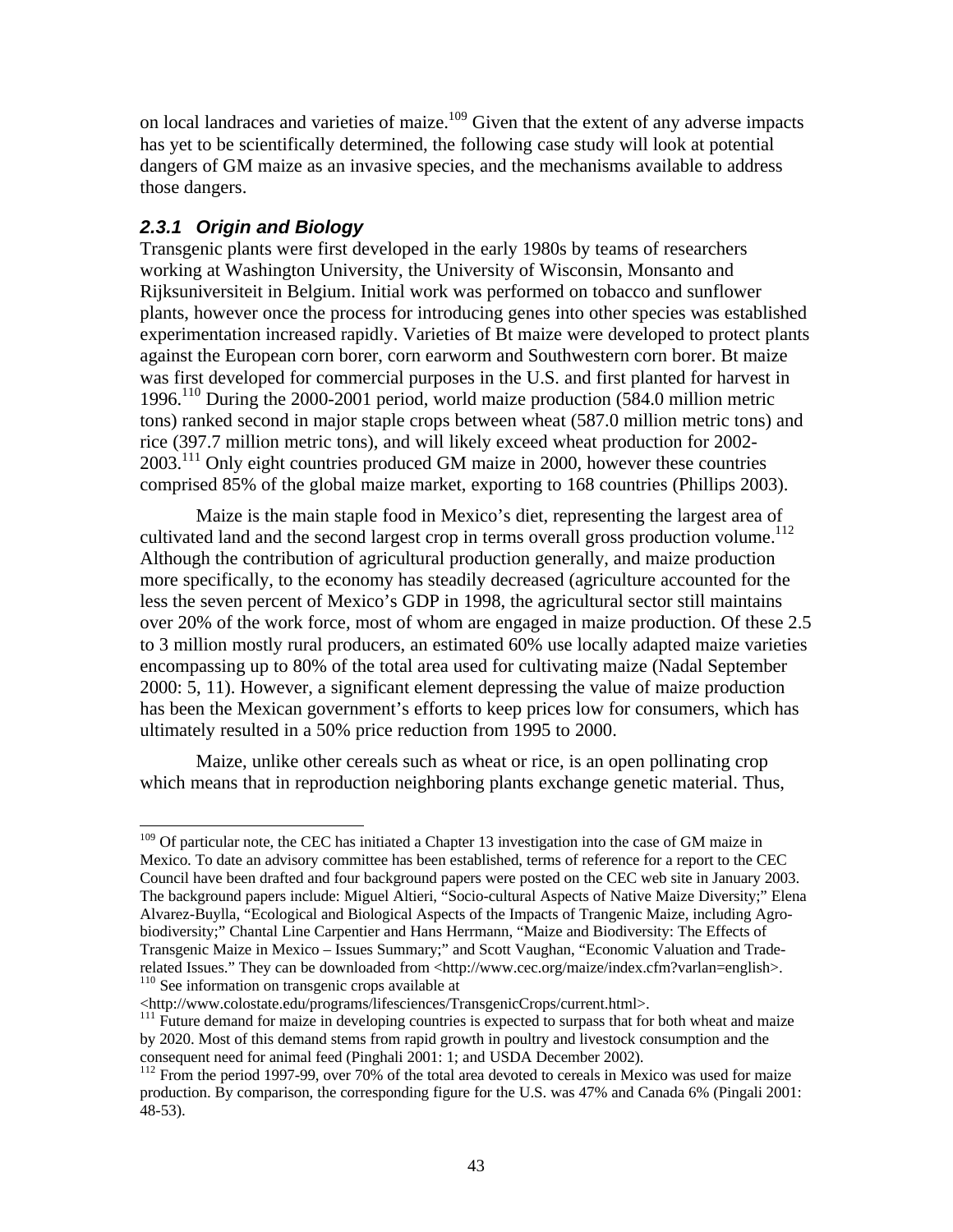on local landraces and varieties of maize.<sup>109</sup> Given that the extent of any adverse impacts has yet to be scientifically determined, the following case study will look at potential dangers of GM maize as an invasive species, and the mechanisms available to address those dangers.

### *2.3.1 Origin and Biology*

Transgenic plants were first developed in the early 1980s by teams of researchers working at Washington University, the University of Wisconsin, Monsanto and Rijksuniversiteit in Belgium. Initial work was performed on tobacco and sunflower plants, however once the process for introducing genes into other species was established experimentation increased rapidly. Varieties of Bt maize were developed to protect plants against the European corn borer, corn earworm and Southwestern corn borer. Bt maize was first developed for commercial purposes in the U.S. and first planted for harvest in 1996.<sup>110</sup> During the 2000-2001 period, world maize production (584.0 million metric tons) ranked second in major staple crops between wheat (587.0 million metric tons) and rice (397.7 million metric tons), and will likely exceed wheat production for 2002- 2003.<sup>111</sup> Only eight countries produced GM maize in 2000, however these countries comprised 85% of the global maize market, exporting to 168 countries (Phillips 2003).

Maize is the main staple food in Mexico's diet, representing the largest area of cultivated land and the second largest crop in terms overall gross production volume.<sup>112</sup> Although the contribution of agricultural production generally, and maize production more specifically, to the economy has steadily decreased (agriculture accounted for the less the seven percent of Mexico's GDP in 1998, the agricultural sector still maintains over 20% of the work force, most of whom are engaged in maize production. Of these 2.5 to 3 million mostly rural producers, an estimated 60% use locally adapted maize varieties encompassing up to 80% of the total area used for cultivating maize (Nadal September 2000: 5, 11). However, a significant element depressing the value of maize production has been the Mexican government's efforts to keep prices low for consumers, which has ultimately resulted in a 50% price reduction from 1995 to 2000.

Maize, unlike other cereals such as wheat or rice, is an open pollinating crop which means that in reproduction neighboring plants exchange genetic material. Thus,

<sup>&</sup>lt;u>.</u> <sup>109</sup> Of particular note, the CEC has initiated a Chapter 13 investigation into the case of GM maize in Mexico. To date an advisory committee has been established, terms of reference for a report to the CEC Council have been drafted and four background papers were posted on the CEC web site in January 2003. The background papers include: Miguel Altieri, "Socio-cultural Aspects of Native Maize Diversity;" Elena Alvarez-Buylla, "Ecological and Biological Aspects of the Impacts of Trangenic Maize, including Agrobiodiversity;" Chantal Line Carpentier and Hans Herrmann, "Maize and Biodiversity: The Effects of Transgenic Maize in Mexico – Issues Summary;" and Scott Vaughan, "Economic Valuation and Traderelated Issues." They can be downloaded from <http://www.cec.org/maize/index.cfm?varlan=english>. <sup>110</sup> See information on transgenic crops available at

<sup>&</sup>lt;http://www.colostate.edu/programs/lifesciences/TransgenicCrops/current.html>.

<sup>&</sup>lt;sup>111</sup> Future demand for maize in developing countries is expected to surpass that for both wheat and maize by 2020. Most of this demand stems from rapid growth in poultry and livestock consumption and the consequent need for animal feed (Pinghali 2001: 1; and USDA December 2002).

 $112$  From the period 1997-99, over 70% of the total area devoted to cereals in Mexico was used for maize production. By comparison, the corresponding figure for the U.S. was 47% and Canada 6% (Pingali 2001: 48-53).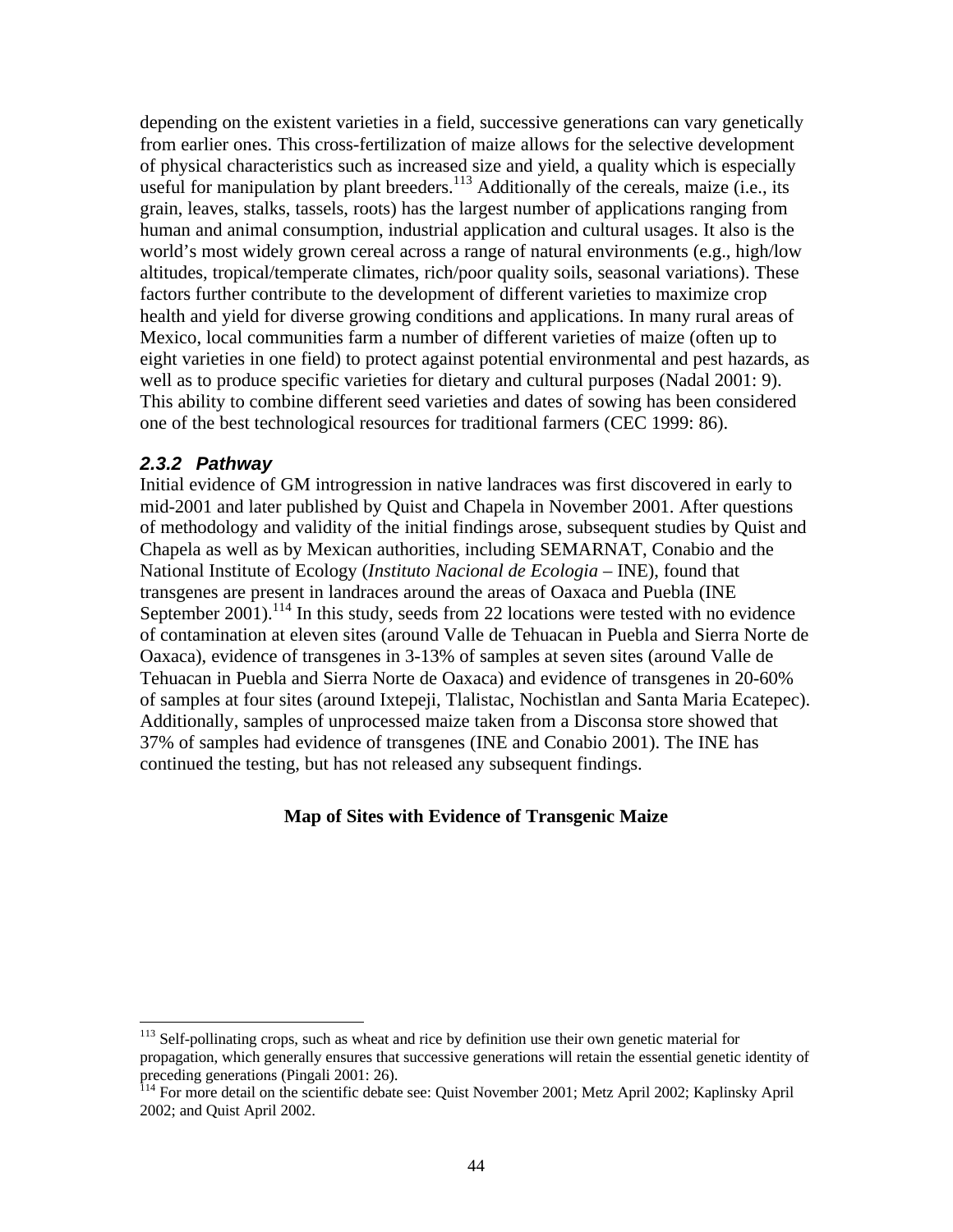depending on the existent varieties in a field, successive generations can vary genetically from earlier ones. This cross-fertilization of maize allows for the selective development of physical characteristics such as increased size and yield, a quality which is especially useful for manipulation by plant breeders. $113$  Additionally of the cereals, maize (i.e., its grain, leaves, stalks, tassels, roots) has the largest number of applications ranging from human and animal consumption, industrial application and cultural usages. It also is the world's most widely grown cereal across a range of natural environments (e.g., high/low altitudes, tropical/temperate climates, rich/poor quality soils, seasonal variations). These factors further contribute to the development of different varieties to maximize crop health and yield for diverse growing conditions and applications. In many rural areas of Mexico, local communities farm a number of different varieties of maize (often up to eight varieties in one field) to protect against potential environmental and pest hazards, as well as to produce specific varieties for dietary and cultural purposes (Nadal 2001: 9). This ability to combine different seed varieties and dates of sowing has been considered one of the best technological resources for traditional farmers (CEC 1999: 86).

#### *2.3.2 Pathway*

<u>.</u>

Initial evidence of GM introgression in native landraces was first discovered in early to mid-2001 and later published by Quist and Chapela in November 2001. After questions of methodology and validity of the initial findings arose, subsequent studies by Quist and Chapela as well as by Mexican authorities, including SEMARNAT, Conabio and the National Institute of Ecology (*Instituto Nacional de Ecologia* – INE), found that transgenes are present in landraces around the areas of Oaxaca and Puebla (INE September  $2001$ ).<sup>114</sup> In this study, seeds from 22 locations were tested with no evidence of contamination at eleven sites (around Valle de Tehuacan in Puebla and Sierra Norte de Oaxaca), evidence of transgenes in 3-13% of samples at seven sites (around Valle de Tehuacan in Puebla and Sierra Norte de Oaxaca) and evidence of transgenes in 20-60% of samples at four sites (around Ixtepeji, Tlalistac, Nochistlan and Santa Maria Ecatepec). Additionally, samples of unprocessed maize taken from a Disconsa store showed that 37% of samples had evidence of transgenes (INE and Conabio 2001). The INE has continued the testing, but has not released any subsequent findings.

### **Map of Sites with Evidence of Transgenic Maize**

<sup>&</sup>lt;sup>113</sup> Self-pollinating crops, such as wheat and rice by definition use their own genetic material for propagation, which generally ensures that successive generations will retain the essential genetic identity of preceding generations (Pingali 2001: 26).

<sup>&</sup>lt;sup>114</sup> For more detail on the scientific debate see: Quist November 2001; Metz April 2002; Kaplinsky April 2002; and Quist April 2002.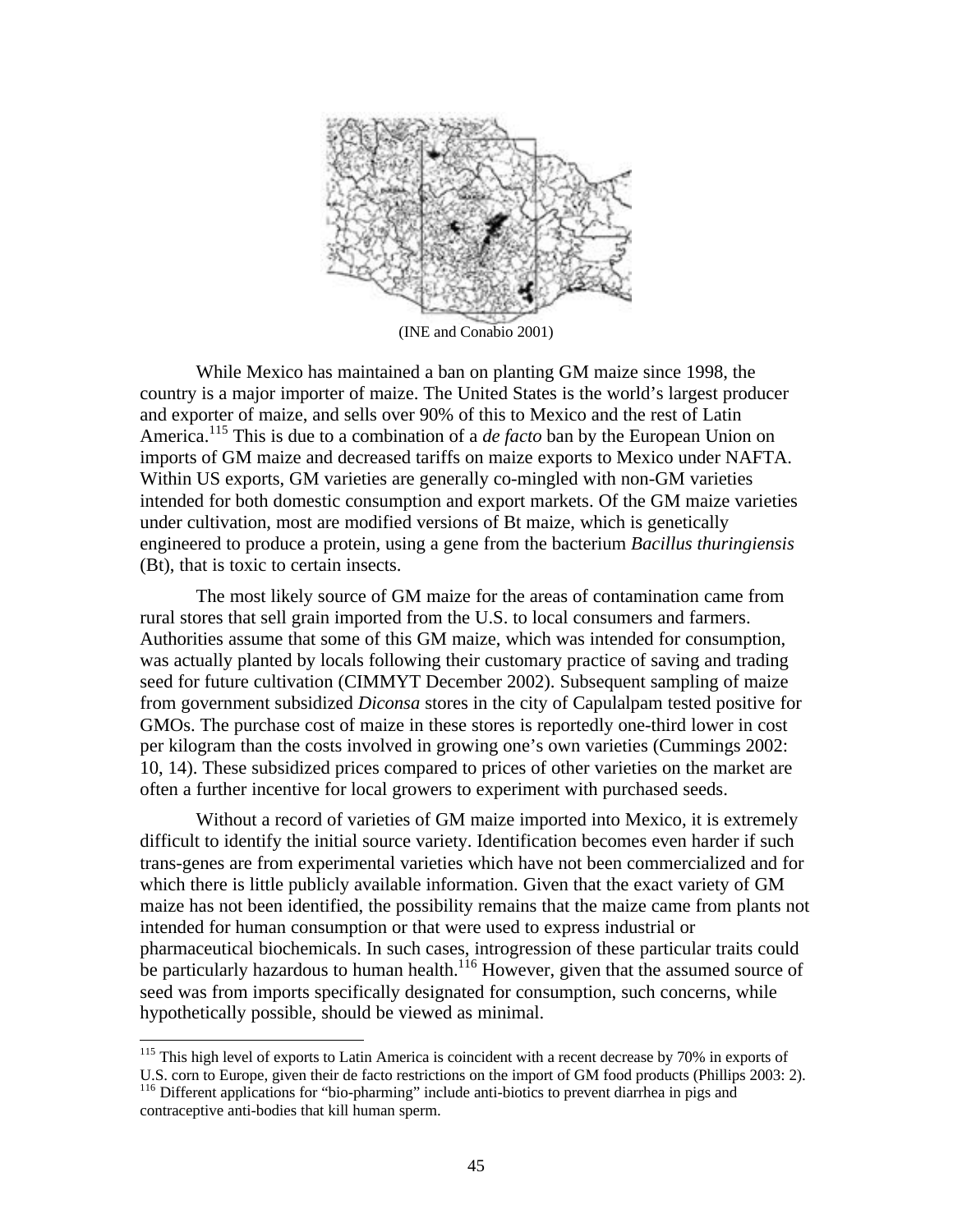

While Mexico has maintained a ban on planting GM maize since 1998, the country is a major importer of maize. The United States is the world's largest producer and exporter of maize, and sells over 90% of this to Mexico and the rest of Latin America.<sup>115</sup> This is due to a combination of a *de facto* ban by the European Union on imports of GM maize and decreased tariffs on maize exports to Mexico under NAFTA. Within US exports, GM varieties are generally co-mingled with non-GM varieties intended for both domestic consumption and export markets. Of the GM maize varieties under cultivation, most are modified versions of Bt maize, which is genetically engineered to produce a protein, using a gene from the bacterium *Bacillus thuringiensis* (Bt), that is toxic to certain insects.

The most likely source of GM maize for the areas of contamination came from rural stores that sell grain imported from the U.S. to local consumers and farmers. Authorities assume that some of this GM maize, which was intended for consumption, was actually planted by locals following their customary practice of saving and trading seed for future cultivation (CIMMYT December 2002). Subsequent sampling of maize from government subsidized *Diconsa* stores in the city of Capulalpam tested positive for GMOs. The purchase cost of maize in these stores is reportedly one-third lower in cost per kilogram than the costs involved in growing one's own varieties (Cummings 2002: 10, 14). These subsidized prices compared to prices of other varieties on the market are often a further incentive for local growers to experiment with purchased seeds.

Without a record of varieties of GM maize imported into Mexico, it is extremely difficult to identify the initial source variety. Identification becomes even harder if such trans-genes are from experimental varieties which have not been commercialized and for which there is little publicly available information. Given that the exact variety of GM maize has not been identified, the possibility remains that the maize came from plants not intended for human consumption or that were used to express industrial or pharmaceutical biochemicals. In such cases, introgression of these particular traits could be particularly hazardous to human health.<sup>116</sup> However, given that the assumed source of seed was from imports specifically designated for consumption, such concerns, while hypothetically possible, should be viewed as minimal.

 $\overline{a}$ <sup>115</sup> This high level of exports to Latin America is coincident with a recent decrease by 70% in exports of U.S. corn to Europe, given their de facto restrictions on the import of GM food products (Phillips 2003: 2).

<sup>&</sup>lt;sup>116</sup> Different applications for "bio-pharming" include anti-biotics to prevent diarrhea in pigs and contraceptive anti-bodies that kill human sperm.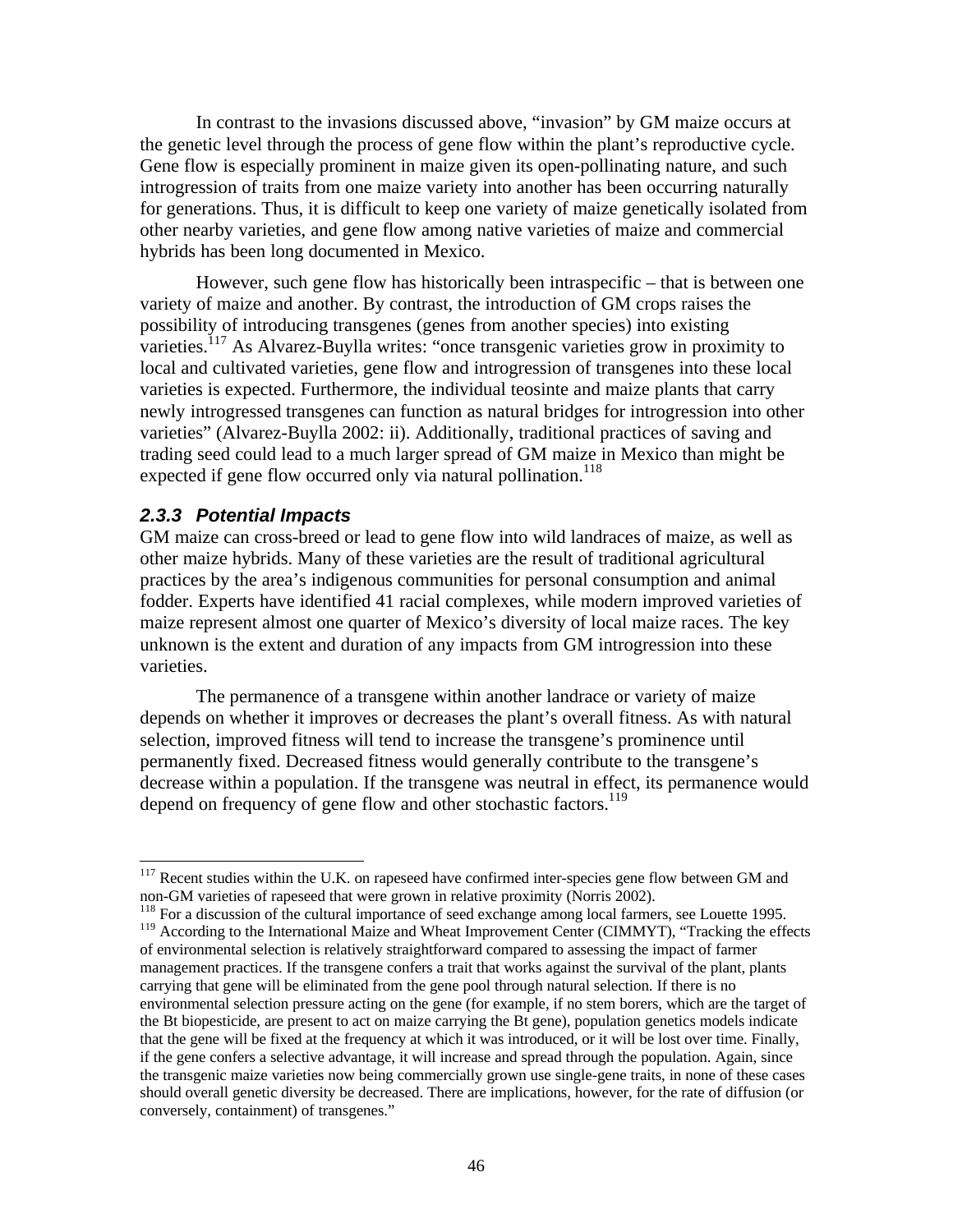In contrast to the invasions discussed above, "invasion" by GM maize occurs at the genetic level through the process of gene flow within the plant's reproductive cycle. Gene flow is especially prominent in maize given its open-pollinating nature, and such introgression of traits from one maize variety into another has been occurring naturally for generations. Thus, it is difficult to keep one variety of maize genetically isolated from other nearby varieties, and gene flow among native varieties of maize and commercial hybrids has been long documented in Mexico.

However, such gene flow has historically been intraspecific – that is between one variety of maize and another. By contrast, the introduction of GM crops raises the possibility of introducing transgenes (genes from another species) into existing varieties.<sup>117</sup> As Alvarez-Buylla writes: "once transgenic varieties grow in proximity to local and cultivated varieties, gene flow and introgression of transgenes into these local varieties is expected. Furthermore, the individual teosinte and maize plants that carry newly introgressed transgenes can function as natural bridges for introgression into other varieties" (Alvarez-Buylla 2002: ii). Additionally, traditional practices of saving and trading seed could lead to a much larger spread of GM maize in Mexico than might be expected if gene flow occurred only via natural pollination.<sup>118</sup>

#### *2.3.3 Potential Impacts*

-

GM maize can cross-breed or lead to gene flow into wild landraces of maize, as well as other maize hybrids. Many of these varieties are the result of traditional agricultural practices by the area's indigenous communities for personal consumption and animal fodder. Experts have identified 41 racial complexes, while modern improved varieties of maize represent almost one quarter of Mexico's diversity of local maize races. The key unknown is the extent and duration of any impacts from GM introgression into these varieties.

The permanence of a transgene within another landrace or variety of maize depends on whether it improves or decreases the plant's overall fitness. As with natural selection, improved fitness will tend to increase the transgene's prominence until permanently fixed. Decreased fitness would generally contribute to the transgene's decrease within a population. If the transgene was neutral in effect, its permanence would depend on frequency of gene flow and other stochastic factors.<sup>119</sup>

 $117$  Recent studies within the U.K. on rapeseed have confirmed inter-species gene flow between GM and non-GM varieties of rapeseed that were grown in relative proximity (Norris 2002).

<sup>&</sup>lt;sup>118</sup> For a discussion of the cultural importance of seed exchange among local farmers, see Louette 1995. <sup>119</sup> According to the International Maize and Wheat Improvement Center (CIMMYT), "Tracking the effects of environmental selection is relatively straightforward compared to assessing the impact of farmer management practices. If the transgene confers a trait that works against the survival of the plant, plants carrying that gene will be eliminated from the gene pool through natural selection. If there is no environmental selection pressure acting on the gene (for example, if no stem borers, which are the target of the Bt biopesticide, are present to act on maize carrying the Bt gene), population genetics models indicate that the gene will be fixed at the frequency at which it was introduced, or it will be lost over time. Finally, if the gene confers a selective advantage, it will increase and spread through the population. Again, since the transgenic maize varieties now being commercially grown use single-gene traits, in none of these cases should overall genetic diversity be decreased. There are implications, however, for the rate of diffusion (or conversely, containment) of transgenes."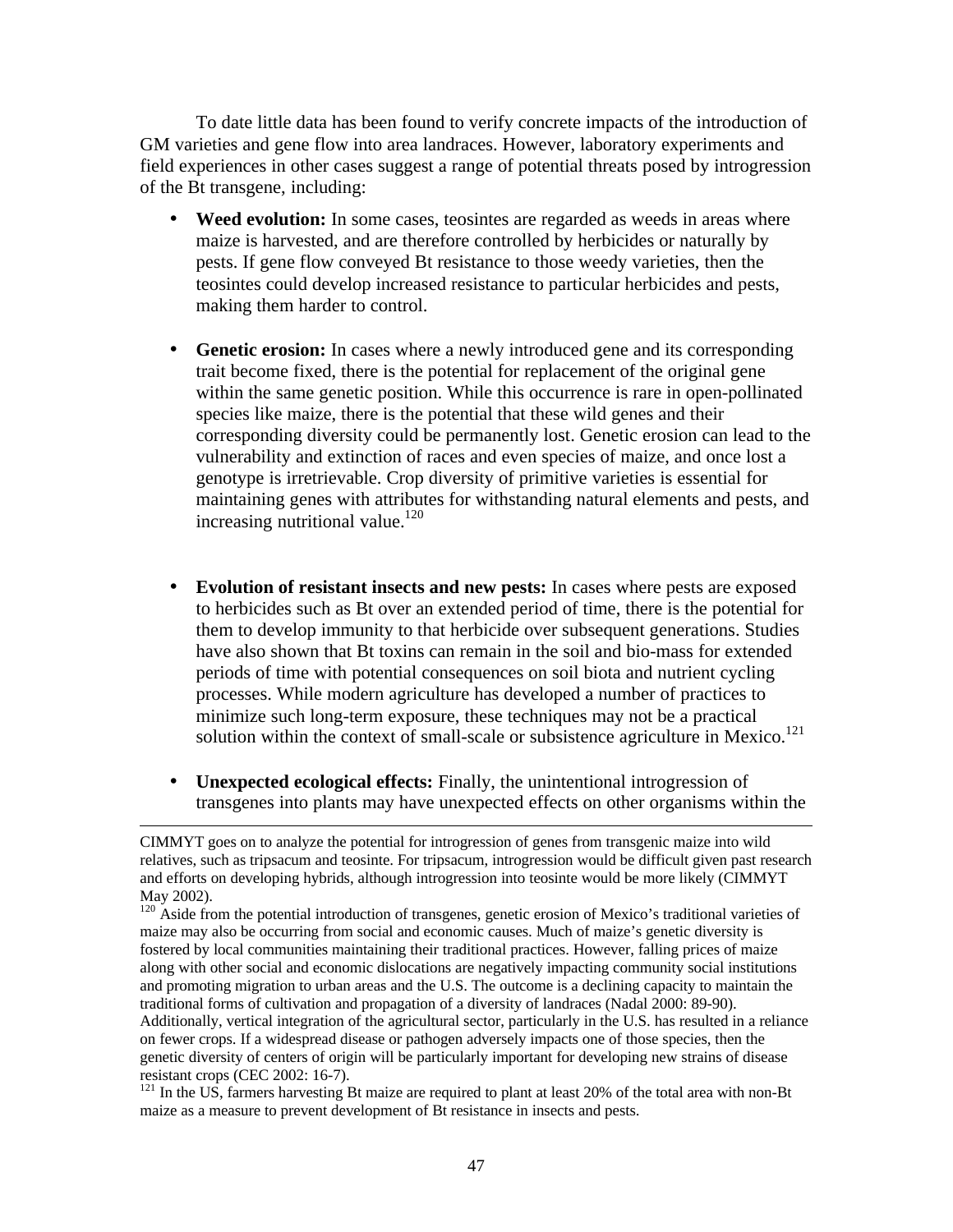To date little data has been found to verify concrete impacts of the introduction of GM varieties and gene flow into area landraces. However, laboratory experiments and field experiences in other cases suggest a range of potential threats posed by introgression of the Bt transgene, including:

- Weed evolution: In some cases, teosintes are regarded as weeds in areas where maize is harvested, and are therefore controlled by herbicides or naturally by pests. If gene flow conveyed Bt resistance to those weedy varieties, then the teosintes could develop increased resistance to particular herbicides and pests, making them harder to control.
- **Genetic erosion:** In cases where a newly introduced gene and its corresponding trait become fixed, there is the potential for replacement of the original gene within the same genetic position. While this occurrence is rare in open-pollinated species like maize, there is the potential that these wild genes and their corresponding diversity could be permanently lost. Genetic erosion can lead to the vulnerability and extinction of races and even species of maize, and once lost a genotype is irretrievable. Crop diversity of primitive varieties is essential for maintaining genes with attributes for withstanding natural elements and pests, and increasing nutritional value.<sup>120</sup>
- **Evolution of resistant insects and new pests:** In cases where pests are exposed to herbicides such as Bt over an extended period of time, there is the potential for them to develop immunity to that herbicide over subsequent generations. Studies have also shown that Bt toxins can remain in the soil and bio-mass for extended periods of time with potential consequences on soil biota and nutrient cycling processes. While modern agriculture has developed a number of practices to minimize such long-term exposure, these techniques may not be a practical solution within the context of small-scale or subsistence agriculture in Mexico.<sup>121</sup>
- **Unexpected ecological effects:** Finally, the unintentional introgression of transgenes into plants may have unexpected effects on other organisms within the

<sup>120</sup> Aside from the potential introduction of transgenes, genetic erosion of Mexico's traditional varieties of maize may also be occurring from social and economic causes. Much of maize's genetic diversity is fostered by local communities maintaining their traditional practices. However, falling prices of maize along with other social and economic dislocations are negatively impacting community social institutions and promoting migration to urban areas and the U.S. The outcome is a declining capacity to maintain the traditional forms of cultivation and propagation of a diversity of landraces (Nadal 2000: 89-90). Additionally, vertical integration of the agricultural sector, particularly in the U.S. has resulted in a reliance on fewer crops. If a widespread disease or pathogen adversely impacts one of those species, then the genetic diversity of centers of origin will be particularly important for developing new strains of disease resistant crops (CEC 2002: 16-7).

<sup>121</sup> In the US, farmers harvesting Bt maize are required to plant at least 20% of the total area with non-Bt maize as a measure to prevent development of Bt resistance in insects and pests.

 $\overline{a}$ CIMMYT goes on to analyze the potential for introgression of genes from transgenic maize into wild relatives, such as tripsacum and teosinte. For tripsacum, introgression would be difficult given past research and efforts on developing hybrids, although introgression into teosinte would be more likely (CIMMYT May 2002).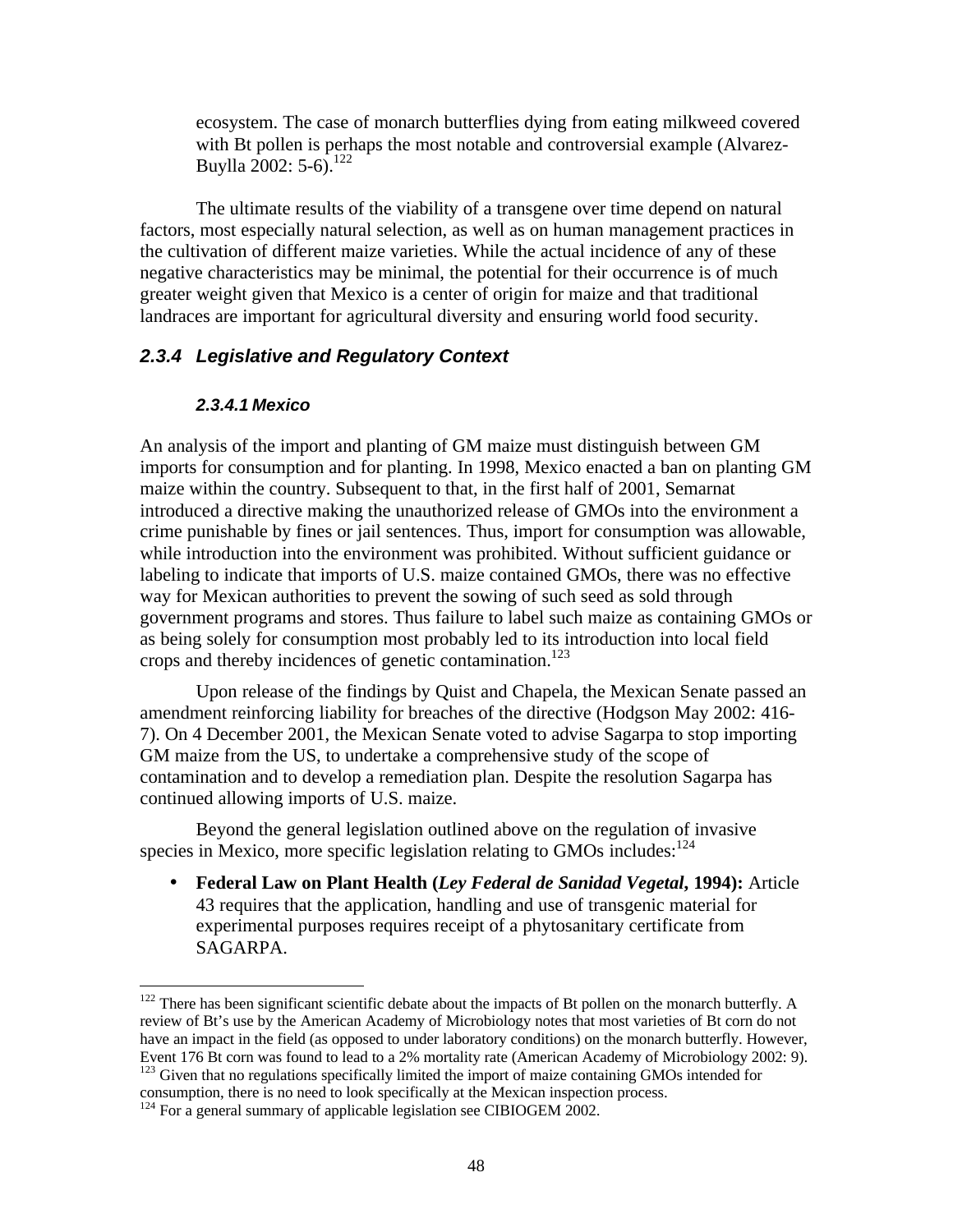ecosystem. The case of monarch butterflies dying from eating milkweed covered with Bt pollen is perhaps the most notable and controversial example (Alvarez-Buylla 2002:  $5-6$ .<sup>122</sup>

The ultimate results of the viability of a transgene over time depend on natural factors, most especially natural selection, as well as on human management practices in the cultivation of different maize varieties. While the actual incidence of any of these negative characteristics may be minimal, the potential for their occurrence is of much greater weight given that Mexico is a center of origin for maize and that traditional landraces are important for agricultural diversity and ensuring world food security.

### *2.3.4 Legislative and Regulatory Context*

#### *2.3.4.1 Mexico*

 $\overline{a}$ 

An analysis of the import and planting of GM maize must distinguish between GM imports for consumption and for planting. In 1998, Mexico enacted a ban on planting GM maize within the country. Subsequent to that, in the first half of 2001, Semarnat introduced a directive making the unauthorized release of GMOs into the environment a crime punishable by fines or jail sentences. Thus, import for consumption was allowable, while introduction into the environment was prohibited. Without sufficient guidance or labeling to indicate that imports of U.S. maize contained GMOs, there was no effective way for Mexican authorities to prevent the sowing of such seed as sold through government programs and stores. Thus failure to label such maize as containing GMOs or as being solely for consumption most probably led to its introduction into local field crops and thereby incidences of genetic contamination.<sup>123</sup>

Upon release of the findings by Quist and Chapela, the Mexican Senate passed an amendment reinforcing liability for breaches of the directive (Hodgson May 2002: 416- 7). On 4 December 2001, the Mexican Senate voted to advise Sagarpa to stop importing GM maize from the US, to undertake a comprehensive study of the scope of contamination and to develop a remediation plan. Despite the resolution Sagarpa has continued allowing imports of U.S. maize.

Beyond the general legislation outlined above on the regulation of invasive species in Mexico, more specific legislation relating to GMOs includes: $124$ 

• **Federal Law on Plant Health (***Ley Federal de Sanidad Vegetal***, 1994):** Article 43 requires that the application, handling and use of transgenic material for experimental purposes requires receipt of a phytosanitary certificate from SAGARPA.

 $122$  There has been significant scientific debate about the impacts of Bt pollen on the monarch butterfly. A review of Bt's use by the American Academy of Microbiology notes that most varieties of Bt corn do not have an impact in the field (as opposed to under laboratory conditions) on the monarch butterfly. However, Event 176 Bt corn was found to lead to a 2% mortality rate (American Academy of Microbiology 2002: 9). <sup>123</sup> Given that no regulations specifically limited the import of maize containing GMOs intended for

consumption, there is no need to look specifically at the Mexican inspection process.

 $124$  For a general summary of applicable legislation see CIBIOGEM 2002.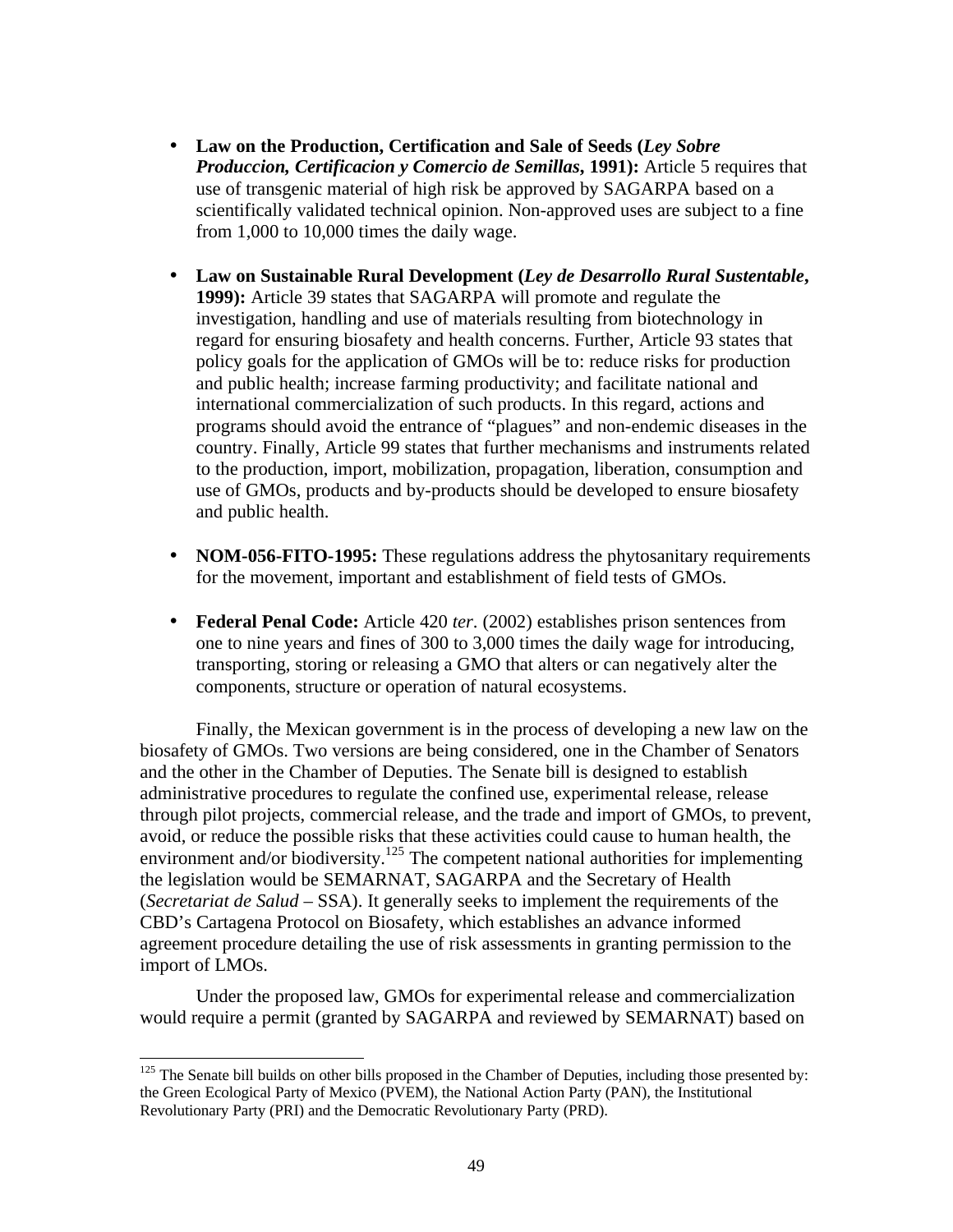- **Law on the Production, Certification and Sale of Seeds (***Ley Sobre Produccion, Certificacion y Comercio de Semillas***, 1991):** Article 5 requires that use of transgenic material of high risk be approved by SAGARPA based on a scientifically validated technical opinion. Non-approved uses are subject to a fine from 1,000 to 10,000 times the daily wage.
- **Law on Sustainable Rural Development (***Ley de Desarrollo Rural Sustentable***, 1999):** Article 39 states that SAGARPA will promote and regulate the investigation, handling and use of materials resulting from biotechnology in regard for ensuring biosafety and health concerns. Further, Article 93 states that policy goals for the application of GMOs will be to: reduce risks for production and public health; increase farming productivity; and facilitate national and international commercialization of such products. In this regard, actions and programs should avoid the entrance of "plagues" and non-endemic diseases in the country. Finally, Article 99 states that further mechanisms and instruments related to the production, import, mobilization, propagation, liberation, consumption and use of GMOs, products and by-products should be developed to ensure biosafety and public health.
- **NOM-056-FITO-1995:** These regulations address the phytosanitary requirements for the movement, important and establishment of field tests of GMOs.
- **Federal Penal Code:** Article 420 *ter*. (2002) establishes prison sentences from one to nine years and fines of 300 to 3,000 times the daily wage for introducing, transporting, storing or releasing a GMO that alters or can negatively alter the components, structure or operation of natural ecosystems.

Finally, the Mexican government is in the process of developing a new law on the biosafety of GMOs. Two versions are being considered, one in the Chamber of Senators and the other in the Chamber of Deputies. The Senate bill is designed to establish administrative procedures to regulate the confined use, experimental release, release through pilot projects, commercial release, and the trade and import of GMOs, to prevent, avoid, or reduce the possible risks that these activities could cause to human health, the environment and/or biodiversity.<sup>125</sup> The competent national authorities for implementing the legislation would be SEMARNAT, SAGARPA and the Secretary of Health (*Secretariat de Salud* – SSA). It generally seeks to implement the requirements of the CBD's Cartagena Protocol on Biosafety, which establishes an advance informed agreement procedure detailing the use of risk assessments in granting permission to the import of LMOs.

Under the proposed law, GMOs for experimental release and commercialization would require a permit (granted by SAGARPA and reviewed by SEMARNAT) based on

 $125$  The Senate bill builds on other bills proposed in the Chamber of Deputies, including those presented by: the Green Ecological Party of Mexico (PVEM), the National Action Party (PAN), the Institutional Revolutionary Party (PRI) and the Democratic Revolutionary Party (PRD).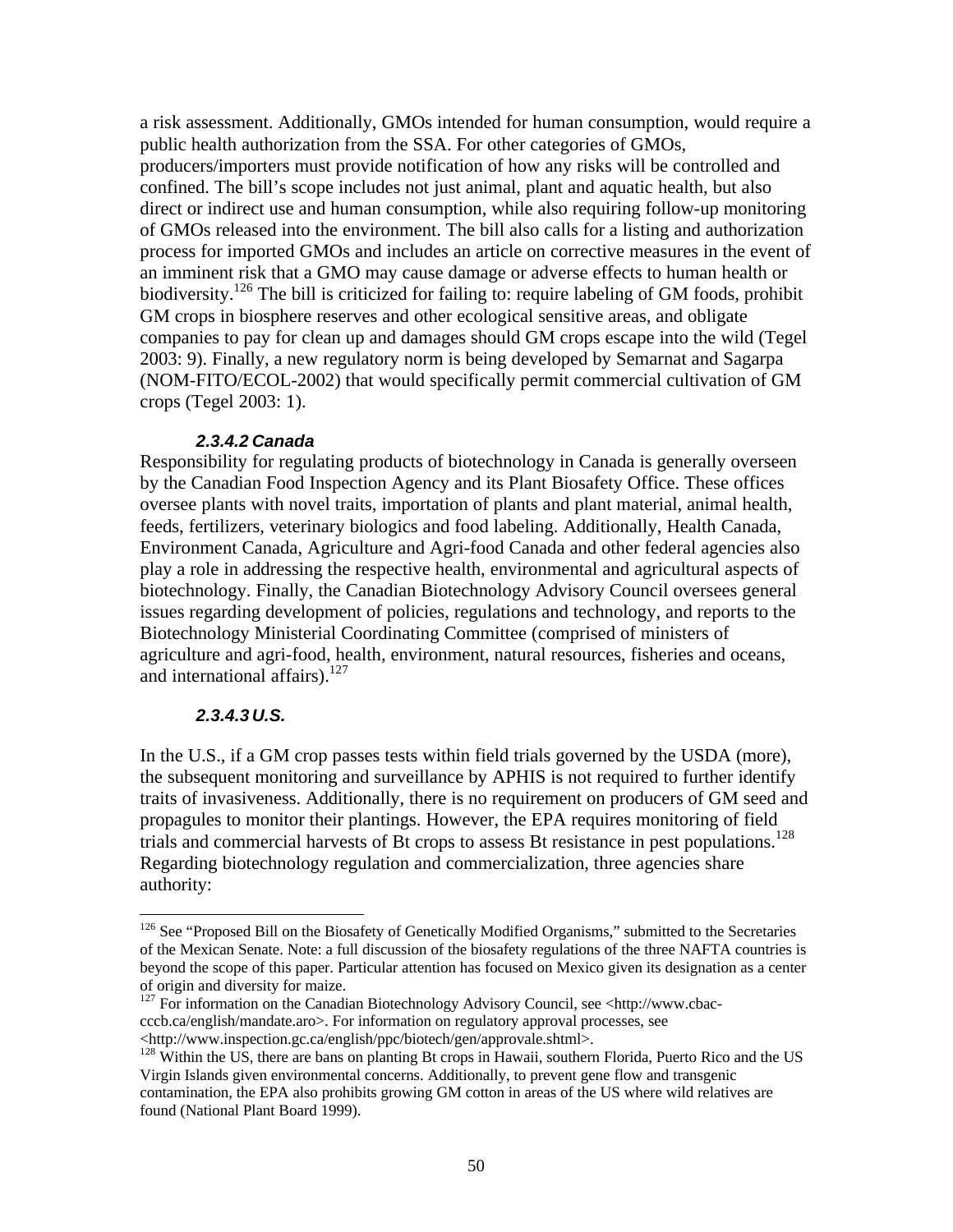a risk assessment. Additionally, GMOs intended for human consumption, would require a public health authorization from the SSA. For other categories of GMOs, producers/importers must provide notification of how any risks will be controlled and confined. The bill's scope includes not just animal, plant and aquatic health, but also direct or indirect use and human consumption, while also requiring follow-up monitoring of GMOs released into the environment. The bill also calls for a listing and authorization process for imported GMOs and includes an article on corrective measures in the event of an imminent risk that a GMO may cause damage or adverse effects to human health or biodiversity.<sup>126</sup> The bill is criticized for failing to: require labeling of GM foods, prohibit GM crops in biosphere reserves and other ecological sensitive areas, and obligate companies to pay for clean up and damages should GM crops escape into the wild (Tegel 2003: 9). Finally, a new regulatory norm is being developed by Semarnat and Sagarpa (NOM-FITO/ECOL-2002) that would specifically permit commercial cultivation of GM crops (Tegel 2003: 1).

#### *2.3.4.2 Canada*

Responsibility for regulating products of biotechnology in Canada is generally overseen by the Canadian Food Inspection Agency and its Plant Biosafety Office. These offices oversee plants with novel traits, importation of plants and plant material, animal health, feeds, fertilizers, veterinary biologics and food labeling. Additionally, Health Canada, Environment Canada, Agriculture and Agri-food Canada and other federal agencies also play a role in addressing the respective health, environmental and agricultural aspects of biotechnology. Finally, the Canadian Biotechnology Advisory Council oversees general issues regarding development of policies, regulations and technology, and reports to the Biotechnology Ministerial Coordinating Committee (comprised of ministers of agriculture and agri-food, health, environment, natural resources, fisheries and oceans, and international affairs).<sup>127</sup>

### *2.3.4.3 U.S.*

 $\overline{a}$ 

In the U.S., if a GM crop passes tests within field trials governed by the USDA (more), the subsequent monitoring and surveillance by APHIS is not required to further identify traits of invasiveness. Additionally, there is no requirement on producers of GM seed and propagules to monitor their plantings. However, the EPA requires monitoring of field trials and commercial harvests of Bt crops to assess Bt resistance in pest populations.<sup>128</sup> Regarding biotechnology regulation and commercialization, three agencies share authority:

<sup>&</sup>lt;sup>126</sup> See "Proposed Bill on the Biosafety of Genetically Modified Organisms," submitted to the Secretaries of the Mexican Senate. Note: a full discussion of the biosafety regulations of the three NAFTA countries is beyond the scope of this paper. Particular attention has focused on Mexico given its designation as a center of origin and diversity for maize.

 $127$  For information on the Canadian Biotechnology Advisory Council, see <http://www.cbaccccb.ca/english/mandate.aro>. For information on regulatory approval processes, see <http://www.inspection.gc.ca/english/ppc/biotech/gen/approvale.shtml>.

<sup>&</sup>lt;sup>128</sup> Within the US, there are bans on planting Bt crops in Hawaii, southern Florida, Puerto Rico and the US Virgin Islands given environmental concerns. Additionally, to prevent gene flow and transgenic contamination, the EPA also prohibits growing GM cotton in areas of the US where wild relatives are found (National Plant Board 1999).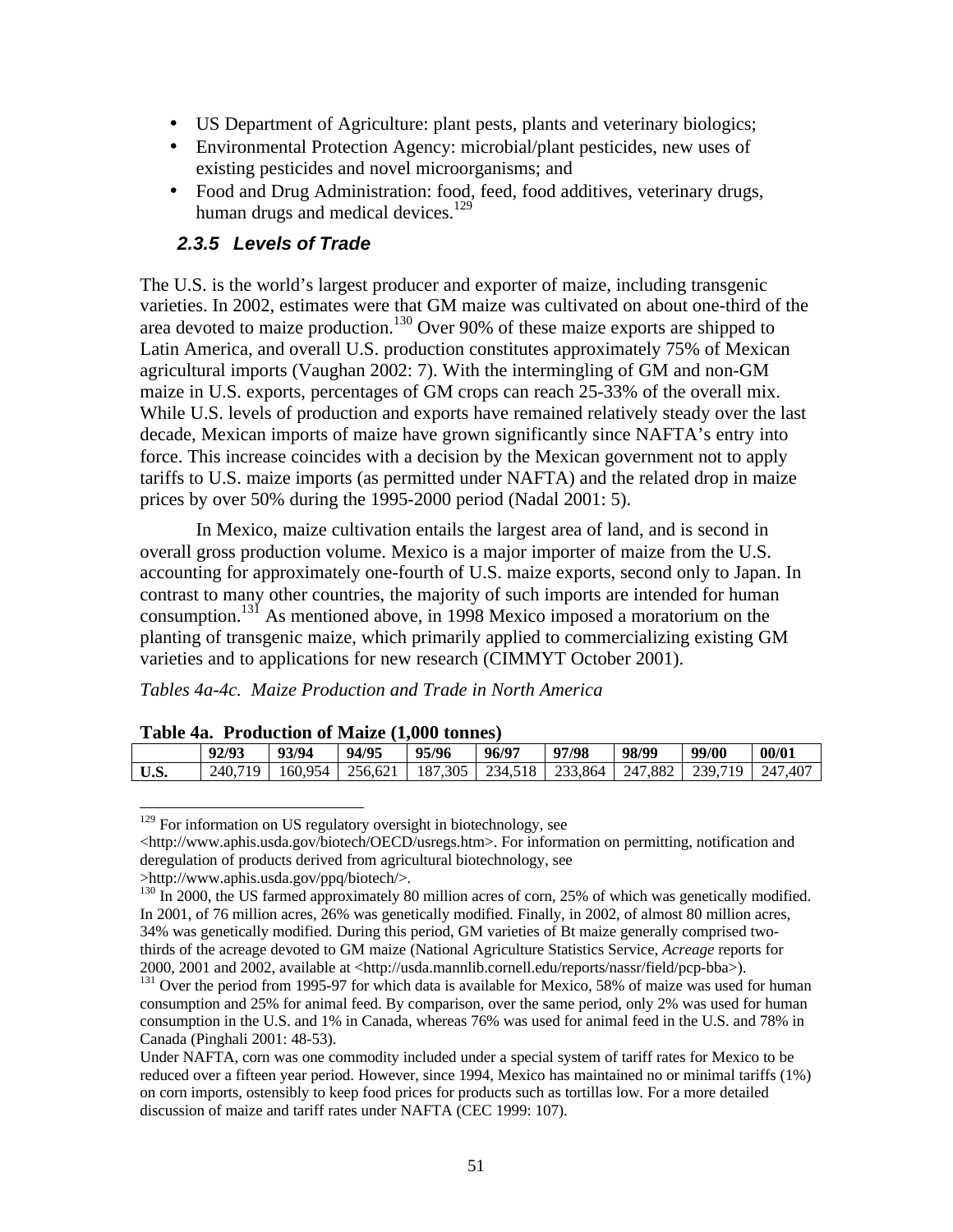- US Department of Agriculture: plant pests, plants and veterinary biologics;
- Environmental Protection Agency: microbial/plant pesticides, new uses of existing pesticides and novel microorganisms; and
- Food and Drug Administration: food, feed, food additives, veterinary drugs, human drugs and medical devices.<sup>129</sup>

### *2.3.5 Levels of Trade*

The U.S. is the world's largest producer and exporter of maize, including transgenic varieties. In 2002, estimates were that GM maize was cultivated on about one-third of the area devoted to maize production.<sup>130</sup> Over 90% of these maize exports are shipped to Latin America, and overall U.S. production constitutes approximately 75% of Mexican agricultural imports (Vaughan 2002: 7). With the intermingling of GM and non-GM maize in U.S. exports, percentages of GM crops can reach 25-33% of the overall mix. While U.S. levels of production and exports have remained relatively steady over the last decade, Mexican imports of maize have grown significantly since NAFTA's entry into force. This increase coincides with a decision by the Mexican government not to apply tariffs to U.S. maize imports (as permitted under NAFTA) and the related drop in maize prices by over 50% during the 1995-2000 period (Nadal 2001: 5).

In Mexico, maize cultivation entails the largest area of land, and is second in overall gross production volume. Mexico is a major importer of maize from the U.S. accounting for approximately one-fourth of U.S. maize exports, second only to Japan. In contrast to many other countries, the majority of such imports are intended for human consumption.<sup>131</sup> As mentioned above, in 1998 Mexico imposed a moratorium on the planting of transgenic maize, which primarily applied to commercializing existing GM varieties and to applications for new research (CIMMYT October 2001).

*Tables 4a-4c. Maize Production and Trade in North America*

|      | <b>Table 4a. Production of Malze (1,000 tonnes)</b> |                                                                                         |       |       |       |       |       |       |       |  |  |  |  |
|------|-----------------------------------------------------|-----------------------------------------------------------------------------------------|-------|-------|-------|-------|-------|-------|-------|--|--|--|--|
|      | 92/93                                               | 93/94                                                                                   | 94/95 | 95/96 | 96/97 | 97/98 | 98/99 | 99/00 | 00/01 |  |  |  |  |
| U.S. |                                                     | 240.719   160.954   256.621   187.305   234.518   233.864   247.882   239.719   247.407 |       |       |       |       |       |       |       |  |  |  |  |

**Table 4a. Production of Maize (1,000 tonnes)**

 $\lt$ http://www.aphis.usda.gov/biotech/OECD/usregs.htm>. For information on permitting, notification and deregulation of products derived from agricultural biotechnology, see

>http://www.aphis.usda.gov/ppq/biotech/>.

 $\overline{a}$  $129$  For information on US regulatory oversight in biotechnology, see

<sup>&</sup>lt;sup>130</sup> In 2000, the US farmed approximately 80 million acres of corn, 25% of which was genetically modified. In 2001, of 76 million acres, 26% was genetically modified. Finally, in 2002, of almost 80 million acres, 34% was genetically modified. During this period, GM varieties of Bt maize generally comprised twothirds of the acreage devoted to GM maize (National Agriculture Statistics Service, *Acreage* reports for 2000, 2001 and 2002, available at <http://usda.mannlib.cornell.edu/reports/nassr/field/pcp-bba>).

<sup>&</sup>lt;sup>131</sup> Over the period from 1995-97 for which data is available for Mexico, 58% of maize was used for human consumption and 25% for animal feed. By comparison, over the same period, only 2% was used for human consumption in the U.S. and 1% in Canada, whereas 76% was used for animal feed in the U.S. and 78% in Canada (Pinghali 2001: 48-53).

Under NAFTA, corn was one commodity included under a special system of tariff rates for Mexico to be reduced over a fifteen year period. However, since 1994, Mexico has maintained no or minimal tariffs (1%) on corn imports, ostensibly to keep food prices for products such as tortillas low. For a more detailed discussion of maize and tariff rates under NAFTA (CEC 1999: 107).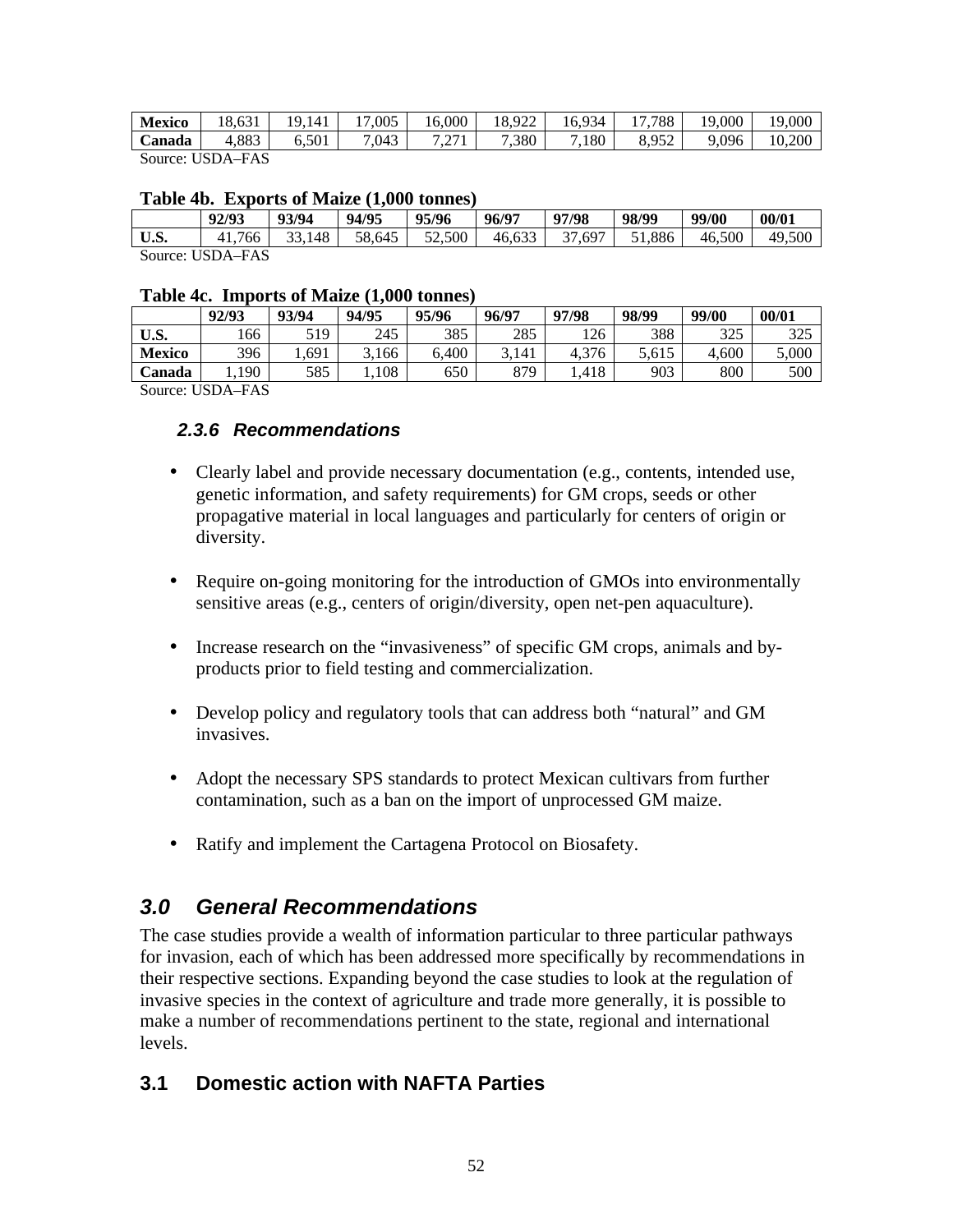| <b>Mexico</b>                                                                                                                                                                                                                                                                                                                      | $\sim$<br>ິດ<br>18.631 | Q<br>141 | .005 | 16.000                              | 18,922     | 934<br>. ხ. | .788<br>—             | 000.<br>19 | 19,000 |
|------------------------------------------------------------------------------------------------------------------------------------------------------------------------------------------------------------------------------------------------------------------------------------------------------------------------------------|------------------------|----------|------|-------------------------------------|------------|-------------|-----------------------|------------|--------|
| Canada                                                                                                                                                                                                                                                                                                                             | 4,883<br>≖             | 6,501    | .043 | 7.07<br>$\sim$ $\sim$ $\sim$ $\sim$ | '.380<br>− | .180        | 052<br>$\Omega$<br>o. | ,096<br>O  | 10.200 |
| $\mathbf{I}$ $\mathbf{I}$ $\mathbf{I}$ $\mathbf{I}$ $\mathbf{I}$ $\mathbf{I}$ $\mathbf{I}$ $\mathbf{I}$ $\mathbf{I}$ $\mathbf{I}$ $\mathbf{I}$ $\mathbf{I}$ $\mathbf{I}$ $\mathbf{I}$ $\mathbf{I}$ $\mathbf{I}$ $\mathbf{I}$ $\mathbf{I}$ $\mathbf{I}$ $\mathbf{I}$ $\mathbf{I}$ $\mathbf{I}$ $\mathbf{I}$ $\mathbf{I}$ $\mathbf{$ | <b>TAC</b>             |          |      |                                     |            |             |                       |            |        |

Source: USDA–FAS

#### **Table 4b. Exports of Maize (1,000 tonnes)**

|      | 92/93            | 93/94  | 94/95  | 95/96  | 96/97  | 97/98  | 98/99  | 99/00  | 00/01  |
|------|------------------|--------|--------|--------|--------|--------|--------|--------|--------|
| U.S. | 41.766           | 33.148 | 58.645 | 52,500 | 46.633 | 37.697 | 51.886 | 46,500 | 49,500 |
|      | Source: USDA–FAS |        |        |        |        |        |        |        |        |

#### **Table 4c. Imports of Maize (1,000 tonnes)**

|                                 | 92/93 | 93/94 | 94/95 | 95/96 | 96/97 | 97/98       | 98/99 | 99/00 | 00/01 |
|---------------------------------|-------|-------|-------|-------|-------|-------------|-------|-------|-------|
| U.S.                            | .66   | 519   | 245   | 385   | 285   | 126         | 388   | 325   | 325   |
| <b>Mexico</b>                   | 396   | .691  | .166  | 6.400 | 141   | .376<br>ن.4 | 5.615 | 4.600 | 5,000 |
| Canada                          | .190  | 585   | 108   | 650   | 879   | .418        | 903   | 800   | 500   |
| $\sim$<br><b>*****</b> * ** * * |       |       |       |       |       |             |       |       |       |

Source: USDA–FAS

### *2.3.6 Recommendations*

- Clearly label and provide necessary documentation (e.g., contents, intended use, genetic information, and safety requirements) for GM crops, seeds or other propagative material in local languages and particularly for centers of origin or diversity.
- Require on-going monitoring for the introduction of GMOs into environmentally sensitive areas (e.g., centers of origin/diversity, open net-pen aquaculture).
- Increase research on the "invasiveness" of specific GM crops, animals and byproducts prior to field testing and commercialization.
- Develop policy and regulatory tools that can address both "natural" and GM invasives.
- Adopt the necessary SPS standards to protect Mexican cultivars from further contamination, such as a ban on the import of unprocessed GM maize.
- Ratify and implement the Cartagena Protocol on Biosafety.

# *3.0 General Recommendations*

The case studies provide a wealth of information particular to three particular pathways for invasion, each of which has been addressed more specifically by recommendations in their respective sections. Expanding beyond the case studies to look at the regulation of invasive species in the context of agriculture and trade more generally, it is possible to make a number of recommendations pertinent to the state, regional and international levels.

## **3.1 Domestic action with NAFTA Parties**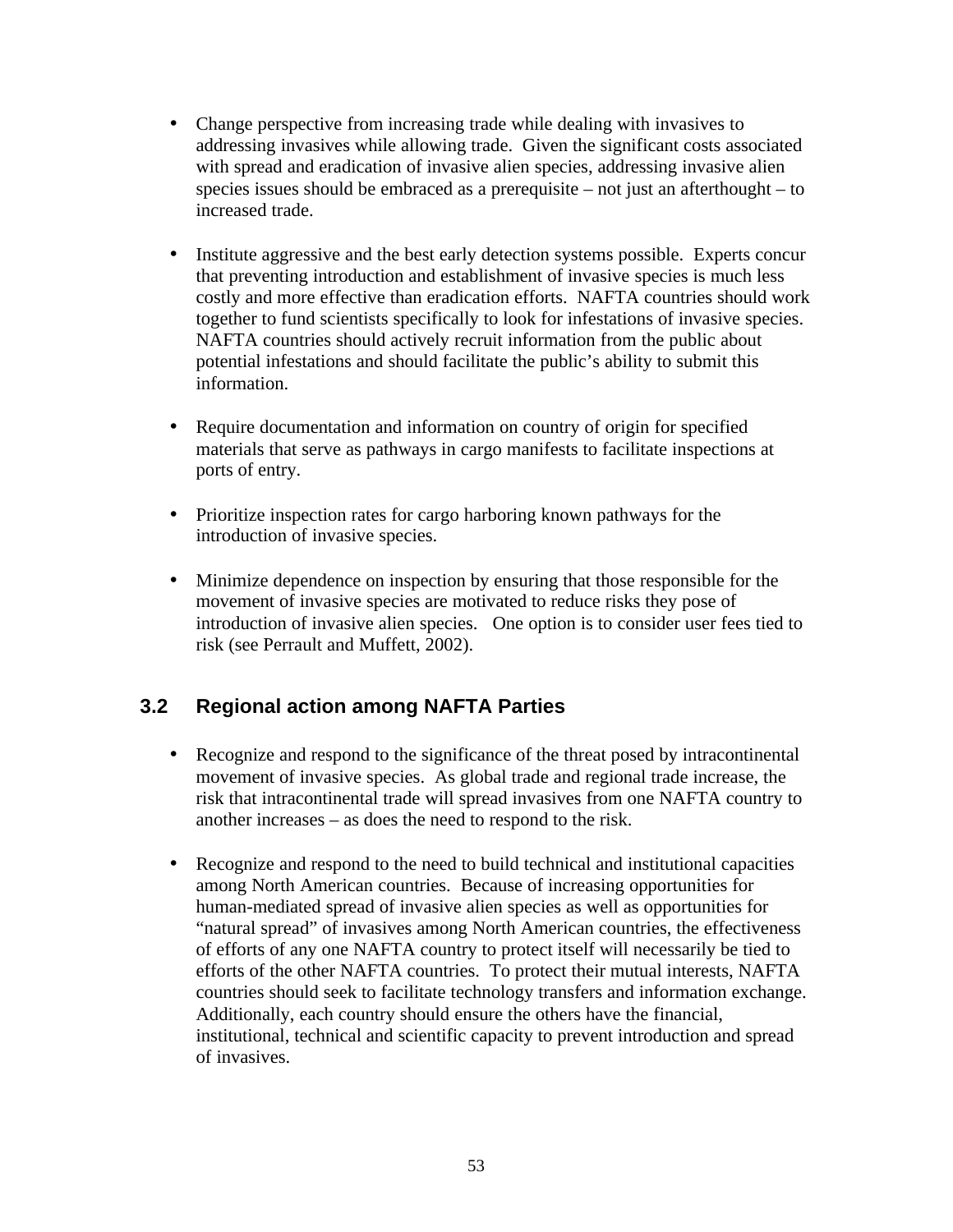- Change perspective from increasing trade while dealing with invasives to addressing invasives while allowing trade. Given the significant costs associated with spread and eradication of invasive alien species, addressing invasive alien species issues should be embraced as a prerequisite – not just an afterthought – to increased trade.
- Institute aggressive and the best early detection systems possible. Experts concur that preventing introduction and establishment of invasive species is much less costly and more effective than eradication efforts. NAFTA countries should work together to fund scientists specifically to look for infestations of invasive species. NAFTA countries should actively recruit information from the public about potential infestations and should facilitate the public's ability to submit this information.
- Require documentation and information on country of origin for specified materials that serve as pathways in cargo manifests to facilitate inspections at ports of entry.
- Prioritize inspection rates for cargo harboring known pathways for the introduction of invasive species.
- Minimize dependence on inspection by ensuring that those responsible for the movement of invasive species are motivated to reduce risks they pose of introduction of invasive alien species. One option is to consider user fees tied to risk (see Perrault and Muffett, 2002).

# **3.2 Regional action among NAFTA Parties**

- Recognize and respond to the significance of the threat posed by intracontinental movement of invasive species. As global trade and regional trade increase, the risk that intracontinental trade will spread invasives from one NAFTA country to another increases – as does the need to respond to the risk.
- Recognize and respond to the need to build technical and institutional capacities among North American countries. Because of increasing opportunities for human-mediated spread of invasive alien species as well as opportunities for "natural spread" of invasives among North American countries, the effectiveness of efforts of any one NAFTA country to protect itself will necessarily be tied to efforts of the other NAFTA countries. To protect their mutual interests, NAFTA countries should seek to facilitate technology transfers and information exchange. Additionally, each country should ensure the others have the financial, institutional, technical and scientific capacity to prevent introduction and spread of invasives.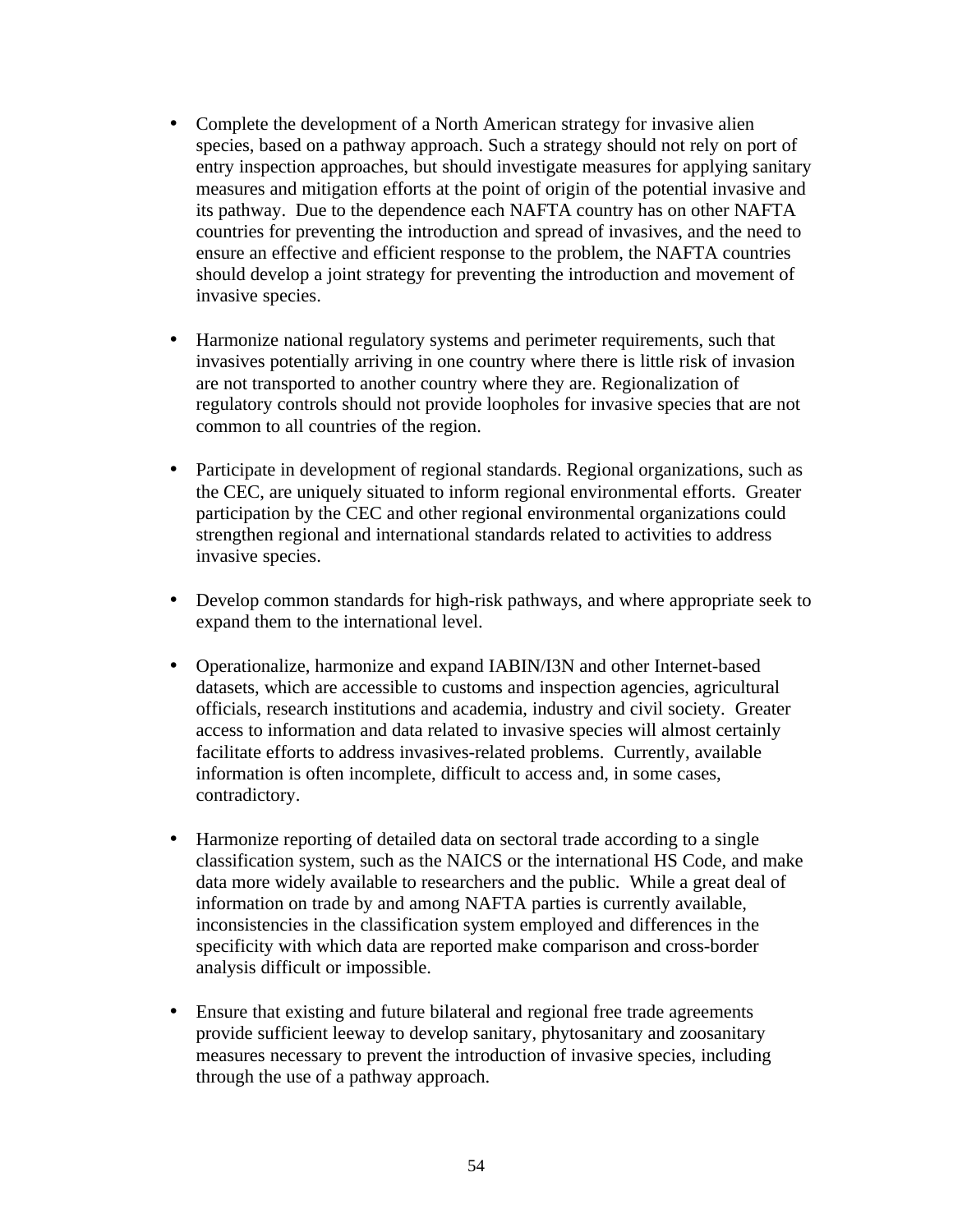- Complete the development of a North American strategy for invasive alien species, based on a pathway approach. Such a strategy should not rely on port of entry inspection approaches, but should investigate measures for applying sanitary measures and mitigation efforts at the point of origin of the potential invasive and its pathway. Due to the dependence each NAFTA country has on other NAFTA countries for preventing the introduction and spread of invasives, and the need to ensure an effective and efficient response to the problem, the NAFTA countries should develop a joint strategy for preventing the introduction and movement of invasive species.
- Harmonize national regulatory systems and perimeter requirements, such that invasives potentially arriving in one country where there is little risk of invasion are not transported to another country where they are. Regionalization of regulatory controls should not provide loopholes for invasive species that are not common to all countries of the region.
- Participate in development of regional standards. Regional organizations, such as the CEC, are uniquely situated to inform regional environmental efforts. Greater participation by the CEC and other regional environmental organizations could strengthen regional and international standards related to activities to address invasive species.
- Develop common standards for high-risk pathways, and where appropriate seek to expand them to the international level.
- Operationalize, harmonize and expand IABIN/I3N and other Internet-based datasets, which are accessible to customs and inspection agencies, agricultural officials, research institutions and academia, industry and civil society. Greater access to information and data related to invasive species will almost certainly facilitate efforts to address invasives-related problems. Currently, available information is often incomplete, difficult to access and, in some cases, contradictory.
- Harmonize reporting of detailed data on sectoral trade according to a single classification system, such as the NAICS or the international HS Code, and make data more widely available to researchers and the public. While a great deal of information on trade by and among NAFTA parties is currently available, inconsistencies in the classification system employed and differences in the specificity with which data are reported make comparison and cross-border analysis difficult or impossible.
- Ensure that existing and future bilateral and regional free trade agreements provide sufficient leeway to develop sanitary, phytosanitary and zoosanitary measures necessary to prevent the introduction of invasive species, including through the use of a pathway approach.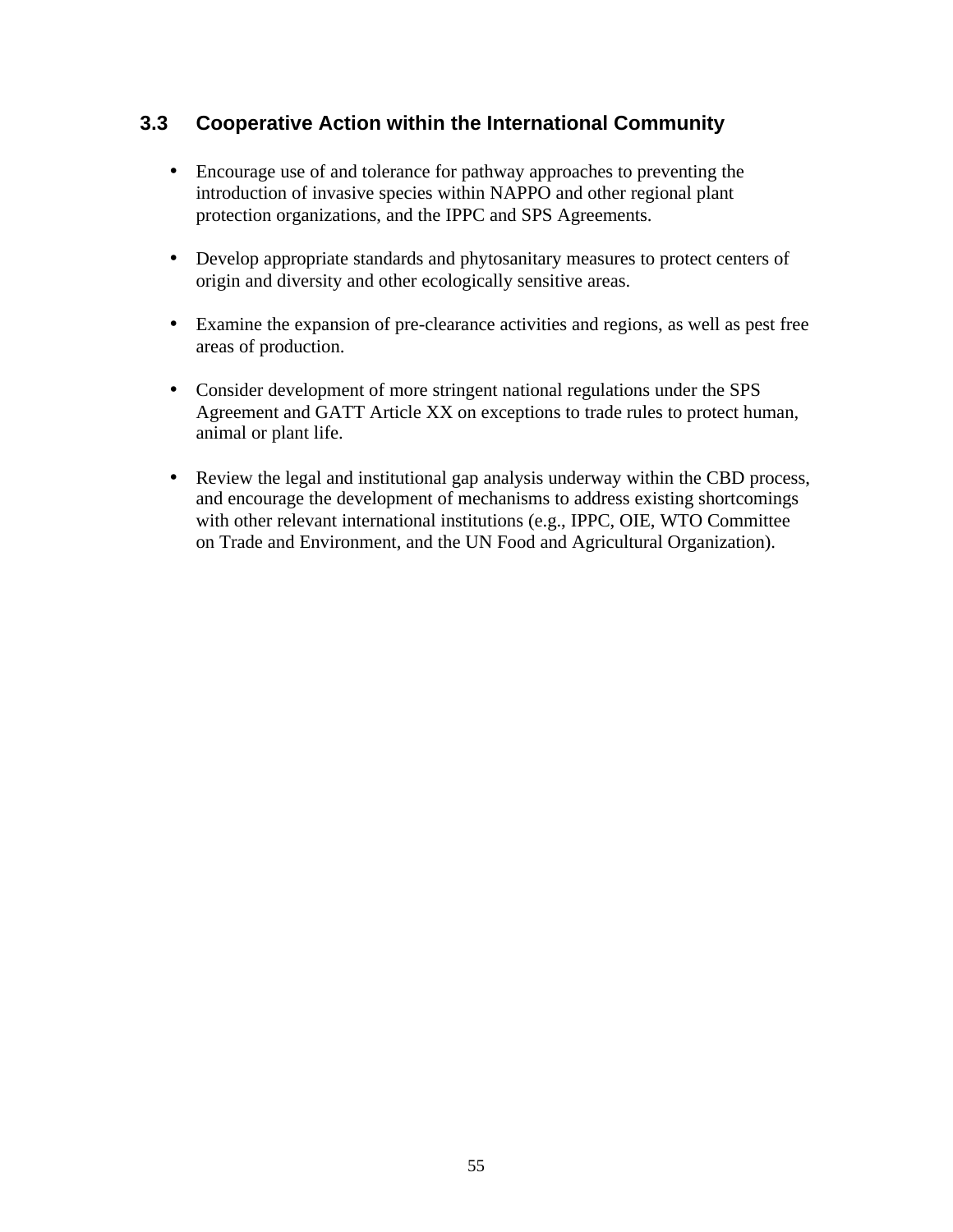# **3.3 Cooperative Action within the International Community**

- Encourage use of and tolerance for pathway approaches to preventing the introduction of invasive species within NAPPO and other regional plant protection organizations, and the IPPC and SPS Agreements.
- Develop appropriate standards and phytosanitary measures to protect centers of origin and diversity and other ecologically sensitive areas.
- Examine the expansion of pre-clearance activities and regions, as well as pest free areas of production.
- Consider development of more stringent national regulations under the SPS Agreement and GATT Article XX on exceptions to trade rules to protect human, animal or plant life.
- Review the legal and institutional gap analysis underway within the CBD process, and encourage the development of mechanisms to address existing shortcomings with other relevant international institutions (e.g., IPPC, OIE, WTO Committee on Trade and Environment, and the UN Food and Agricultural Organization).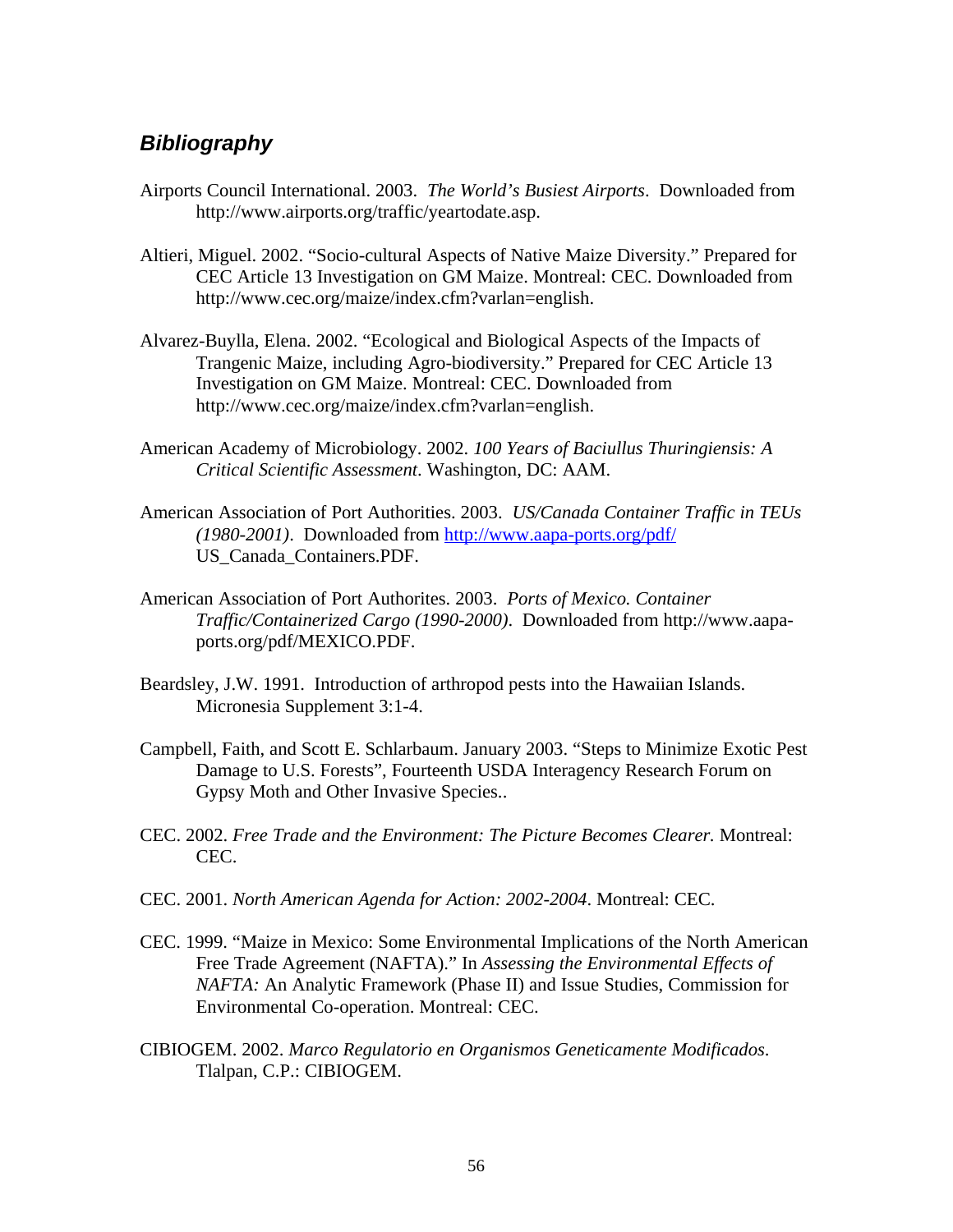# *Bibliography*

- Airports Council International. 2003. *The World's Busiest Airports*. Downloaded from http://www.airports.org/traffic/yeartodate.asp.
- Altieri, Miguel. 2002. "Socio-cultural Aspects of Native Maize Diversity." Prepared for CEC Article 13 Investigation on GM Maize. Montreal: CEC. Downloaded from http://www.cec.org/maize/index.cfm?varlan=english.
- Alvarez-Buylla, Elena. 2002. "Ecological and Biological Aspects of the Impacts of Trangenic Maize, including Agro-biodiversity." Prepared for CEC Article 13 Investigation on GM Maize. Montreal: CEC. Downloaded from http://www.cec.org/maize/index.cfm?varlan=english.
- American Academy of Microbiology. 2002. *100 Years of Baciullus Thuringiensis: A Critical Scientific Assessment*. Washington, DC: AAM.
- American Association of Port Authorities. 2003. *US/Canada Container Traffic in TEUs (1980-2001)*. Downloaded from http://www.aapa-ports.org/pdf/ US\_Canada\_Containers.PDF.
- American Association of Port Authorites. 2003. *Ports of Mexico. Container Traffic/Containerized Cargo (1990-2000)*. Downloaded from http://www.aapaports.org/pdf/MEXICO.PDF.
- Beardsley, J.W. 1991. Introduction of arthropod pests into the Hawaiian Islands. Micronesia Supplement 3:1-4.
- Campbell, Faith, and Scott E. Schlarbaum. January 2003. "Steps to Minimize Exotic Pest Damage to U.S. Forests", Fourteenth USDA Interagency Research Forum on Gypsy Moth and Other Invasive Species..
- CEC. 2002. *Free Trade and the Environment: The Picture Becomes Clearer.* Montreal: CEC.
- CEC. 2001. *North American Agenda for Action: 2002-2004*. Montreal: CEC.
- CEC. 1999. "Maize in Mexico: Some Environmental Implications of the North American Free Trade Agreement (NAFTA)." In *Assessing the Environmental Effects of NAFTA:* An Analytic Framework (Phase II) and Issue Studies, Commission for Environmental Co-operation. Montreal: CEC.
- CIBIOGEM. 2002. *Marco Regulatorio en Organismos Geneticamente Modificados*. Tlalpan, C.P.: CIBIOGEM.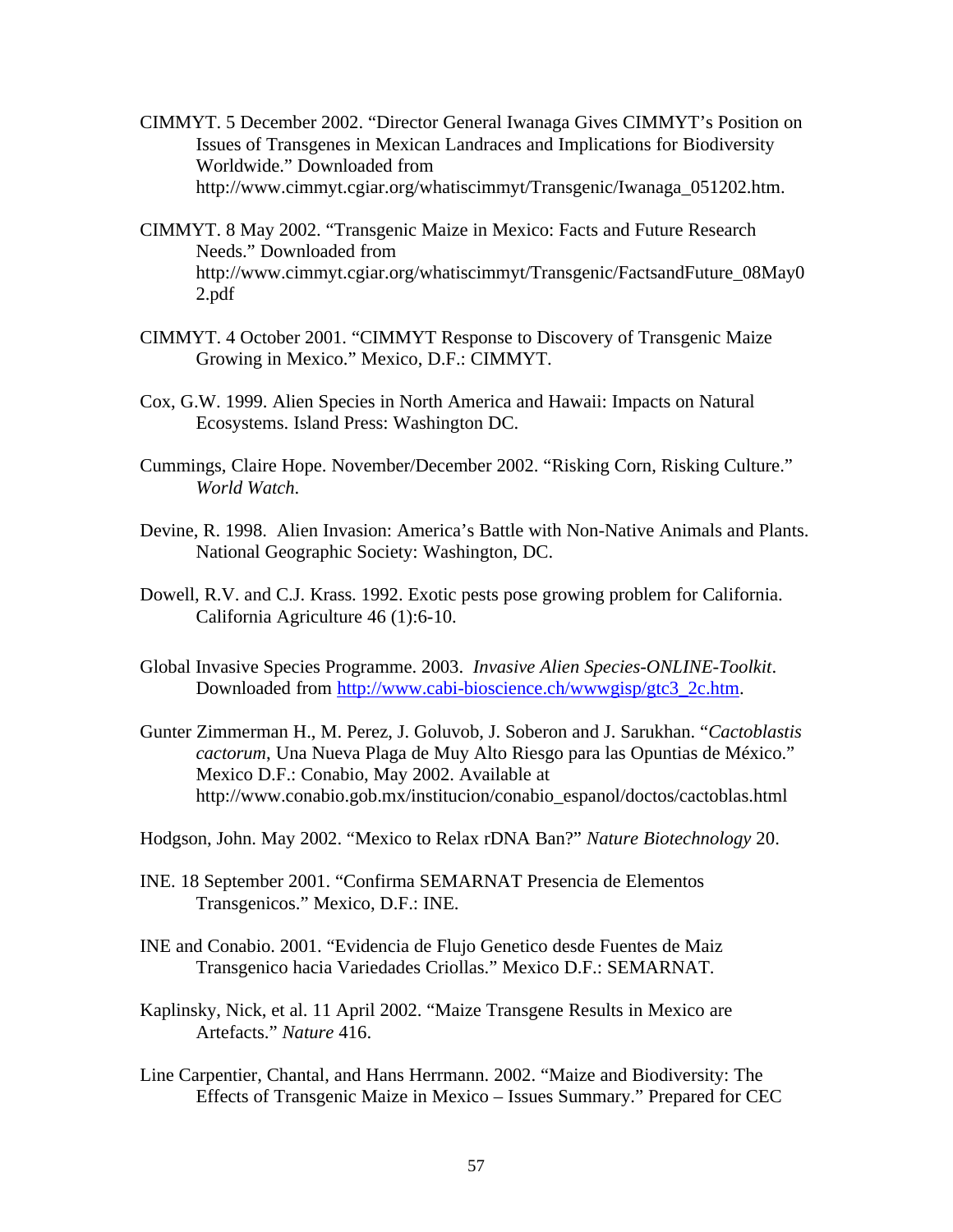- CIMMYT. 5 December 2002. "Director General Iwanaga Gives CIMMYT's Position on Issues of Transgenes in Mexican Landraces and Implications for Biodiversity Worldwide." Downloaded from http://www.cimmyt.cgiar.org/whatiscimmyt/Transgenic/Iwanaga\_051202.htm.
- CIMMYT. 8 May 2002. "Transgenic Maize in Mexico: Facts and Future Research Needs." Downloaded from http://www.cimmyt.cgiar.org/whatiscimmyt/Transgenic/FactsandFuture\_08May0 2.pdf
- CIMMYT. 4 October 2001. "CIMMYT Response to Discovery of Transgenic Maize Growing in Mexico." Mexico, D.F.: CIMMYT.
- Cox, G.W. 1999. Alien Species in North America and Hawaii: Impacts on Natural Ecosystems. Island Press: Washington DC.
- Cummings, Claire Hope. November/December 2002. "Risking Corn, Risking Culture." *World Watch*.
- Devine, R. 1998. Alien Invasion: America's Battle with Non-Native Animals and Plants. National Geographic Society: Washington, DC.
- Dowell, R.V. and C.J. Krass. 1992. Exotic pests pose growing problem for California. California Agriculture 46 (1):6-10.
- Global Invasive Species Programme. 2003. *Invasive Alien Species-ONLINE-Toolkit*. Downloaded from http://www.cabi-bioscience.ch/wwwgisp/gtc3\_2c.htm.
- Gunter Zimmerman H., M. Perez, J. Goluvob, J. Soberon and J. Sarukhan. "*Cactoblastis cactorum*, Una Nueva Plaga de Muy Alto Riesgo para las Opuntias de México." Mexico D.F.: Conabio, May 2002. Available at http://www.conabio.gob.mx/institucion/conabio\_espanol/doctos/cactoblas.html
- Hodgson, John. May 2002. "Mexico to Relax rDNA Ban?" *Nature Biotechnology* 20.
- INE. 18 September 2001. "Confirma SEMARNAT Presencia de Elementos Transgenicos." Mexico, D.F.: INE.
- INE and Conabio. 2001. "Evidencia de Flujo Genetico desde Fuentes de Maiz Transgenico hacia Variedades Criollas." Mexico D.F.: SEMARNAT.
- Kaplinsky, Nick, et al. 11 April 2002. "Maize Transgene Results in Mexico are Artefacts." *Nature* 416.
- Line Carpentier, Chantal, and Hans Herrmann. 2002. "Maize and Biodiversity: The Effects of Transgenic Maize in Mexico – Issues Summary." Prepared for CEC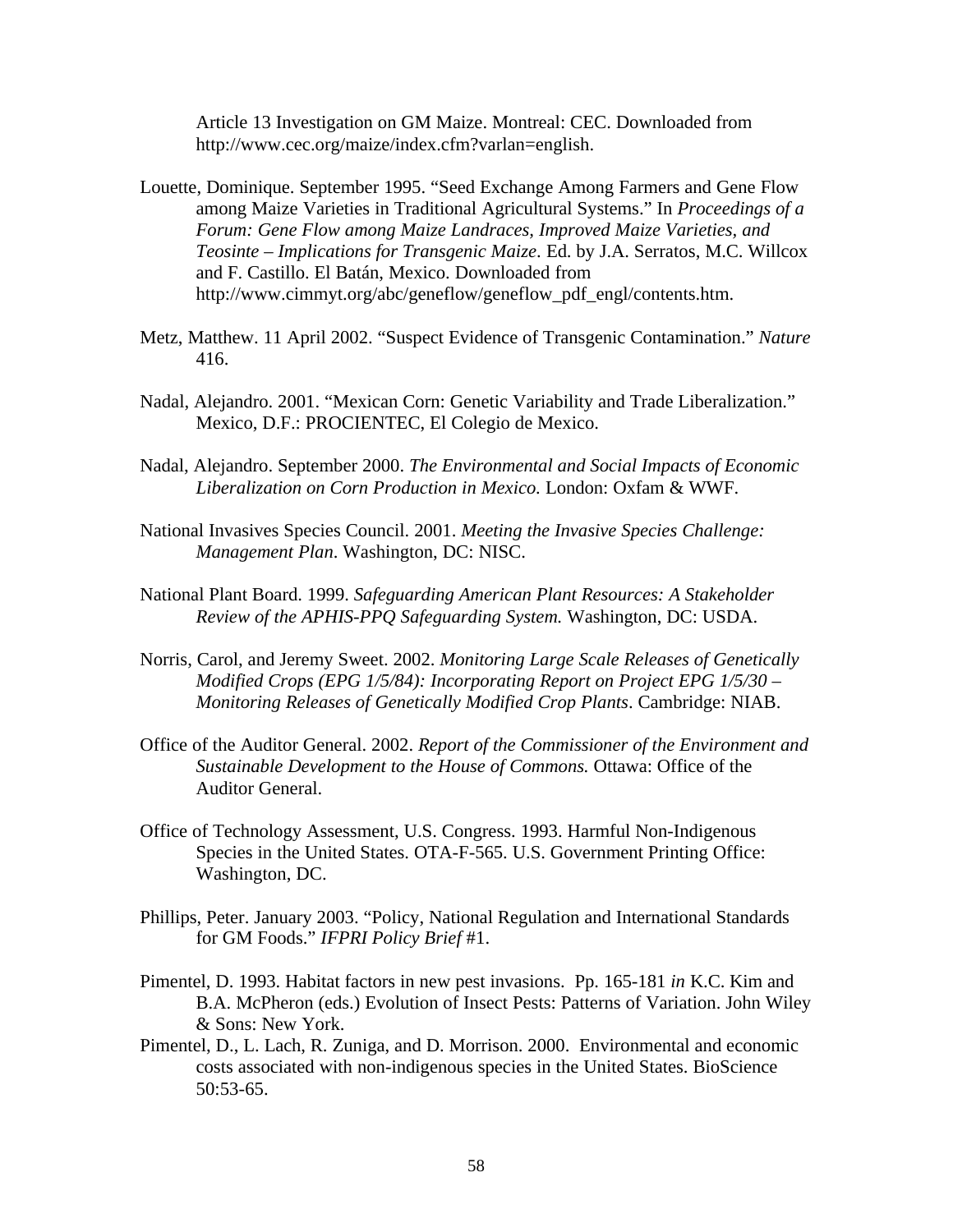Article 13 Investigation on GM Maize. Montreal: CEC. Downloaded from http://www.cec.org/maize/index.cfm?varlan=english.

- Louette, Dominique. September 1995. "Seed Exchange Among Farmers and Gene Flow among Maize Varieties in Traditional Agricultural Systems." In *Proceedings of a Forum: Gene Flow among Maize Landraces, Improved Maize Varieties, and Teosinte – Implications for Transgenic Maize*. Ed. by J.A. Serratos, M.C. Willcox and F. Castillo. El Batán, Mexico. Downloaded from http://www.cimmyt.org/abc/geneflow/geneflow\_pdf\_engl/contents.htm.
- Metz, Matthew. 11 April 2002. "Suspect Evidence of Transgenic Contamination." *Nature* 416.
- Nadal, Alejandro. 2001. "Mexican Corn: Genetic Variability and Trade Liberalization." Mexico, D.F.: PROCIENTEC, El Colegio de Mexico.
- Nadal, Alejandro. September 2000. *The Environmental and Social Impacts of Economic Liberalization on Corn Production in Mexico.* London: Oxfam & WWF.
- National Invasives Species Council. 2001. *Meeting the Invasive Species Challenge: Management Plan*. Washington, DC: NISC.
- National Plant Board. 1999. *Safeguarding American Plant Resources: A Stakeholder Review of the APHIS-PPQ Safeguarding System.* Washington, DC: USDA.
- Norris, Carol, and Jeremy Sweet. 2002. *Monitoring Large Scale Releases of Genetically Modified Crops (EPG 1/5/84): Incorporating Report on Project EPG 1/5/30 – Monitoring Releases of Genetically Modified Crop Plants*. Cambridge: NIAB.
- Office of the Auditor General. 2002. *Report of the Commissioner of the Environment and Sustainable Development to the House of Commons.* Ottawa: Office of the Auditor General.
- Office of Technology Assessment, U.S. Congress. 1993. Harmful Non-Indigenous Species in the United States. OTA-F-565. U.S. Government Printing Office: Washington, DC.
- Phillips, Peter. January 2003. "Policy, National Regulation and International Standards for GM Foods." *IFPRI Policy Brief* #1.
- Pimentel, D. 1993. Habitat factors in new pest invasions. Pp. 165-181 *in* K.C. Kim and B.A. McPheron (eds.) Evolution of Insect Pests: Patterns of Variation. John Wiley & Sons: New York.
- Pimentel, D., L. Lach, R. Zuniga, and D. Morrison. 2000. Environmental and economic costs associated with non-indigenous species in the United States. BioScience 50:53-65.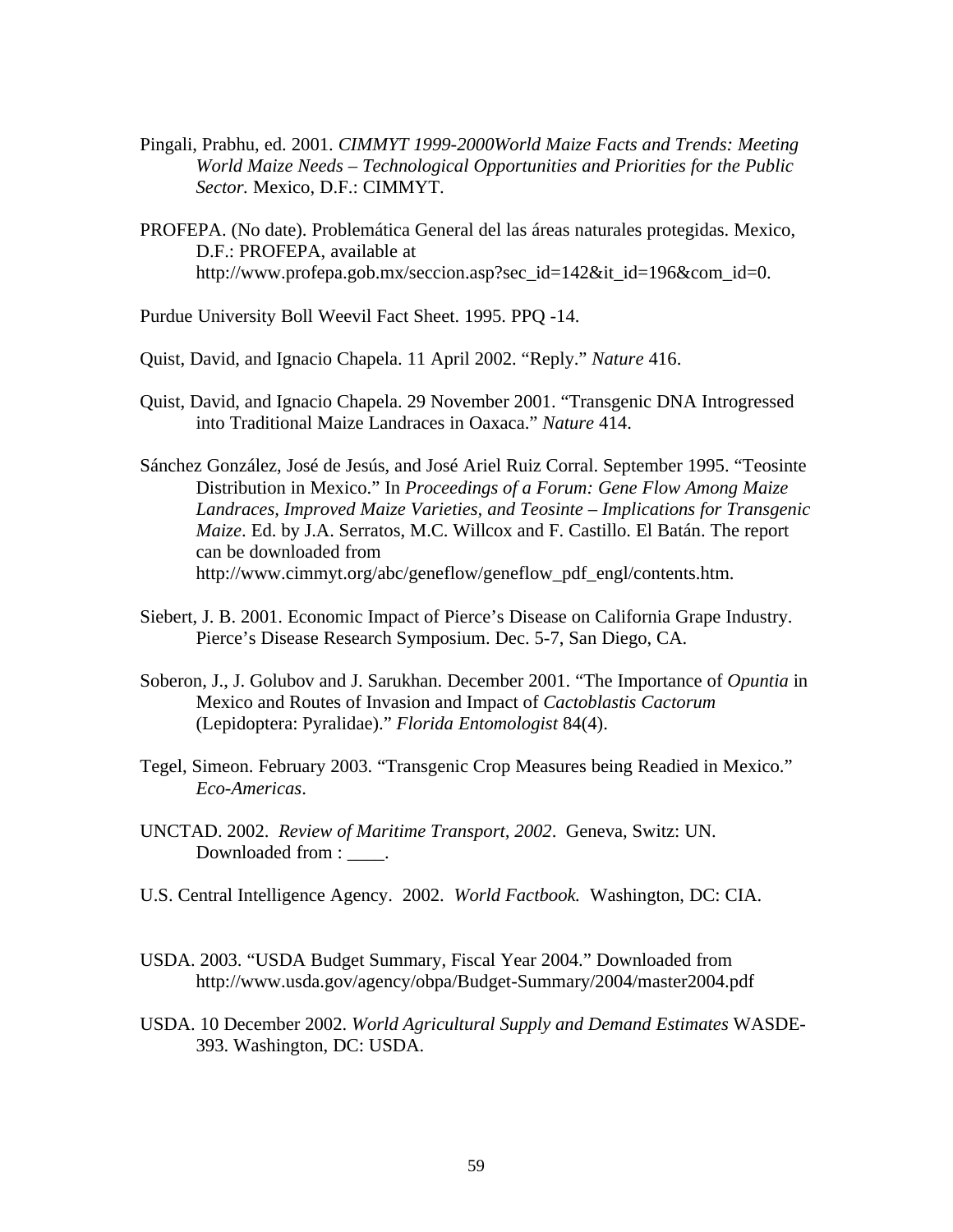- Pingali, Prabhu, ed. 2001. *CIMMYT 1999-2000World Maize Facts and Trends: Meeting World Maize Needs – Technological Opportunities and Priorities for the Public Sector.* Mexico, D.F.: CIMMYT.
- PROFEPA. (No date). Problemática General del las áreas naturales protegidas. Mexico, D.F.: PROFEPA, available at http://www.profepa.gob.mx/seccion.asp?sec\_id=142&it\_id=196&com\_id=0.
- Purdue University Boll Weevil Fact Sheet. 1995. PPQ -14.
- Quist, David, and Ignacio Chapela. 11 April 2002. "Reply." *Nature* 416.
- Quist, David, and Ignacio Chapela. 29 November 2001. "Transgenic DNA Introgressed into Traditional Maize Landraces in Oaxaca." *Nature* 414.
- Sánchez González, José de Jesús, and José Ariel Ruiz Corral. September 1995. "Teosinte Distribution in Mexico." In *Proceedings of a Forum: Gene Flow Among Maize Landraces, Improved Maize Varieties, and Teosinte – Implications for Transgenic Maize*. Ed. by J.A. Serratos, M.C. Willcox and F. Castillo. El Batán. The report can be downloaded from http://www.cimmyt.org/abc/geneflow/geneflow\_pdf\_engl/contents.htm.
- Siebert, J. B. 2001. Economic Impact of Pierce's Disease on California Grape Industry. Pierce's Disease Research Symposium. Dec. 5-7, San Diego, CA.
- Soberon, J., J. Golubov and J. Sarukhan. December 2001. "The Importance of *Opuntia* in Mexico and Routes of Invasion and Impact of *Cactoblastis Cactorum* (Lepidoptera: Pyralidae)." *Florida Entomologist* 84(4).
- Tegel, Simeon. February 2003. "Transgenic Crop Measures being Readied in Mexico." *Eco-Americas*.
- UNCTAD. 2002. *Review of Maritime Transport, 2002*. Geneva, Switz: UN. Downloaded from :  $\qquad$ .
- U.S. Central Intelligence Agency. 2002. *World Factbook.* Washington, DC: CIA.
- USDA. 2003. "USDA Budget Summary, Fiscal Year 2004." Downloaded from http://www.usda.gov/agency/obpa/Budget-Summary/2004/master2004.pdf
- USDA. 10 December 2002. *World Agricultural Supply and Demand Estimates* WASDE-393. Washington, DC: USDA.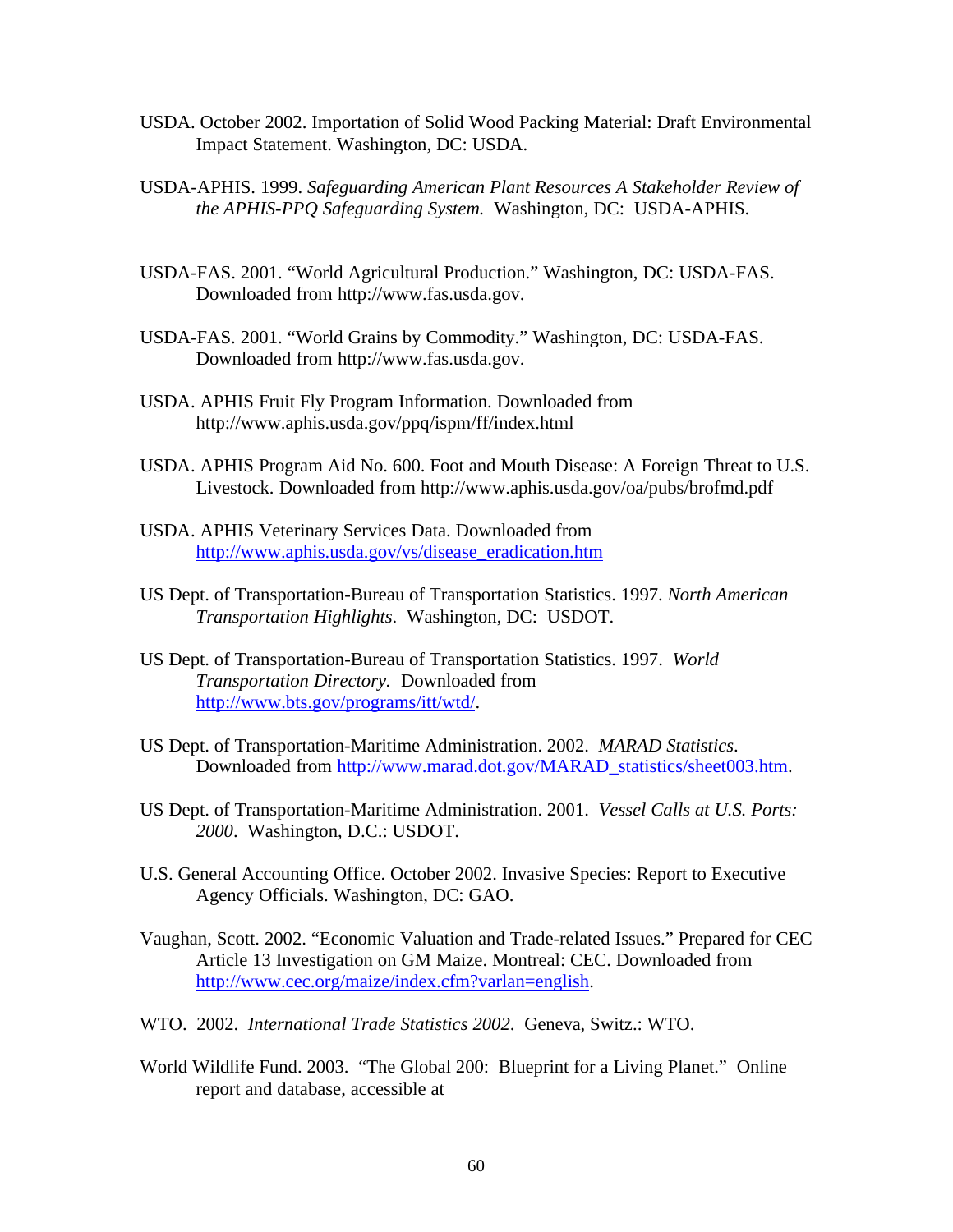- USDA. October 2002. Importation of Solid Wood Packing Material: Draft Environmental Impact Statement. Washington, DC: USDA.
- USDA-APHIS. 1999. *Safeguarding American Plant Resources A Stakeholder Review of the APHIS-PPQ Safeguarding System.* Washington, DC: USDA-APHIS.
- USDA-FAS. 2001. "World Agricultural Production." Washington, DC: USDA-FAS. Downloaded from http://www.fas.usda.gov.
- USDA-FAS. 2001. "World Grains by Commodity." Washington, DC: USDA-FAS. Downloaded from http://www.fas.usda.gov.
- USDA. APHIS Fruit Fly Program Information. Downloaded from http://www.aphis.usda.gov/ppq/ispm/ff/index.html
- USDA. APHIS Program Aid No. 600. Foot and Mouth Disease: A Foreign Threat to U.S. Livestock. Downloaded from http://www.aphis.usda.gov/oa/pubs/brofmd.pdf
- USDA. APHIS Veterinary Services Data. Downloaded from http://www.aphis.usda.gov/vs/disease\_eradication.htm
- US Dept. of Transportation-Bureau of Transportation Statistics. 1997. *North American Transportation Highlights*. Washington, DC: USDOT.
- US Dept. of Transportation-Bureau of Transportation Statistics. 1997. *World Transportation Directory.* Downloaded from http://www.bts.gov/programs/itt/wtd/.
- US Dept. of Transportation-Maritime Administration. 2002. *MARAD Statistics*. Downloaded from http://www.marad.dot.gov/MARAD\_statistics/sheet003.htm.
- US Dept. of Transportation-Maritime Administration. 2001. *Vessel Calls at U.S. Ports: 2000*. Washington, D.C.: USDOT.
- U.S. General Accounting Office. October 2002. Invasive Species: Report to Executive Agency Officials. Washington, DC: GAO.
- Vaughan, Scott. 2002. "Economic Valuation and Trade-related Issues." Prepared for CEC Article 13 Investigation on GM Maize. Montreal: CEC. Downloaded from http://www.cec.org/maize/index.cfm?varlan=english.
- WTO. 2002. *International Trade Statistics 2002*. Geneva, Switz.: WTO.
- World Wildlife Fund. 2003. "The Global 200: Blueprint for a Living Planet." Online report and database, accessible at